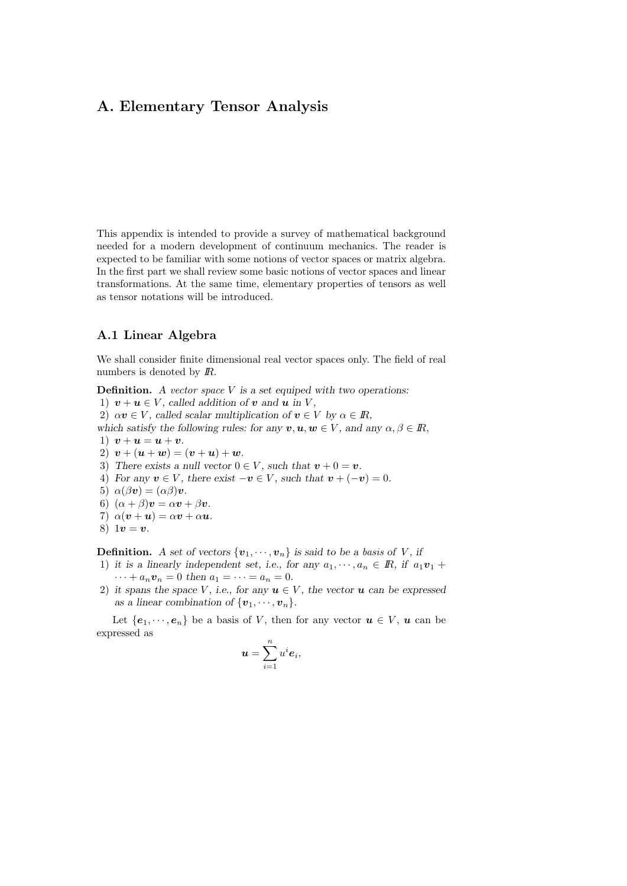This appendix is intended to provide a survey of mathematical background needed for a modern development of continuum mechanics. The reader is expected to be familiar with some notions of vector spaces or matrix algebra. In the first part we shall review some basic notions of vector spaces and linear transformations. At the same time, elementary properties of tensors as well as tensor notations will be introduced.

# A.1 Linear Algebra

We shall consider finite dimensional real vector spaces only. The field of real numbers is denoted by *.* 

**Definition.** A vector space  $V$  is a set equiped with two operations:

1)  $v + u \in V$ , called addition of v and u in V,

2)  $\alpha v \in V$ , called scalar multiplication of  $v \in V$  by  $\alpha \in \mathbb{R}$ ,

which satisfy the following rules: for any  $v, u, w \in V$ , and any  $\alpha, \beta \in \mathbb{R}$ ,

- 1)  $v + u = u + v$ .
- 2)  $v + (u + w) = (v + u) + w$ .
- 3) There exists a null vector  $0 \in V$ , such that  $v + 0 = v$ .
- 4) For any  $v \in V$ , there exist  $-v \in V$ , such that  $v + (-v) = 0$ .
- 5)  $\alpha(\beta v) = (\alpha \beta)v$ .
- 6)  $(\alpha + \beta)\mathbf{v} = \alpha\mathbf{v} + \beta\mathbf{v}$ .
- 7)  $\alpha(\mathbf{v} + \mathbf{u}) = \alpha \mathbf{v} + \alpha \mathbf{u}$ .
- 8)  $1v = v$ .

**Definition.** A set of vectors  $\{v_1, \dots, v_n\}$  is said to be a basis of V, if

- 1) it is a linearly independent set, i.e., for any  $a_1, \dots, a_n \in \mathbb{R}$ , if  $a_1v_1 +$  $\cdots + a_n v_n = 0$  then  $a_1 = \cdots = a_n = 0$ .
- 2) it spans the space V, i.e., for any  $u \in V$ , the vector u can be expressed as a linear combination of  $\{v_1, \dots, v_n\}$ .

Let  $\{e_1, \dots, e_n\}$  be a basis of V, then for any vector  $u \in V$ ,  $u$  can be expressed as

$$
\boldsymbol{u} = \sum_{i=1}^n u^i \boldsymbol{e}_i,
$$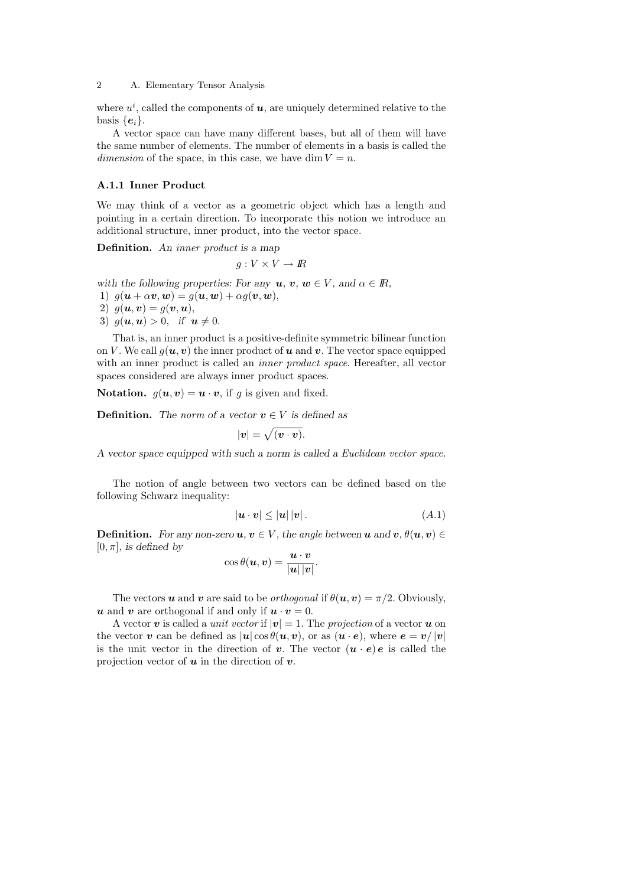where  $u^i$ , called the components of  $u$ , are uniquely determined relative to the basis  $\{e_i\}.$ 

A vector space can have many different bases, but all of them will have the same number of elements. The number of elements in a basis is called the dimension of the space, in this case, we have dim  $V = n$ .

#### A.1.1 Inner Product

We may think of a vector as a geometric object which has a length and pointing in a certain direction. To incorporate this notion we introduce an additional structure, inner product, into the vector space.

Definition. An *inner product* is a map

$$
g: V \times V \to I\!\!R
$$

with the following properties: For any  $u, v, w \in V$ , and  $\alpha \in \mathbb{R}$ ,

- 1)  $g(\boldsymbol{u} + \alpha \boldsymbol{v}, \boldsymbol{w}) = g(\boldsymbol{u}, \boldsymbol{w}) + \alpha g(\boldsymbol{v}, \boldsymbol{w}),$
- 2)  $q(\boldsymbol{u}, \boldsymbol{v}) = q(\boldsymbol{v}, \boldsymbol{u}),$
- 3)  $g(u, u) > 0$ , if  $u \neq 0$ .

That is, an inner product is a positive-definite symmetric bilinear function on V. We call  $g(u, v)$  the inner product of u and v. The vector space equipped with an inner product is called an *inner product space*. Hereafter, all vector spaces considered are always inner product spaces.

**Notation.**  $g(u, v) = u \cdot v$ , if g is given and fixed.

**Definition.** The norm of a vector  $v \in V$  is defined as

$$
|\mathbf{v}| = \sqrt{(\mathbf{v} \cdot \mathbf{v})}.
$$

A vector space equipped with such a norm is called a Euclidean vector space.

The notion of angle between two vectors can be defined based on the following Schwarz inequality:

$$
|\mathbf{u} \cdot \mathbf{v}| \le |\mathbf{u}| \, |\mathbf{v}| \,.
$$
 (A.1)

**Definition.** For any non-zero  $u, v \in V$ , the angle between  $u$  and  $v, \theta(u, v) \in$  $[0, \pi]$ , is defined by

$$
\cos\theta(\boldsymbol{u},\boldsymbol{v})=\frac{\boldsymbol{u}\cdot\boldsymbol{v}}{|\boldsymbol{u}||\boldsymbol{v}|}.
$$

The vectors **u** and **v** are said to be *orthogonal* if  $\theta(\mathbf{u}, \mathbf{v}) = \pi/2$ . Obviously, u and v are orthogonal if and only if  $u \cdot v = 0$ .

A vector v is called a *unit vector* if  $|v| = 1$ . The projection of a vector u on the vector v can be defined as  $|u|\cos\theta(u,v)$ , or as  $(u\cdot e)$ , where  $e = v/|v|$ is the unit vector in the direction of **v**. The vector  $(\mathbf{u} \cdot \mathbf{e})\mathbf{e}$  is called the projection vector of  $u$  in the direction of  $v$ .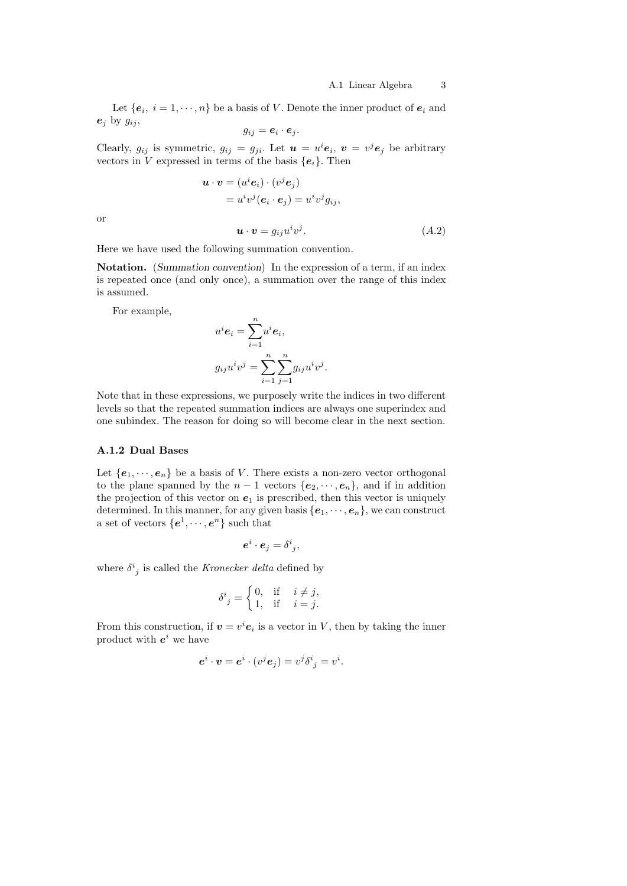Let  $\{e_i, i = 1, \dots, n\}$  be a basis of V. Denote the inner product of  $e_i$  and  $e_i$  by  $g_{ij}$ ,

$$
g_{ij} = \mathbf{e}_i \cdot \mathbf{e}_j.
$$

Clearly,  $g_{ij}$  is symmetric,  $g_{ij} = g_{ji}$ . Let  $\boldsymbol{u} = u^i \boldsymbol{e}_i$ ,  $\boldsymbol{v} = v^j \boldsymbol{e}_j$  be arbitrary vectors in V expressed in terms of the basis  ${e_i}$ . Then

$$
\begin{aligned} \boldsymbol{u} \cdot \boldsymbol{v} &= (u^i \boldsymbol{e}_i) \cdot (v^j \boldsymbol{e}_j) \\ &= u^i v^j (\boldsymbol{e}_i \cdot \boldsymbol{e}_j) = u^i v^j g_{ij}, \end{aligned}
$$

or

$$
\mathbf{u} \cdot \mathbf{v} = g_{ij} u^i v^j. \tag{A.2}
$$

Here we have used the following summation convention.

Notation. (Summation convention) In the expression of a term, if an index is repeated once (and only once), a summation over the range of this index is assumed.

For example,

$$
u^i \mathbf{e}_i = \sum_{i=1}^n u^i \mathbf{e}_i,
$$
  

$$
g_{ij}u^i v^j = \sum_{i=1}^n \sum_{j=1}^n g_{ij}u^i v^j.
$$

Note that in these expressions, we purposely write the indices in two different levels so that the repeated summation indices are always one superindex and one subindex. The reason for doing so will become clear in the next section.

# A.1.2 Dual Bases

Let  ${e_1, \dots, e_n}$  be a basis of V. There exists a non-zero vector orthogonal to the plane spanned by the  $n-1$  vectors  $\{e_2, \dots, e_n\}$ , and if in addition the projection of this vector on  $e_1$  is prescribed, then this vector is uniquely determined. In this manner, for any given basis  $\{e_1, \dots, e_n\}$ , we can construct a set of vectors  $\{e^1, \dots, e^n\}$  such that

$$
\boldsymbol{e}^i\cdot \boldsymbol{e}_j=\delta^i_{\phantom{i}j},
$$

where  $\delta^{i}_{j}$  is called the *Kronecker delta* defined by

$$
\delta^i_{\ j} = \begin{cases} \n0, & \text{if } i \neq j, \\ \n1, & \text{if } i = j. \n\end{cases}
$$

From this construction, if  $v = v^i e_i$  is a vector in V, then by taking the inner product with  $e^i$  we have

$$
\boldsymbol{e}^i \cdot \boldsymbol{v} = \boldsymbol{e}^i \cdot (v^j \boldsymbol{e}_j) = v^j \delta^i_{\ j} = v^i.
$$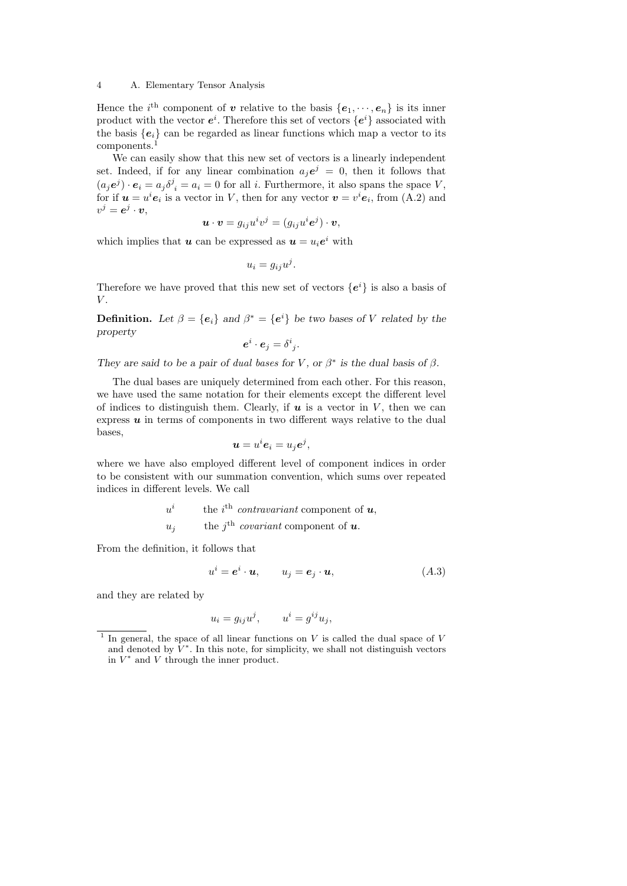Hence the *i*<sup>th</sup> component of **v** relative to the basis  $\{e_1, \dots, e_n\}$  is its inner product with the vector  $e^i$ . Therefore this set of vectors  $\{e^i\}$  associated with the basis  ${e_i}$  can be regarded as linear functions which map a vector to its components.<sup>1</sup>

We can easily show that this new set of vectors is a linearly independent set. Indeed, if for any linear combination  $a_j e^j = 0$ , then it follows that  $(a_j e^j) \cdot e_i = a_j \delta^j_i = a_i = 0$  for all *i*. Furthermore, it also spans the space V, for if  $u = u^i e_i$  is a vector in V, then for any vector  $v = v^i e_i$ , from (A.2) and  $v^j = \bm{e}^j \cdot \bm{v},$ 

$$
\boldsymbol{u}\cdot\boldsymbol{v}=g_{ij}u^iv^j=(g_{ij}u^i\boldsymbol{e}^j)\cdot\boldsymbol{v},
$$

which implies that **u** can be expressed as  $u = u_i e^i$  with

$$
u_i = g_{ij}u^j.
$$

Therefore we have proved that this new set of vectors  ${e^i}$  is also a basis of  $V$ 

**Definition.** Let  $\beta = \{e_i\}$  and  $\beta^* = \{e^i\}$  be two bases of V related by the property

$$
\boldsymbol{e}^i\cdot \boldsymbol{e}_j=\delta^i_{\phantom{i}j}.
$$

They are said to be a pair of dual bases for V, or  $\beta^*$  is the dual basis of  $\beta$ .

The dual bases are uniquely determined from each other. For this reason, we have used the same notation for their elements except the different level of indices to distinguish them. Clearly, if  $u$  is a vector in  $V$ , then we can express  $\boldsymbol{u}$  in terms of components in two different ways relative to the dual bases,

$$
\boldsymbol{u}=u^i\boldsymbol{e}_i=u_j\boldsymbol{e}^j,
$$

where we have also employed different level of component indices in order to be consistent with our summation convention, which sums over repeated indices in different levels. We call

$$
u^{i} \t\t the ith contravariant component of u,uj the jth covariant component of u.
$$

From the definition, it follows that

$$
u^i = \mathbf{e}^i \cdot \mathbf{u}, \qquad u_j = \mathbf{e}_j \cdot \mathbf{u}, \tag{A.3}
$$

and they are related by

$$
u_i = g_{ij}u^j, \qquad u^i = g^{ij}u_j,
$$

<sup>1</sup> In general, the space of all linear functions on  $V$  is called the dual space of  $V$ and denoted by  $\tilde{V}^*$ . In this note, for simplicity, we shall not distinguish vectors in  $V^*$  and  $V$  through the inner product.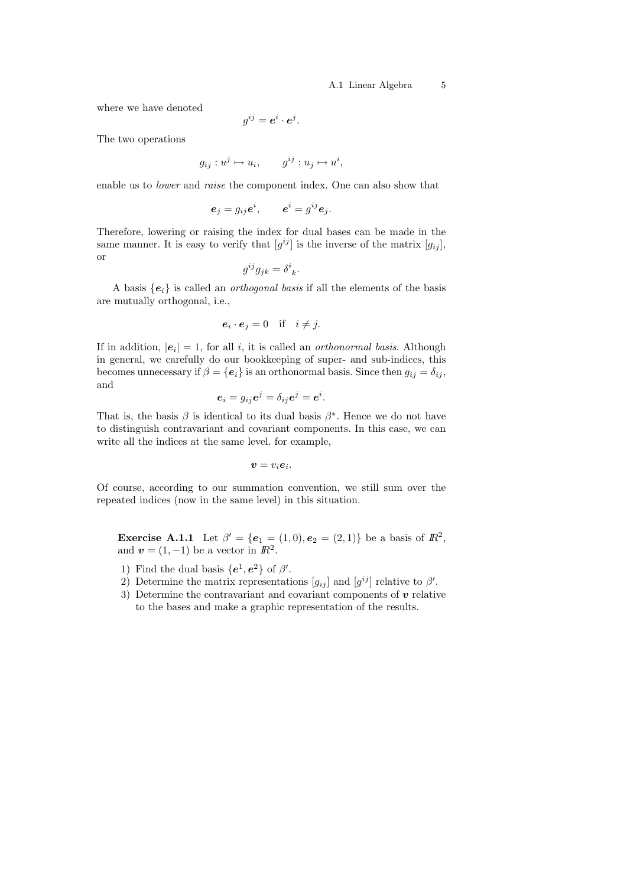### A.1 Linear Algebra 5

where we have denoted

$$
g^{ij} = \boldsymbol{e}^i \cdot \boldsymbol{e}^j.
$$

The two operations

$$
g_{ij}: u^j \mapsto u_i, \qquad g^{ij}: u_j \mapsto u^i,
$$

enable us to lower and raise the component index. One can also show that

$$
\boldsymbol{e}_j = g_{ij}\boldsymbol{e}^i, \qquad \boldsymbol{e}^i = g^{ij}\boldsymbol{e}_j.
$$

Therefore, lowering or raising the index for dual bases can be made in the same manner. It is easy to verify that  $[g^{ij}]$  is the inverse of the matrix  $[g_{ij}]$ , or

$$
g^{ij}g_{jk} = \delta^i{}_k.
$$

A basis  $\{e_i\}$  is called an *orthogonal basis* if all the elements of the basis are mutually orthogonal, i.e.,

$$
\mathbf{e}_i \cdot \mathbf{e}_j = 0 \quad \text{if} \quad i \neq j.
$$

If in addition,  $|e_i| = 1$ , for all i, it is called an *orthonormal basis*. Although in general, we carefully do our bookkeeping of super- and sub-indices, this becomes unnecessary if  $\beta = {\bf e}_i$  is an orthonormal basis. Since then  $g_{ij} = \delta_{ij}$ , and

$$
\boldsymbol{e}_i=g_{ij}\boldsymbol{e}^j=\delta_{ij}\boldsymbol{e}^j=\boldsymbol{e}^i.
$$

That is, the basis  $\beta$  is identical to its dual basis  $\beta^*$ . Hence we do not have to distinguish contravariant and covariant components. In this case, we can write all the indices at the same level. for example,

$$
\boldsymbol{v}=v_i\boldsymbol{e}_i.
$$

Of course, according to our summation convention, we still sum over the repeated indices (now in the same level) in this situation.

**Exercise A.1.1** Let  $\beta' = \{e_1 = (1,0), e_2 = (2,1)\}\)$  be a basis of  $\mathbb{R}^2$ , and  $\mathbf{v} = (1, -1)$  be a vector in  $\mathbb{R}^2$ .

- 1) Find the dual basis  $\{e^1, e^2\}$  of  $\beta'$ .
- 2) Determine the matrix representations  $[g_{ij}]$  and  $[g^{ij}]$  relative to  $\beta'$ .
- 3) Determine the contravariant and covariant components of  $v$  relative to the bases and make a graphic representation of the results.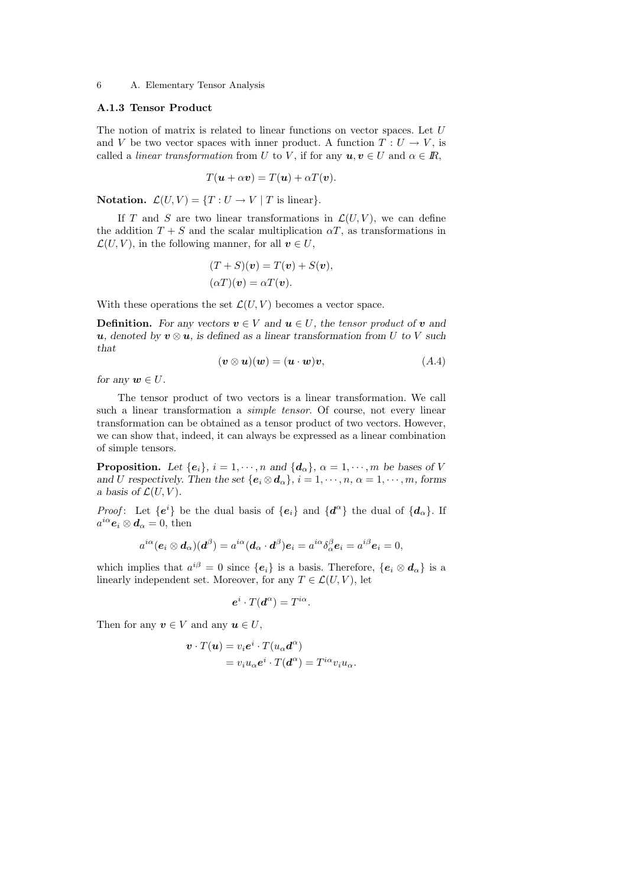# A.1.3 Tensor Product

The notion of matrix is related to linear functions on vector spaces. Let  $U$ and V be two vector spaces with inner product. A function  $T: U \to V$ , is called a *linear transformation* from U to V, if for any  $u, v \in U$  and  $\alpha \in \mathbb{R}$ ,

$$
T(\mathbf{u} + \alpha \mathbf{v}) = T(\mathbf{u}) + \alpha T(\mathbf{v}).
$$

Notation.  $\mathcal{L}(U, V) = \{T : U \to V \mid T \text{ is linear}\}.$ 

If T and S are two linear transformations in  $\mathcal{L}(U, V)$ , we can define the addition  $T + S$  and the scalar multiplication  $\alpha T$ , as transformations in  $\mathcal{L}(U, V)$ , in the following manner, for all  $v \in U$ ,

$$
(T + S)(v) = T(v) + S(v),
$$
  
\n
$$
(\alpha T)(v) = \alpha T(v).
$$

With these operations the set  $\mathcal{L}(U, V)$  becomes a vector space.

**Definition.** For any vectors  $v \in V$  and  $u \in U$ , the tensor product of v and u, denoted by  $v \otimes u$ , is defined as a linear transformation from U to V such that

$$
(\mathbf{v} \otimes \mathbf{u})(\mathbf{w}) = (\mathbf{u} \cdot \mathbf{w})\mathbf{v},\tag{A.4}
$$

for any  $w \in U$ .

The tensor product of two vectors is a linear transformation. We call such a linear transformation a *simple tensor*. Of course, not every linear transformation can be obtained as a tensor product of two vectors. However, we can show that, indeed, it can always be expressed as a linear combination of simple tensors.

**Proposition.** Let  $\{e_i\}$ ,  $i = 1, \dots, n$  and  $\{d_\alpha\}$ ,  $\alpha = 1, \dots, m$  be bases of V and U respectively. Then the set  $\{e_i \otimes d_\alpha\}, i = 1, \dots, n, \alpha = 1, \dots, m$ , forms a basis of  $\mathcal{L}(U, V)$ .

*Proof*: Let  $\{e^i\}$  be the dual basis of  $\{e_i\}$  and  $\{d^{\alpha}\}\$  the dual of  $\{d_{\alpha}\}\$ . If  $a^{i\alpha}$ **e**<sub>i</sub>  $\otimes$  **d**<sub> $\alpha$ </sub> = 0, then

$$
a^{i\alpha}(\mathbf{e}_i \otimes \mathbf{d}_\alpha)(\mathbf{d}^\beta) = a^{i\alpha}(\mathbf{d}_\alpha \cdot \mathbf{d}^\beta)\mathbf{e}_i = a^{i\alpha}\delta_\alpha^\beta \mathbf{e}_i = a^{i\beta}\mathbf{e}_i = 0,
$$

which implies that  $a^{i\beta} = 0$  since  $\{e_i\}$  is a basis. Therefore,  $\{e_i \otimes d_\alpha\}$  is a linearly independent set. Moreover, for any  $T \in \mathcal{L}(U, V)$ , let

$$
e^i \cdot T(\boldsymbol{d}^{\alpha}) = T^{i\alpha}.
$$

Then for any  $v \in V$  and any  $u \in U$ ,

$$
\mathbf{v} \cdot T(\mathbf{u}) = v_i e^i \cdot T(u_\alpha \mathbf{d}^\alpha)
$$
  
=  $v_i u_\alpha e^i \cdot T(\mathbf{d}^\alpha) = T^{i\alpha} v_i u_\alpha$ .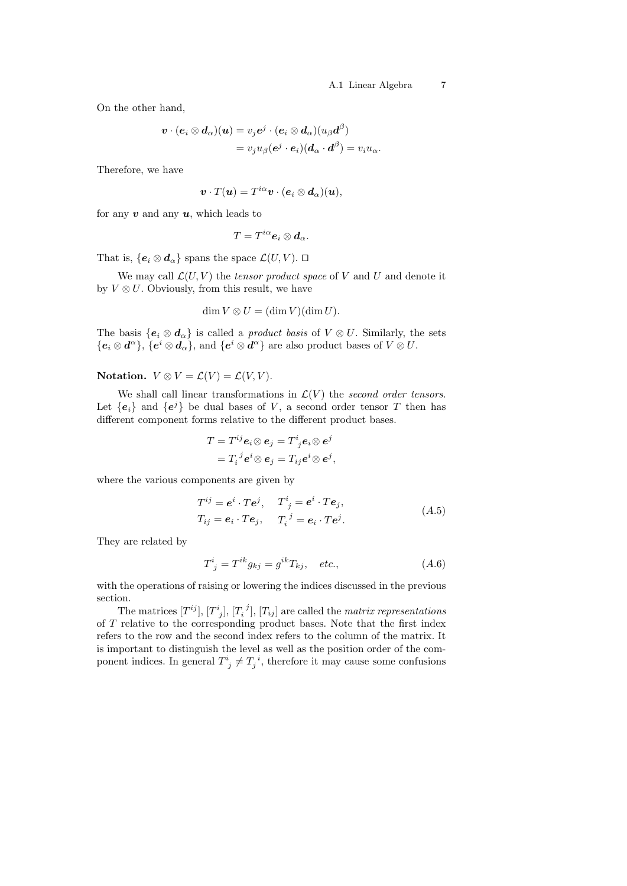On the other hand,

$$
\mathbf{v} \cdot (\mathbf{e}_i \otimes \mathbf{d}_\alpha)(\mathbf{u}) = v_j e^j \cdot (\mathbf{e}_i \otimes \mathbf{d}_\alpha)(u_\beta \mathbf{d}^\beta) = v_j u_\beta (e^j \cdot \mathbf{e}_i)(\mathbf{d}_\alpha \cdot \mathbf{d}^\beta) = v_i u_\alpha.
$$

Therefore, we have

$$
\boldsymbol{v}\cdot T(\boldsymbol{u})=T^{i\alpha}\boldsymbol{v}\cdot(\boldsymbol{e}_i\otimes\boldsymbol{d}_{\alpha})(\boldsymbol{u}),
$$

for any  $v$  and any  $u$ , which leads to

$$
T=T^{i\alpha}\mathbf{e}_i\otimes\mathbf{d}_\alpha.
$$

That is,  $\{e_i \otimes d_\alpha\}$  spans the space  $\mathcal{L}(U, V)$ .  $\Box$ 

We may call  $\mathcal{L}(U, V)$  the *tensor product space* of V and U and denote it by  $V \otimes U$ . Obviously, from this result, we have

$$
\dim V \otimes U = (\dim V)(\dim U).
$$

The basis  $\{e_i \otimes d_\alpha\}$  is called a *product basis* of  $V \otimes U$ . Similarly, the sets  ${e_i \otimes d^{\alpha}}, \, {\overline{\{e^i \otimes d_{\alpha}\}}, \, \text{and} \, \{e^i \otimes d^{\alpha}\}}$  are also product bases of  $V \otimes U$ .

# Notation.  $V \otimes V = \mathcal{L}(V) = \mathcal{L}(V, V)$ .

We shall call linear transformations in  $\mathcal{L}(V)$  the second order tensors. Let  ${e_i}$  and  ${e^j}$  be dual bases of V, a second order tensor T then has different component forms relative to the different product bases.

$$
T = T^{ij} e_i \otimes e_j = T^i{}_j e_i \otimes e^j
$$
  
= 
$$
T_i{}^j e^i \otimes e_j = T_{ij} e^i \otimes e^j,
$$

where the various components are given by

$$
T^{ij} = \mathbf{e}^i \cdot T\mathbf{e}^j, \quad T^i{}_j = \mathbf{e}^i \cdot T\mathbf{e}_j,
$$
  
\n
$$
T_{ij} = \mathbf{e}_i \cdot T\mathbf{e}_j, \quad T_i^j = \mathbf{e}_i \cdot T\mathbf{e}^j.
$$
  
\n(A.5)

They are related by

$$
T^i_{\ j} = T^{ik} g_{kj} = g^{ik} T_{kj}, \quad etc., \tag{A.6}
$$

with the operations of raising or lowering the indices discussed in the previous section.

The matrices  $[T^{ij}]$ ,  $[T_j^i]$ ,  $[T_i^j]$ ,  $[T_{ij}]$  are called the *matrix representations* of T relative to the corresponding product bases. Note that the first index refers to the row and the second index refers to the column of the matrix. It is important to distinguish the level as well as the position order of the component indices. In general  $T^i_{\;j} \neq T^{\;i}_{j}$ , therefore it may cause some confusions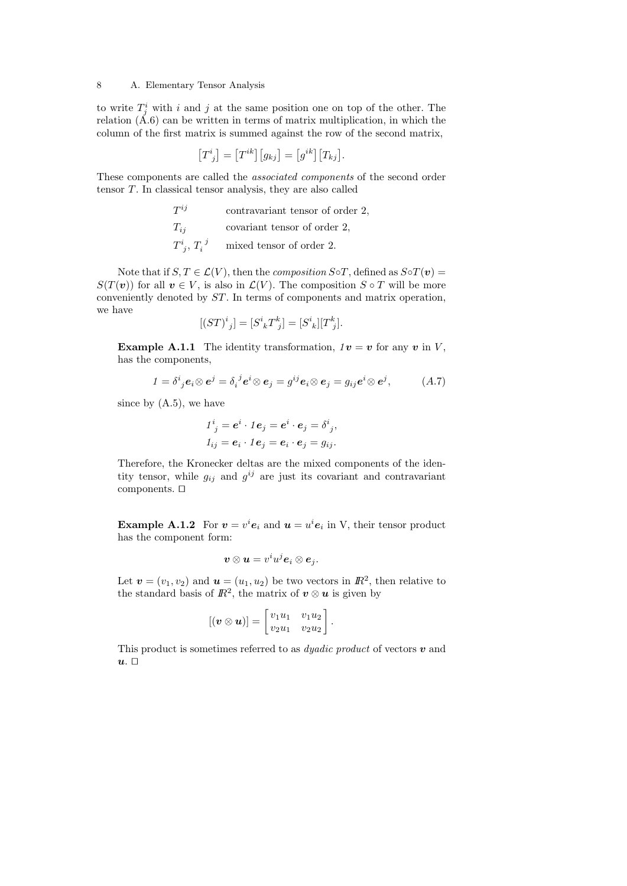to write  $T_j^i$  with i and j at the same position one on top of the other. The relation  $(A.6)$  can be written in terms of matrix multiplication, in which the column of the first matrix is summed against the row of the second matrix,

$$
[T^i{}_j] = [T^{ik}][g_{kj}] = [g^{ik}][T_{kj}].
$$

These components are called the associated components of the second order tensor T. In classical tensor analysis, they are also called

| $T^{ij}$ | contravariant tensor of order 2, |  |  |
|----------|----------------------------------|--|--|
|          |                                  |  |  |

 $T_{ij}$  covariant tensor of order 2,

$$
T^i_j
$$
,  $T_i^j$  mixed tensor of order 2.

Note that if  $S, T \in \mathcal{L}(V)$ , then the *composition*  $S \circ T$ , defined as  $S \circ T(v) =$  $S(T(v))$  for all  $v \in V$ , is also in  $\mathcal{L}(V)$ . The composition  $S \circ T$  will be more conveniently denoted by ST. In terms of components and matrix operation, we have

$$
[(ST)^i{}_j] = [S^i{}_k T^k{}_j] = [S^i{}_k] [T^k{}_j].
$$

**Example A.1.1** The identity transformation,  $1v = v$  for any v in V, has the components,

$$
1 = \delta^i{}_j \mathbf{e}_i \otimes \mathbf{e}^j = \delta_i{}^j \mathbf{e}^i \otimes \mathbf{e}_j = g^{ij} \mathbf{e}_i \otimes \mathbf{e}_j = g_{ij} \mathbf{e}^i \otimes \mathbf{e}^j, \tag{A.7}
$$

since by  $(A.5)$ , we have

$$
1^i{}_j = \mathbf{e}^i \cdot 1\mathbf{e}_j = \mathbf{e}^i \cdot \mathbf{e}_j = \delta^i{}_j,
$$
  
\n
$$
1_{ij} = \mathbf{e}_i \cdot 1\mathbf{e}_j = \mathbf{e}_i \cdot \mathbf{e}_j = g_{ij}.
$$

Therefore, the Kronecker deltas are the mixed components of the identity tensor, while  $g_{ij}$  and  $g^{ij}$  are just its covariant and contravariant components.  $\square$ 

**Example A.1.2** For  $v = v^i e_i$  and  $u = u^i e_i$  in V, their tensor product has the component form:

$$
\boldsymbol{v} \otimes \boldsymbol{u} = v^i u^j \boldsymbol{e}_i \otimes \boldsymbol{e}_j.
$$

Let  $\mathbf{v} = (v_1, v_2)$  and  $\mathbf{u} = (u_1, u_2)$  be two vectors in  $\mathbb{R}^2$ , then relative to the standard basis of  $\mathbb{R}^2$ , the matrix of  $v \otimes u$  is given by

$$
[(\boldsymbol{v} \otimes \boldsymbol{u})] = \begin{bmatrix} v_1u_1 & v_1u_2 \\ v_2u_1 & v_2u_2 \end{bmatrix}.
$$

This product is sometimes referred to as *dyadic product* of vectors  $\boldsymbol{v}$  and  $u.$   $\Box$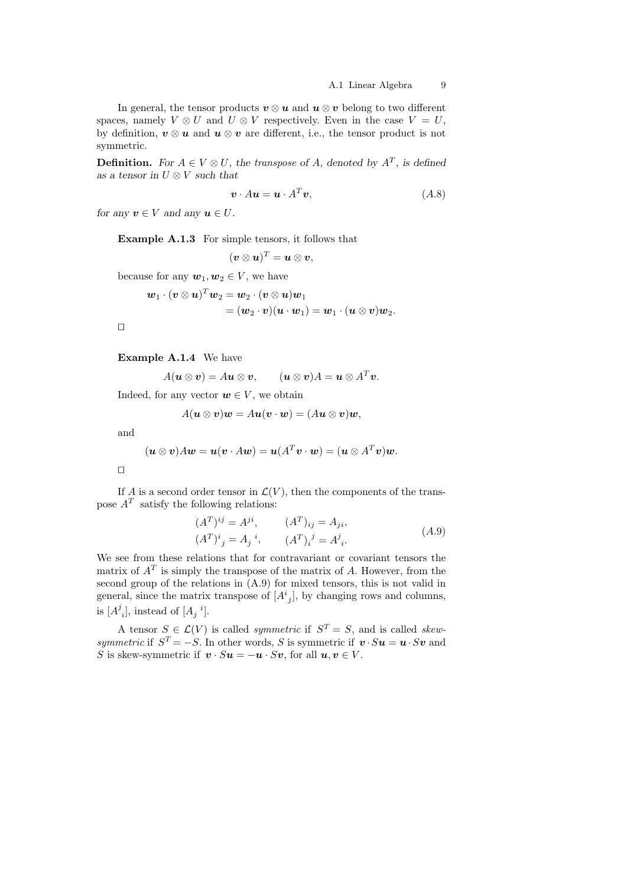In general, the tensor products  $v \otimes u$  and  $u \otimes v$  belong to two different spaces, namely  $V \otimes U$  and  $U \otimes V$  respectively. Even in the case  $V = U$ , by definition,  $v \otimes u$  and  $u \otimes v$  are different, i.e., the tensor product is not symmetric.

**Definition.** For  $A \in V \otimes U$ , the transpose of A, denoted by  $A<sup>T</sup>$ , is defined as a tensor in  $U \otimes V$  such that

$$
\mathbf{v} \cdot A\mathbf{u} = \mathbf{u} \cdot A^T \mathbf{v}, \tag{A.8}
$$

for any  $v \in V$  and any  $u \in U$ .

Example A.1.3 For simple tensors, it follows that

$$
(\boldsymbol{v}\otimes\boldsymbol{u})^T=\boldsymbol{u}\otimes\boldsymbol{v},
$$

because for any  $w_1, w_2 \in V$ , we have

$$
\begin{aligned} \boldsymbol{w}_1 \cdot (\boldsymbol{v} \otimes \boldsymbol{u})^T \boldsymbol{w}_2 &= \boldsymbol{w}_2 \cdot (\boldsymbol{v} \otimes \boldsymbol{u}) \boldsymbol{w}_1 \\ &= (\boldsymbol{w}_2 \cdot \boldsymbol{v}) (\boldsymbol{u} \cdot \boldsymbol{w}_1) = \boldsymbol{w}_1 \cdot (\boldsymbol{u} \otimes \boldsymbol{v}) \boldsymbol{w}_2. \end{aligned}
$$

 $\Box$ 

Example A.1.4 We have

$$
A(\mathbf{u}\otimes\mathbf{v})=A\mathbf{u}\otimes\mathbf{v},\qquad(\mathbf{u}\otimes\mathbf{v})A=\mathbf{u}\otimes A^T\mathbf{v}.
$$

Indeed, for any vector  $\mathbf{w} \in V$ , we obtain

$$
A(\boldsymbol{u}\otimes\boldsymbol{v})\boldsymbol{w}=A\boldsymbol{u}(\boldsymbol{v}\cdot\boldsymbol{w})=(A\boldsymbol{u}\otimes\boldsymbol{v})\boldsymbol{w},
$$

and

$$
(\mathbf{u}\otimes\mathbf{v})A\mathbf{w}=\mathbf{u}(\mathbf{v}\cdot A\mathbf{w})=\mathbf{u}(A^T\mathbf{v}\cdot\mathbf{w})=(\mathbf{u}\otimes A^T\mathbf{v})\mathbf{w}.
$$

 $\Box$ 

If A is a second order tensor in  $\mathcal{L}(V)$ , then the components of the transpose  $A<sup>T</sup>$  satisfy the following relations:

$$
(AT)ij = Aji, \t (AT)ij = Aji,(AT)ij = Aji, \t (AT)ij = Aji.
$$
\t (A.9)

We see from these relations that for contravariant or covariant tensors the matrix of  $A<sup>T</sup>$  is simply the transpose of the matrix of A. However, from the second group of the relations in (A.9) for mixed tensors, this is not valid in general, since the matrix transpose of  $[A^i_{j}]$ , by changing rows and columns, is  $[A^j_{i}]$ , instead of  $[A_j^{i}]$ .

A tensor  $S \in \mathcal{L}(V)$  is called *symmetric* if  $S^T = S$ , and is called *skew*symmetric if  $S^T = -S$ . In other words, S is symmetric if  $\mathbf{v} \cdot S \mathbf{u} = \mathbf{u} \cdot S \mathbf{v}$  and S is skew-symmetric if  $\mathbf{v} \cdot S \mathbf{u} = -\mathbf{u} \cdot S \mathbf{v}$ , for all  $\mathbf{u}, \mathbf{v} \in V$ .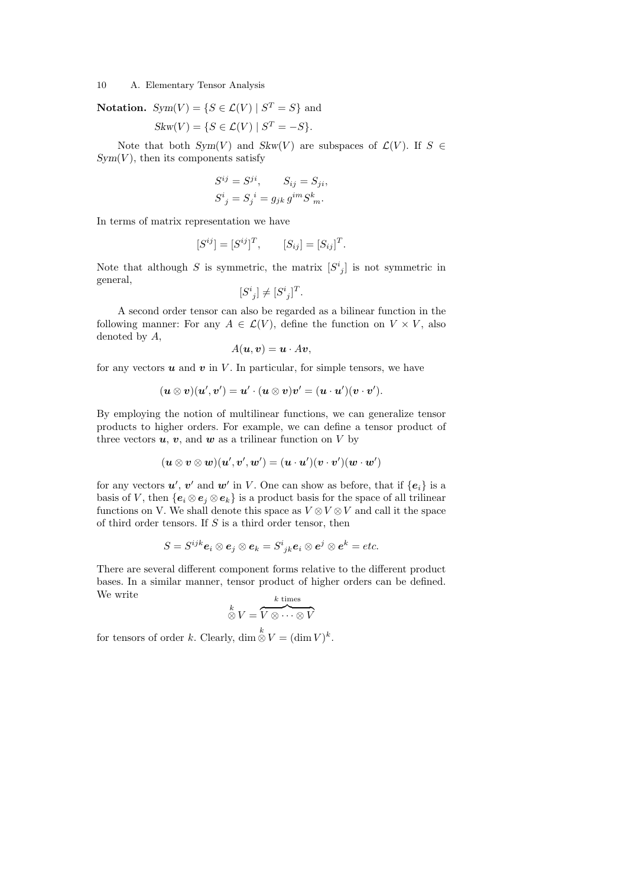**Notation.** 
$$
Sym(V) = \{ S \in \mathcal{L}(V) \mid S^T = S \}
$$
 and

$$
Skw(V) = \{ S \in \mathcal{L}(V) \mid S^T = -S \}.
$$

Note that both  $Sym(V)$  and  $Skw(V)$  are subspaces of  $\mathcal{L}(V)$ . If  $S \in$  $Sym(V)$ , then its components satisfy

$$
S^{ij} = S^{ji}, \qquad S_{ij} = S_{ji},
$$
  

$$
S^i_{\ j} = S_j^{\ i} = g_{jk} \, g^{im} S^k_{\ m}.
$$

In terms of matrix representation we have

$$
[S^{ij}] = [S^{ij}]^T, \qquad [S_{ij}] = [S_{ij}]^T.
$$

Note that although S is symmetric, the matrix  $[S^i_{j}]$  is not symmetric in general,

$$
[S^i_{\ j}]\neq [S^i_{\ j}]^T.
$$

A second order tensor can also be regarded as a bilinear function in the following manner: For any  $A \in \mathcal{L}(V)$ , define the function on  $V \times V$ , also denoted by A,

$$
A(\boldsymbol{u},\boldsymbol{v})=\boldsymbol{u}\cdot A\boldsymbol{v},
$$

for any vectors  $u$  and  $v$  in  $V$ . In particular, for simple tensors, we have

$$
(\boldsymbol{u}\otimes \boldsymbol{v})(\boldsymbol{u}',\boldsymbol{v}')=\boldsymbol{u}'\cdot(\boldsymbol{u}\otimes \boldsymbol{v})\boldsymbol{v}'=(\boldsymbol{u}\cdot \boldsymbol{u}')(\boldsymbol{v}\cdot \boldsymbol{v}').
$$

By employing the notion of multilinear functions, we can generalize tensor products to higher orders. For example, we can define a tensor product of three vectors  $u, v$ , and  $w$  as a trilinear function on V by

$$
(\boldsymbol{u}\otimes\boldsymbol{v}\otimes\boldsymbol{w})(\boldsymbol{u}',\boldsymbol{v}',\boldsymbol{w}')=(\boldsymbol{u}\cdot\boldsymbol{u}')(\boldsymbol{v}\cdot\boldsymbol{v}')(\boldsymbol{w}\cdot\boldsymbol{w}')
$$

for any vectors  $u'$ ,  $v'$  and  $w'$  in V. One can show as before, that if  ${e_i}$  is a basis of V, then  ${e_i \otimes e_i \otimes e_k}$  is a product basis for the space of all trilinear functions on V. We shall denote this space as  $V \otimes V \otimes V$  and call it the space of third order tensors. If  $S$  is a third order tensor, then

$$
S=S^{ijk}\bm{e}_i\otimes \bm{e}_j\otimes \bm{e}_k=S^i_{\phantom{i}jk}\bm{e}_i\otimes \bm{e}^j\otimes \bm{e}^k=etc.
$$

There are several different component forms relative to the different product bases. In a similar manner, tensor product of higher orders can be defined. We write

$$
\overset{k}{\otimes} V = \overset{k \text{ times}}{V \otimes \cdots \otimes V}
$$

for tensors of order k. Clearly,  $\dim \stackrel{k}{\otimes} V = (\dim V)^k$ .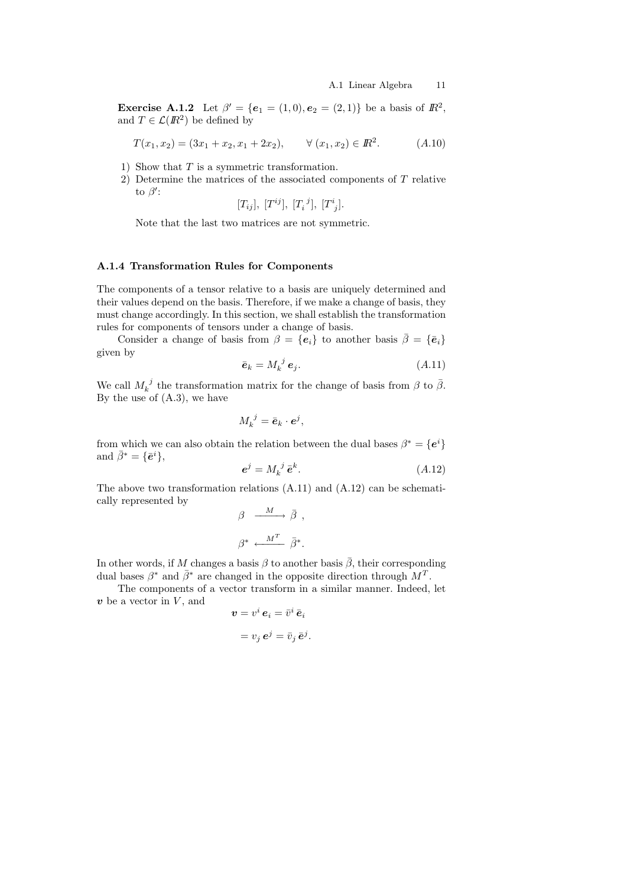**Exercise A.1.2** Let  $\beta' = \{e_1 = (1,0), e_2 = (2,1)\}\)$  be a basis of  $\mathbb{R}^2$ , and  $T \in \mathcal{L}(I\!\!R^2)$  be defined by

$$
T(x_1, x_2) = (3x_1 + x_2, x_1 + 2x_2), \qquad \forall (x_1, x_2) \in \mathbb{R}^2.
$$
 (A.10)

- 1) Show that  $T$  is a symmetric transformation.
- 2) Determine the matrices of the associated components of T relative to  $\beta'$ :

$$
[T_{ij}], [T^{ij}], [T_i^j], [T^i_j].
$$

Note that the last two matrices are not symmetric.

#### A.1.4 Transformation Rules for Components

The components of a tensor relative to a basis are uniquely determined and their values depend on the basis. Therefore, if we make a change of basis, they must change accordingly. In this section, we shall establish the transformation rules for components of tensors under a change of basis.

Consider a change of basis from  $\beta = {\lbrace e_i \rbrace}$  to another basis  $\overline{\beta} = {\lbrace \overline{e}_i \rbrace}$ given by

$$
\bar{\boldsymbol{e}}_k = M_k^{\ j} \, \boldsymbol{e}_j. \tag{A.11}
$$

We call  $M_k^{\ j}$  the transformation matrix for the change of basis from  $\beta$  to  $\bar{\beta}$ . By the use of (A.3), we have

$$
M_k^{\ j} = \bar{\boldsymbol{e}}_k \cdot \boldsymbol{e}^j,
$$

from which we can also obtain the relation between the dual bases  $\beta^* = \{e^i\}$ and  $\bar{\beta}^* = {\bar{e}^i}$ ,

$$
\mathbf{e}^j = M_k^{\ j} \,\bar{\mathbf{e}}^k. \tag{A.12}
$$

The above two transformation relations (A.11) and (A.12) can be schematically represented by

$$
\beta \xrightarrow{M} \bar{\beta} ,
$$
  

$$
\beta^* \xleftarrow{M^T} \bar{\beta}^*.
$$

In other words, if M changes a basis  $\beta$  to another basis  $\overline{\beta}$ , their corresponding dual bases  $\beta^*$  and  $\bar{\beta}^*$  are changed in the opposite direction through  $M^T$ .

The components of a vector transform in a similar manner. Indeed, let  $v$  be a vector in  $V$ , and

$$
\mathbf{v} = v^i \, \mathbf{e}_i = \bar{v}^i \, \bar{\mathbf{e}}_i
$$

$$
= v_j \, \mathbf{e}^j = \bar{v}_j \, \bar{\mathbf{e}}^j.
$$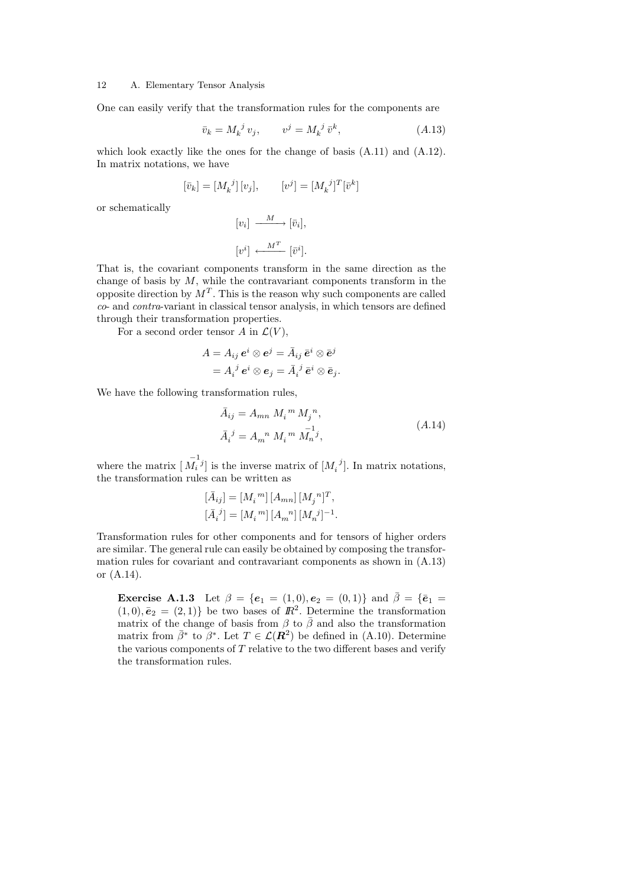One can easily verify that the transformation rules for the components are

$$
\bar{v}_k = M_k^{\ j} v_j, \qquad v^j = M_k^{\ j} \bar{v}^k,\tag{A.13}
$$

which look exactly like the ones for the change of basis (A.11) and (A.12). In matrix notations, we have

$$
[\bar{v}_k] = [M_k^{\ j}][v_j], \qquad [v^j] = [M_k^{\ j}]^T[\bar{v}^k]
$$

or schematically

$$
[v_i] \xrightarrow{M} [\bar{v}_i],
$$
  

$$
[v^i] \xleftarrow{M^T} [\bar{v}^i].
$$

That is, the covariant components transform in the same direction as the change of basis by  $M$ , while the contravariant components transform in the opposite direction by  $M<sup>T</sup>$ . This is the reason why such components are called co- and contra-variant in classical tensor analysis, in which tensors are defined through their transformation properties.

For a second order tensor A in  $\mathcal{L}(V)$ ,

$$
A = A_{ij} e^i \otimes e^j = \bar{A}_{ij} \, \bar{e}^i \otimes \bar{e}^j
$$

$$
= A_i{}^j e^i \otimes e_j = \bar{A}_i{}^j \, \bar{e}^i \otimes \bar{e}_j.
$$

We have the following transformation rules,

$$
\bar{A}_{ij} = A_{mn} M_i{}^m M_j{}^n,
$$
  
\n
$$
\bar{A}_i{}^j = A_m{}^n M_i{}^m M_n{}^j,
$$
\n(A.14)

where the matrix  $\begin{bmatrix} \overline{M}_i^{1j} \end{bmatrix}$  is the inverse matrix of  $\begin{bmatrix} M_i^{j} \end{bmatrix}$ . In matrix notations, the transformation rules can be written as

$$
\begin{split} [\bar{A}_{ij}] &= [M_i{}^m] \, [A_{mn}] \, [M_j{}^n]^T, \\ [\bar{A}_i{}^j] &= [M_i{}^m] \, [A_m{}^n] \, [M_n{}^j]^{-1}. \end{split}
$$

Transformation rules for other components and for tensors of higher orders are similar. The general rule can easily be obtained by composing the transformation rules for covariant and contravariant components as shown in (A.13) or (A.14).

**Exercise A.1.3** Let  $\beta = \{e_1 = (1,0), e_2 = (0,1)\}\$ and  $\bar{\beta} = \{\bar{e}_1 =$  $(1,0), \bar{e}_2 = (2,1)$  be two bases of  $\mathbb{R}^2$ . Determine the transformation matrix of the change of basis from  $\beta$  to  $\bar{\beta}$  and also the transformation matrix from  $\bar{\beta}^*$  to  $\bar{\beta}^*$ . Let  $T \in \mathcal{L}(\mathbb{R}^2)$  be defined in (A.10). Determine the various components of  $T$  relative to the two different bases and verify the transformation rules.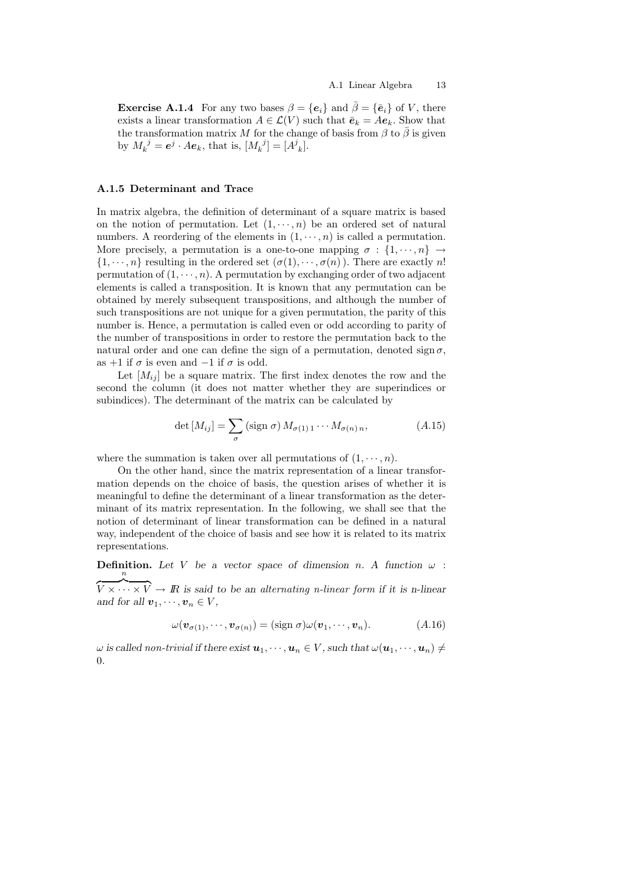**Exercise A.1.4** For any two bases  $\beta = {\bf{e}}_i$  and  $\overline{\beta} = {\bf{\bar{e}}}_i$  of V, there exists a linear transformation  $A \in \mathcal{L}(V)$  such that  $\bar{e}_k = Ae_k$ . Show that the transformation matrix M for the change of basis from  $\beta$  to  $\overline{\beta}$  is given by  $M_k^{\ j} = e^j \cdot A e_k$ , that is,  $[M_k^{\ j}] = [A^j_k]$ .

# A.1.5 Determinant and Trace

In matrix algebra, the definition of determinant of a square matrix is based on the notion of permutation. Let  $(1, \dots, n)$  be an ordered set of natural numbers. A reordering of the elements in  $(1, \dots, n)$  is called a permutation. More precisely, a permutation is a one-to-one mapping  $\sigma : \{1, \dots, n\} \rightarrow$  $\{1, \dots, n\}$  resulting in the ordered set  $(\sigma(1), \dots, \sigma(n))$ . There are exactly n! permutation of  $(1, \dots, n)$ . A permutation by exchanging order of two adjacent elements is called a transposition. It is known that any permutation can be obtained by merely subsequent transpositions, and although the number of such transpositions are not unique for a given permutation, the parity of this number is. Hence, a permutation is called even or odd according to parity of the number of transpositions in order to restore the permutation back to the natural order and one can define the sign of a permutation, denoted sign  $\sigma$ , as +1 if  $\sigma$  is even and -1 if  $\sigma$  is odd.

Let  $[M_{ij}]$  be a square matrix. The first index denotes the row and the second the column (it does not matter whether they are superindices or subindices). The determinant of the matrix can be calculated by

$$
\det\left[M_{ij}\right] = \sum_{\sigma} \left(\text{sign }\sigma\right) M_{\sigma(1) 1} \cdots M_{\sigma(n) n},\tag{A.15}
$$

where the summation is taken over all permutations of  $(1, \dots, n)$ .

On the other hand, since the matrix representation of a linear transformation depends on the choice of basis, the question arises of whether it is meaningful to define the determinant of a linear transformation as the determinant of its matrix representation. In the following, we shall see that the notion of determinant of linear transformation can be defined in a natural way, independent of the choice of basis and see how it is related to its matrix representations.

**Definition.** Let V be a vector space of dimension n. A function  $\omega$ :  $\overline{V \times \cdots \times V} \to \mathbb{R}$  is said to be an alternating n-linear form if it is n-linear and for all  $\mathbf{v}_1, \dots, \mathbf{v}_n \in V$ ,

$$
\omega(\boldsymbol{v}_{\sigma(1)},\cdots,\boldsymbol{v}_{\sigma(n)}) = (\text{sign }\sigma)\omega(\boldsymbol{v}_1,\cdots,\boldsymbol{v}_n). \hspace{1cm} (A.16)
$$

 $\omega$  is called non-trivial if there exist  $u_1, \dots, u_n \in V$ , such that  $\omega(u_1, \dots, u_n) \neq$ 0.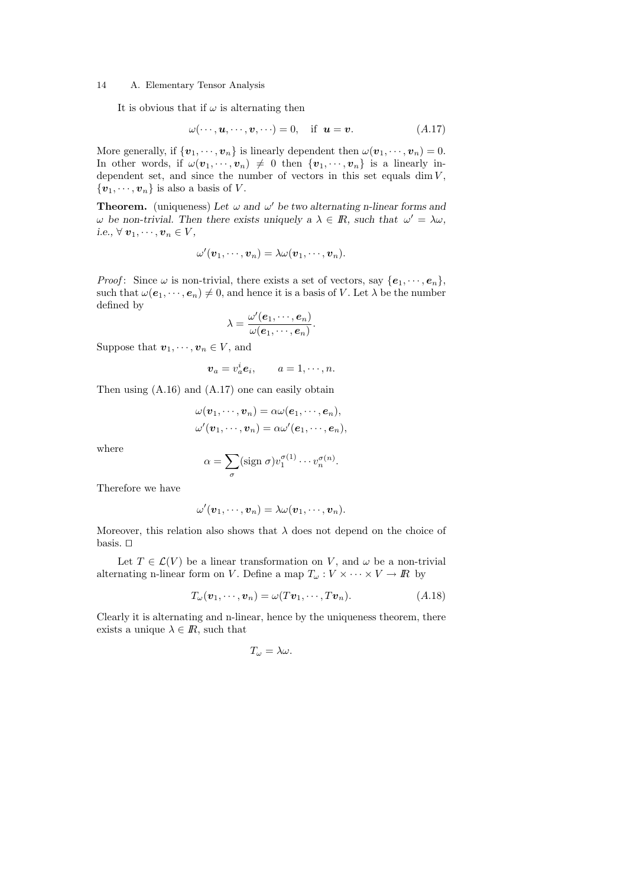It is obvious that if  $\omega$  is alternating then

$$
\omega(\cdots, \mathbf{u}, \cdots, \mathbf{v}, \cdots) = 0, \quad \text{if} \quad \mathbf{u} = \mathbf{v}. \tag{A.17}
$$

More generally, if  $\{v_1, \dots, v_n\}$  is linearly dependent then  $\omega(v_1, \dots, v_n) = 0$ . In other words, if  $\omega(v_1,\dots,v_n) \neq 0$  then  $\{v_1,\dots,v_n\}$  is a linearly independent set, and since the number of vectors in this set equals dim  $V$ ,  $\{\boldsymbol{v}_1,\cdots,\boldsymbol{v}_n\}$  is also a basis of V.

**Theorem.** (uniqueness) Let  $\omega$  and  $\omega'$  be two alternating n-linear forms and  $\omega$  be non-trivial. Then there exists uniquely a  $\lambda \in \mathbb{R}$ , such that  $\omega' = \lambda \omega$ , i.e.,  $\forall v_1, \dots, v_n \in V$ ,

$$
\omega'(\boldsymbol{v}_1,\cdots,\boldsymbol{v}_n)=\lambda\omega(\boldsymbol{v}_1,\cdots,\boldsymbol{v}_n).
$$

*Proof*: Since  $\omega$  is non-trivial, there exists a set of vectors, say  $\{e_1, \dots, e_n\}$ , such that  $\omega(e_1, \dots, e_n) \neq 0$ , and hence it is a basis of V. Let  $\lambda$  be the number defined by

$$
\lambda=\frac{\omega'(\boldsymbol{e}_1,\cdots,\boldsymbol{e}_n)}{\omega(\boldsymbol{e}_1,\cdots,\boldsymbol{e}_n)}.
$$

Suppose that  $\boldsymbol{v}_1, \dots, \boldsymbol{v}_n \in V$ , and

$$
\boldsymbol{v}_a = v_a^i \boldsymbol{e}_i, \qquad a = 1, \cdots, n.
$$

Then using (A.16) and (A.17) one can easily obtain

$$
\omega(\boldsymbol{v}_1,\cdots,\boldsymbol{v}_n)=\alpha\omega(\boldsymbol{e}_1,\cdots,\boldsymbol{e}_n),\\ \omega'(\boldsymbol{v}_1,\cdots,\boldsymbol{v}_n)=\alpha\omega'(\boldsymbol{e}_1,\cdots,\boldsymbol{e}_n),
$$

where

$$
\alpha = \sum_{\sigma} (\text{sign } \sigma) v_1^{\sigma(1)} \cdots v_n^{\sigma(n)}.
$$

Therefore we have

$$
\omega'(\boldsymbol{v}_1,\cdots,\boldsymbol{v}_n)=\lambda\omega(\boldsymbol{v}_1,\cdots,\boldsymbol{v}_n).
$$

Moreover, this relation also shows that  $\lambda$  does not depend on the choice of basis.  $\Box$ 

Let  $T \in \mathcal{L}(V)$  be a linear transformation on V, and  $\omega$  be a non-trivial alternating n-linear form on V. Define a map  $T_{\omega}: V \times \cdots \times V \to \mathbb{R}$  by

$$
T_{\omega}(\boldsymbol{v}_1,\cdots,\boldsymbol{v}_n)=\omega(T\boldsymbol{v}_1,\cdots,T\boldsymbol{v}_n). \hspace{1cm} (A.18)
$$

Clearly it is alternating and n-linear, hence by the uniqueness theorem, there exists a unique  $\lambda \in \mathbb{R}$ , such that

$$
T_{\omega}=\lambda\omega.
$$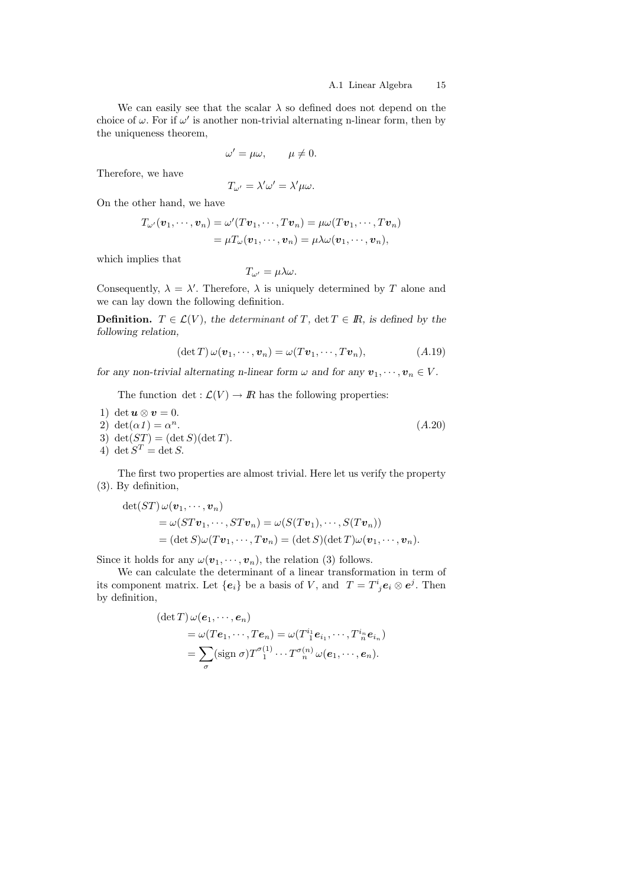We can easily see that the scalar  $\lambda$  so defined does not depend on the choice of  $\omega$ . For if  $\omega'$  is another non-trivial alternating n-linear form, then by the uniqueness theorem,

$$
\omega' = \mu \omega, \qquad \mu \neq 0.
$$

Therefore, we have

$$
T_{\omega'} = \lambda' \omega' = \lambda' \mu \omega.
$$

On the other hand, we have

$$
T_{\omega'}(\boldsymbol{v}_1,\dots,\boldsymbol{v}_n)=\omega'(T\boldsymbol{v}_1,\dots,T\boldsymbol{v}_n)=\mu\omega(T\boldsymbol{v}_1,\dots,T\boldsymbol{v}_n)
$$
  
=  $\mu T_{\omega}(\boldsymbol{v}_1,\dots,\boldsymbol{v}_n)=\mu\lambda\omega(\boldsymbol{v}_1,\dots,\boldsymbol{v}_n),$ 

which implies that

$$
T_{\omega'}=\mu\lambda\omega.
$$

Consequently,  $\lambda = \lambda'$ . Therefore,  $\lambda$  is uniquely determined by T alone and we can lay down the following definition.

**Definition.**  $T \in \mathcal{L}(V)$ , the determinant of T, det  $T \in \mathbb{R}$ , is defined by the following relation,

$$
(\det T)\,\omega(\mathbf{v}_1,\cdots,\mathbf{v}_n)=\omega(T\mathbf{v}_1,\cdots,T\mathbf{v}_n),\qquad\qquad(A.19)
$$

for any non-trivial alternating n-linear form  $\omega$  and for any  $v_1, \dots, v_n \in V$ .

The function det :  $\mathcal{L}(V) \to \mathbb{R}$  has the following properties:

1) det  $u \otimes v = 0$ . 2) det( $\alpha$ 1) =  $\alpha^n$ .  $(A.20)$ 3) det( $ST$ ) = (det S)(det T). 4) det  $S^T = \det S$ .

The first two properties are almost trivial. Here let us verify the property (3). By definition,

$$
\det(ST) \omega(\mathbf{v}_1, \cdots, \mathbf{v}_n)
$$
  
=  $\omega(ST\mathbf{v}_1, \cdots, ST\mathbf{v}_n) = \omega(S(T\mathbf{v}_1), \cdots, S(T\mathbf{v}_n))$   
=  $(\det S)\omega(T\mathbf{v}_1, \cdots, T\mathbf{v}_n) = (\det S)(\det T)\omega(\mathbf{v}_1, \cdots, \mathbf{v}_n).$ 

Since it holds for any  $\omega(\boldsymbol{v}_1,\cdots,\boldsymbol{v}_n)$ , the relation (3) follows.

We can calculate the determinant of a linear transformation in term of its component matrix. Let  ${e_i}$  be a basis of V, and  $T = T^i_{\;j} e_i \otimes e^j$ . Then by definition,

$$
(\det T) \omega(e_1, \dots, e_n)
$$
  
=  $\omega(Te_1, \dots, Te_n) = \omega(T_{1}^{i_1}e_{i_1}, \dots, T_{n}^{i_n}e_{i_n})$   
=  $\sum_{\sigma} (\text{sign } \sigma) T_{1}^{\sigma(1)} \dots T_{n}^{\sigma(n)} \omega(e_1, \dots, e_n).$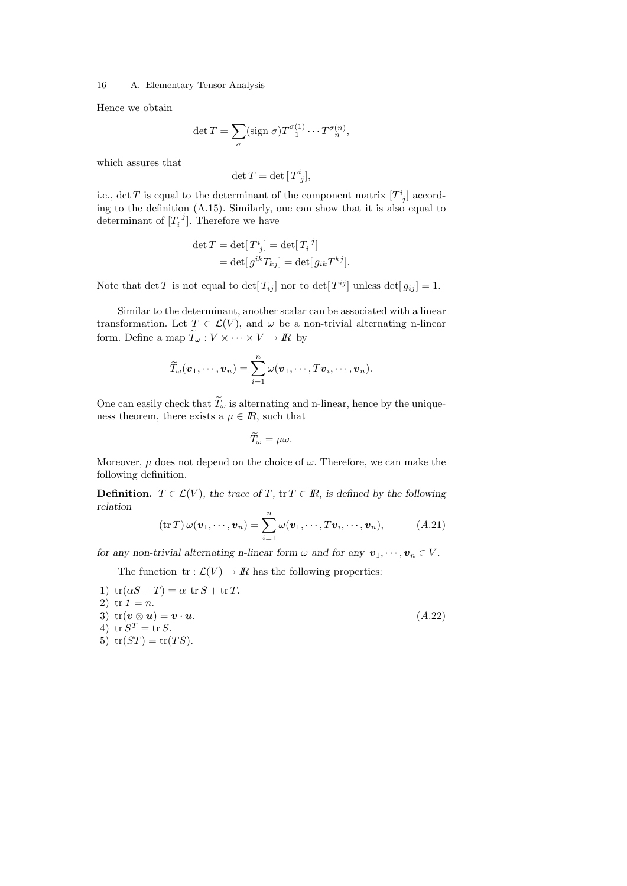Hence we obtain

$$
\det T = \sum_{\sigma} (\text{sign } \sigma) T_{1}^{\sigma(1)} \cdots T_{n}^{\sigma(n)},
$$

which assures that

$$
\det T = \det [T^i_{\ j}],
$$

i.e., det T is equal to the determinant of the component matrix  $[T<sup>i</sup><sub>j</sub>]$  according to the definition (A.15). Similarly, one can show that it is also equal to determinant of  $[T_i^j]$ . Therefore we have

$$
\det T = \det[T^i_{\ j}] = \det[T_i^{\ j}]
$$
  
= 
$$
\det[g^{ik}T_{kj}] = \det[g_{ik}T^{kj}].
$$

Note that  $\det T$  is not equal to  $\det[T_{ij}]$  nor to  $\det[T^{ij}]$  unless  $\det[g_{ij}] = 1$ .

Similar to the determinant, another scalar can be associated with a linear transformation. Let  $T \in \mathcal{L}(V)$ , and  $\omega$  be a non-trivial alternating n-linear form. Define a map  $\widetilde{T}_{\omega}: V \times \cdots \times V \to I\!\!R$  by

$$
\widetilde{T}_{\omega}(\boldsymbol{v}_1,\cdots,\boldsymbol{v}_n)=\sum_{i=1}^n \omega(\boldsymbol{v}_1,\cdots,T\boldsymbol{v}_i,\cdots,\boldsymbol{v}_n).
$$

One can easily check that  $\widetilde{T}_\omega$  is alternating and n-linear, hence by the uniqueness theorem, there exists a  $\mu \in \mathbb{R}$ , such that

$$
\widetilde{T}_{\omega}=\mu\omega.
$$

Moreover,  $\mu$  does not depend on the choice of  $\omega$ . Therefore, we can make the following definition.

**Definition.**  $T \in \mathcal{L}(V)$ , the trace of T, tr  $T \in \mathbb{R}$ , is defined by the following relation

$$
(\operatorname{tr} T) \omega(\boldsymbol{v}_1, \cdots, \boldsymbol{v}_n) = \sum_{i=1}^n \omega(\boldsymbol{v}_1, \cdots, T\boldsymbol{v}_i, \cdots, \boldsymbol{v}_n), \qquad (A.21)
$$

for any non-trivial alternating n-linear form  $\omega$  and for any  $\mathbf{v}_1, \dots, \mathbf{v}_n \in V$ .

The function  $\text{tr} : \mathcal{L}(V) \to \mathbb{R}$  has the following properties:

1)  $tr(\alpha S + T) = \alpha tr S + tr T$ . 2) tr  $1 = n$ . 3)  $tr(\boldsymbol{v} \otimes \boldsymbol{u}) = \boldsymbol{v} \cdot \boldsymbol{u}.$  (A.22) 4)  $\operatorname{tr} S^T = \operatorname{tr} S$ . 5)  $tr(ST) = tr(TS)$ .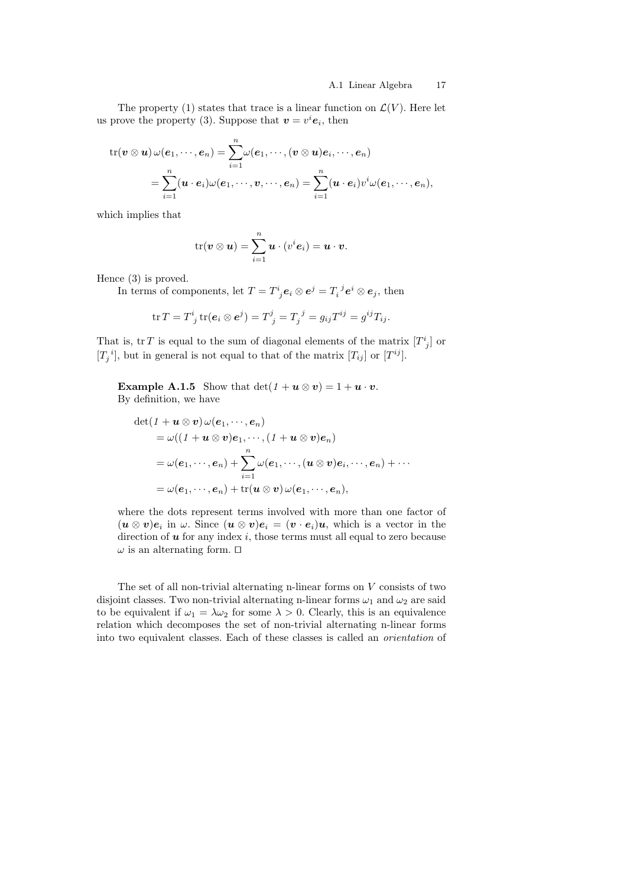The property (1) states that trace is a linear function on  $\mathcal{L}(V)$ . Here let us prove the property (3). Suppose that  $\mathbf{v} = v^i \mathbf{e}_i$ , then

$$
\begin{aligned} \text{tr}(\pmb{v} \otimes \pmb{u}) \, \omega(\pmb{e}_1, \cdots, \pmb{e}_n) & = \sum_{i=1}^n \omega(\pmb{e}_1, \cdots, (\pmb{v} \otimes \pmb{u}) \pmb{e}_i, \cdots, \pmb{e}_n) \\ & = \sum_{i=1}^n (\pmb{u} \cdot \pmb{e}_i) \omega(\pmb{e}_1, \cdots, \pmb{v}, \cdots, \pmb{e}_n) = \sum_{i=1}^n (\pmb{u} \cdot \pmb{e}_i) v^i \omega(\pmb{e}_1, \cdots, \pmb{e}_n), \end{aligned}
$$

which implies that

$$
\mathrm{tr}(\boldsymbol{v} \otimes \boldsymbol{u}) = \sum_{i=1}^n \boldsymbol{u} \cdot (v^i \boldsymbol{e}_i) = \boldsymbol{u} \cdot \boldsymbol{v}.
$$

Hence (3) is proved.

In terms of components, let  $T = T^i_{\;j} \mathbf{e}_i \otimes \mathbf{e}^j = T_i^{\;j} \mathbf{e}^i \otimes \mathbf{e}_j$ , then

$$
\operatorname{tr} T = T^i_{\ j} \operatorname{tr} (\mathbf{e}_i \otimes \mathbf{e}^j) = T^j_{\ j} = T_j^{\ j} = g_{ij} T^{ij} = g^{ij} T_{ij}.
$$

That is, tr T is equal to the sum of diagonal elements of the matrix  $[T^i_{\ j}]$  or  $[T_j^i]$ , but in general is not equal to that of the matrix  $[T_{ij}]$  or  $[T^{ij}]$ .

**Example A.1.5** Show that  $\det(1 + u \otimes v) = 1 + u \cdot v$ . By definition, we have

$$
\begin{aligned} \det(1+\boldsymbol{u}\otimes\boldsymbol{v})\,\omega(\boldsymbol{e}_1,\cdots,\boldsymbol{e}_n) \\ & = \omega((1+\boldsymbol{u}\otimes\boldsymbol{v})\boldsymbol{e}_1,\cdots,(1+\boldsymbol{u}\otimes\boldsymbol{v})\boldsymbol{e}_n) \\ & = \omega(\boldsymbol{e}_1,\cdots,\boldsymbol{e}_n) + \sum_{i=1}^n \omega(\boldsymbol{e}_1,\cdots,(\boldsymbol{u}\otimes\boldsymbol{v})\boldsymbol{e}_i,\cdots,\boldsymbol{e}_n) + \cdots \\ & = \omega(\boldsymbol{e}_1,\cdots,\boldsymbol{e}_n) + \mathrm{tr}(\boldsymbol{u}\otimes\boldsymbol{v})\,\omega(\boldsymbol{e}_1,\cdots,\boldsymbol{e}_n), \end{aligned}
$$

where the dots represent terms involved with more than one factor of  $(\mathbf{u} \otimes \mathbf{v})\mathbf{e}_i$  in  $\omega$ . Since  $(\mathbf{u} \otimes \mathbf{v})\mathbf{e}_i = (\mathbf{v} \cdot \mathbf{e}_i)\mathbf{u}$ , which is a vector in the direction of  $u$  for any index i, those terms must all equal to zero because  $\omega$  is an alternating form.  $\Box$ 

The set of all non-trivial alternating n-linear forms on V consists of two disjoint classes. Two non-trivial alternating n-linear forms  $\omega_1$  and  $\omega_2$  are said to be equivalent if  $\omega_1 = \lambda \omega_2$  for some  $\lambda > 0$ . Clearly, this is an equivalence relation which decomposes the set of non-trivial alternating n-linear forms into two equivalent classes. Each of these classes is called an orientation of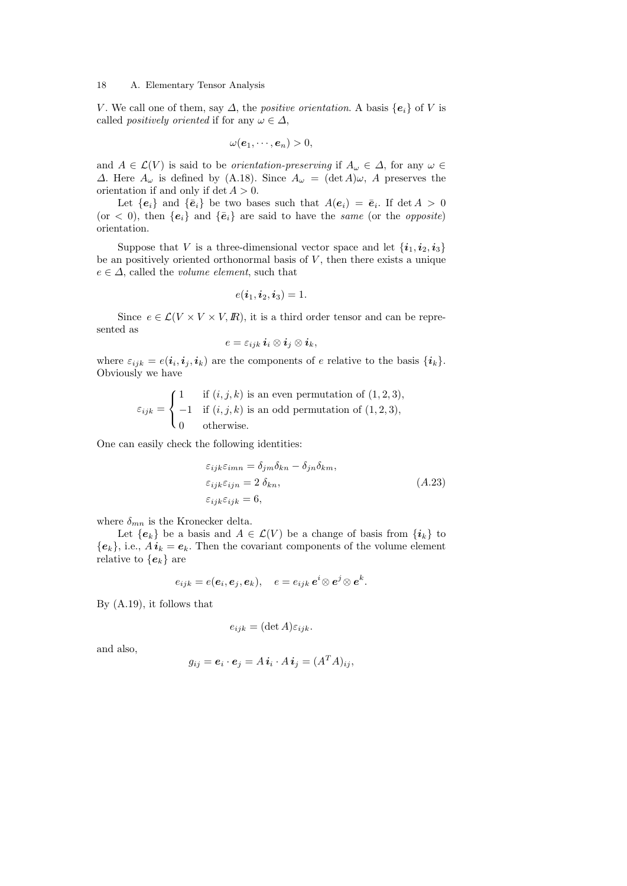V. We call one of them, say  $\Delta$ , the *positive orientation*. A basis  $\{e_i\}$  of V is called *positively oriented* if for any  $\omega \in \Delta$ ,

$$
\omega(\boldsymbol{e}_1,\cdots,\boldsymbol{e}_n)>0,
$$

and  $A \in \mathcal{L}(V)$  is said to be *orientation-preserving* if  $A_\omega \in \Delta$ , for any  $\omega \in$  $\Delta$ . Here  $A_{\omega}$  is defined by (A.18). Since  $A_{\omega} = (\det A) \omega$ , A preserves the orientation if and only if det  $A > 0$ .

Let  ${e_i}$  and  ${\bar{e}_i}$  be two bases such that  $A(e_i) = \bar{e}_i$ . If  $\det A > 0$ (or  $\langle 0 \rangle$ , then  $\{e_i\}$  and  $\{\bar{e}_i\}$  are said to have the same (or the *opposite*) orientation.

Suppose that V is a three-dimensional vector space and let  $\{i_1, i_2, i_3\}$ be an positively oriented orthonormal basis of  $V$ , then there exists a unique  $e \in \Delta$ , called the *volume element*, such that

$$
e(\boldsymbol{i}_1,\boldsymbol{i}_2,\boldsymbol{i}_3)=1.
$$

Since  $e \in \mathcal{L}(V \times V \times V, \mathbb{R})$ , it is a third order tensor and can be represented as

$$
e=\varepsilon_{ijk}\,\boldsymbol{i}_i\otimes \boldsymbol{i}_j\otimes \boldsymbol{i}_k,
$$

where  $\varepsilon_{ijk} = e(i_i, i_j, i_k)$  are the components of e relative to the basis  $\{i_k\}$ . Obviously we have

$$
\varepsilon_{ijk} = \begin{cases}\n1 & \text{if } (i,j,k) \text{ is an even permutation of } (1,2,3), \\
-1 & \text{if } (i,j,k) \text{ is an odd permutation of } (1,2,3), \\
0 & \text{otherwise.} \n\end{cases}
$$

One can easily check the following identities:

$$
\varepsilon_{ijk}\varepsilon_{imn} = \delta_{jm}\delta_{kn} - \delta_{jn}\delta_{km},
$$
  
\n
$$
\varepsilon_{ijk}\varepsilon_{ijn} = 2 \delta_{kn},
$$
  
\n
$$
\varepsilon_{ijk}\varepsilon_{ijk} = 6,
$$
  
\n(A.23)

where  $\delta_{mn}$  is the Kronecker delta.

Let  ${e_k}$  be a basis and  $A \in \mathcal{L}(V)$  be a change of basis from  $\{i_k\}$  to  ${e_k}$ , i.e.,  $A\boldsymbol{i}_k = \boldsymbol{e}_k$ . Then the covariant components of the volume element relative to  $\{e_k\}$  are

$$
e_{ijk}=e(\boldsymbol{e}_i,\boldsymbol{e}_j,\boldsymbol{e}_k),\quad e=e_{ijk}\,\boldsymbol{e}^i\!\otimes\boldsymbol{e}^j\!\otimes\boldsymbol{e}^k.
$$

By (A.19), it follows that

$$
e_{ijk} = (\det A)\varepsilon_{ijk}.
$$

and also,

$$
g_{ij} = \boldsymbol{e}_i \cdot \boldsymbol{e}_j = A \, \boldsymbol{i}_i \cdot A \, \boldsymbol{i}_j = (A^T A)_{ij},
$$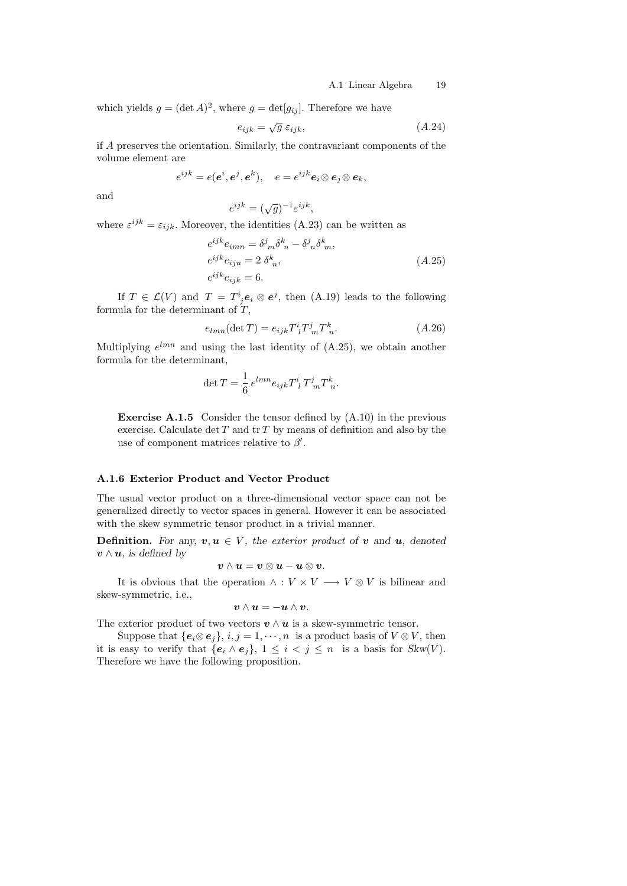which yields  $g = (\det A)^2$ , where  $g = \det[g_{ij}]$ . Therefore we have

$$
e_{ijk} = \sqrt{g} \; \varepsilon_{ijk}, \tag{A.24}
$$

if A preserves the orientation. Similarly, the contravariant components of the volume element are

$$
e^{ijk} = e(e^i, e^j, e^k), \quad e = e^{ijk} e_i \otimes e_j \otimes e_k,
$$

and

$$
e^{ijk} = (\sqrt{g})^{-1} \varepsilon^{ijk},
$$

where  $\varepsilon^{ijk} = \varepsilon_{ijk}$ . Moreover, the identities (A.23) can be written as

$$
e^{ijk}e_{imn} = \delta^{j}_{m}\delta^{k}_{n} - \delta^{j}_{n}\delta^{k}_{m},
$$
  
\n
$$
e^{ijk}e_{ijn} = 2 \delta^{k}_{n},
$$
  
\n
$$
e^{ijk}e_{ijk} = 6.
$$
  
\n
$$
(A.25)
$$

If  $T \in \mathcal{L}(V)$  and  $T = T^i_{\;j} e_i \otimes e^j$ , then (A.19) leads to the following formula for the determinant of  $T$ ,

$$
e_{lmn}(\det T) = e_{ijk}T^i_{\ l}T^j_{\ m}T^k_{\ n}.\tag{A.26}
$$

Multiplying  $e^{lmn}$  and using the last identity of (A.25), we obtain another formula for the determinant,

$$
\det T = \frac{1}{6} e^{lmn} e_{ijk} T^i_{\ l} T^j_{\ m} T^k_{\ n}.
$$

Exercise A.1.5 Consider the tensor defined by (A.10) in the previous exercise. Calculate  $\det T$  and  $\operatorname{tr} T$  by means of definition and also by the use of component matrices relative to  $\beta'$ .

# A.1.6 Exterior Product and Vector Product

The usual vector product on a three-dimensional vector space can not be generalized directly to vector spaces in general. However it can be associated with the skew symmetric tensor product in a trivial manner.

**Definition.** For any,  $v, u \in V$ , the exterior product of v and u, denoted  $v \wedge u$ , is defined by

$$
\boldsymbol{v}\wedge\boldsymbol{u}=\boldsymbol{v}\otimes\boldsymbol{u}-\boldsymbol{u}\otimes\boldsymbol{v}.
$$

It is obvious that the operation  $\wedge : V \times V \longrightarrow V \otimes V$  is bilinear and skew-symmetric, i.e.,

$$
\boldsymbol{v}\wedge\boldsymbol{u}=-\boldsymbol{u}\wedge\boldsymbol{v}.
$$

The exterior product of two vectors  $v \wedge u$  is a skew-symmetric tensor.

Suppose that  $\{e_i \otimes e_j\}, i, j = 1, \dots, n$  is a product basis of  $V \otimes V$ , then it is easy to verify that  $\{e_i \wedge e_j\}$ ,  $1 \leq i < j \leq n$  is a basis for  $Skw(V)$ . Therefore we have the following proposition.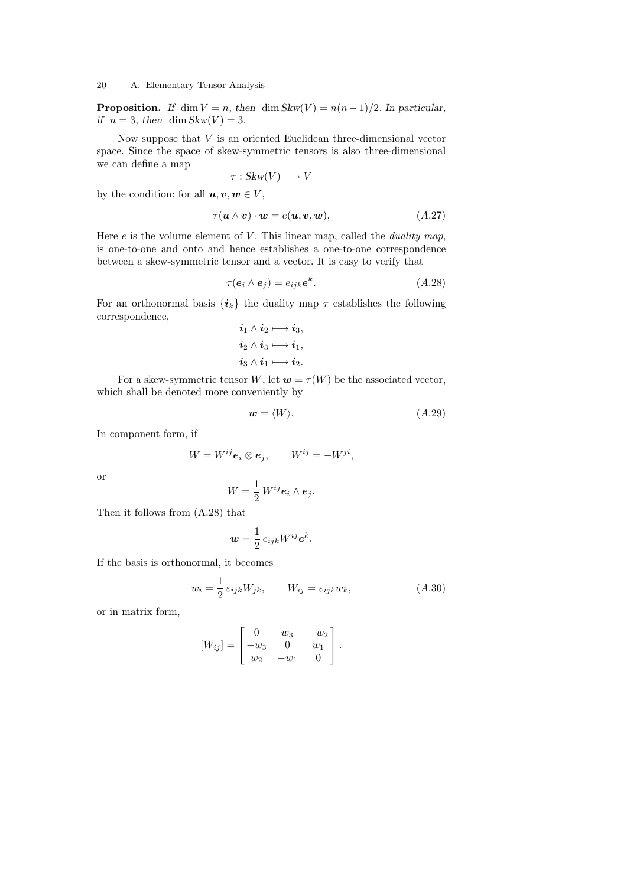**Proposition.** If dim  $V = n$ , then dim Skw(V) =  $n(n-1)/2$ . In particular, if  $n = 3$ , then dim Skw(V) = 3.

Now suppose that  $V$  is an oriented Euclidean three-dimensional vector space. Since the space of skew-symmetric tensors is also three-dimensional we can define a map

$$
\tau: Skw(V) \longrightarrow V
$$

by the condition: for all  $u, v, w \in V$ ,

$$
\tau(\mathbf{u} \wedge \mathbf{v}) \cdot \mathbf{w} = e(\mathbf{u}, \mathbf{v}, \mathbf{w}), \tag{A.27}
$$

Here  $e$  is the volume element of  $V$ . This linear map, called the *duality map*, is one-to-one and onto and hence establishes a one-to-one correspondence between a skew-symmetric tensor and a vector. It is easy to verify that

$$
\tau(\mathbf{e}_i \wedge \mathbf{e}_j) = e_{ijk} \mathbf{e}^k. \tag{A.28}
$$

For an orthonormal basis  $\{i_k\}$  the duality map  $\tau$  establishes the following correspondence,

$$
\begin{aligned}\n\boldsymbol{i}_1 \wedge \boldsymbol{i}_2 &\longmapsto \boldsymbol{i}_3, \\
\boldsymbol{i}_2 \wedge \boldsymbol{i}_3 &\longmapsto \boldsymbol{i}_1, \\
\boldsymbol{i}_3 \wedge \boldsymbol{i}_1 &\longmapsto \boldsymbol{i}_2.\n\end{aligned}
$$

For a skew-symmetric tensor W, let  $w = \tau(W)$  be the associated vector, which shall be denoted more conveniently by

$$
\mathbf{w} = \langle W \rangle. \tag{A.29}
$$

In component form, if

$$
W = W^{ij} \mathbf{e}_i \otimes \mathbf{e}_j, \qquad W^{ij} = -W^{ji},
$$

or

$$
W=\frac{1}{2}W^{ij}\mathbf{e}_i\wedge\mathbf{e}_j.
$$

Then it follows from (A.28) that

$$
\mathbf{w} = \frac{1}{2} e_{ijk} W^{ij} \mathbf{e}^k.
$$

If the basis is orthonormal, it becomes

$$
w_i = \frac{1}{2} \varepsilon_{ijk} W_{jk}, \qquad W_{ij} = \varepsilon_{ijk} w_k,
$$
\n
$$
(A.30)
$$

or in matrix form,

$$
[W_{ij}] = \begin{bmatrix} 0 & w_3 & -w_2 \\ -w_3 & 0 & w_1 \\ w_2 & -w_1 & 0 \end{bmatrix}.
$$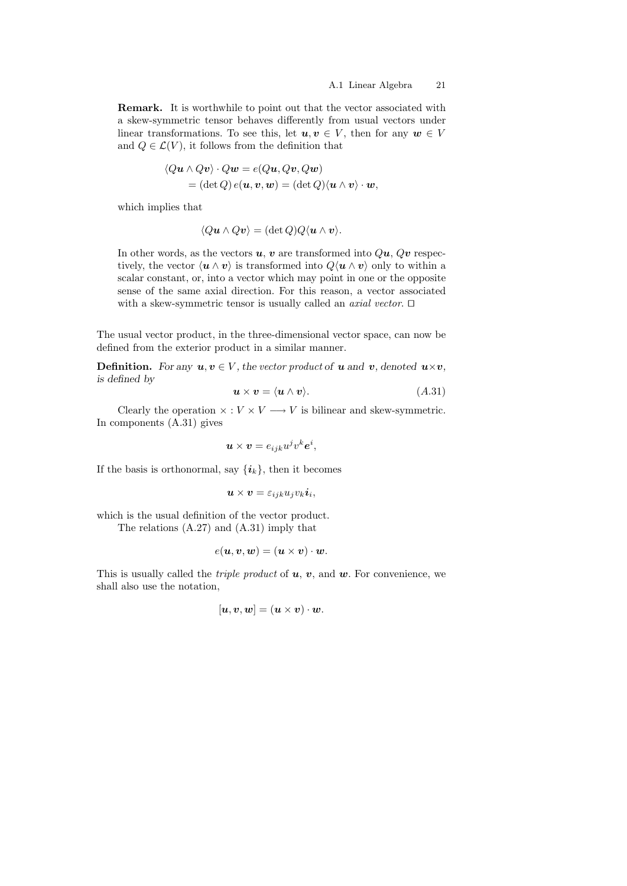Remark. It is worthwhile to point out that the vector associated with a skew-symmetric tensor behaves differently from usual vectors under linear transformations. To see this, let  $u, v \in V$ , then for any  $w \in V$ and  $Q \in \mathcal{L}(V)$ , it follows from the definition that

$$
\langle Qu \wedge Qv \rangle \cdot Qw = e(Qu, Qv, Qw)
$$
  
=  $(\det Q) e(u, v, w) = (\det Q) \langle u \wedge v \rangle \cdot w,$ 

which implies that

$$
\langle Qu \wedge Qv \rangle = (\det Q)Q \langle u \wedge v \rangle.
$$

In other words, as the vectors  $u, v$  are transformed into  $Qu, Qv$  respectively, the vector  $\langle \mathbf{u} \wedge \mathbf{v} \rangle$  is transformed into  $Q\langle \mathbf{u} \wedge \mathbf{v} \rangle$  only to within a scalar constant, or, into a vector which may point in one or the opposite sense of the same axial direction. For this reason, a vector associated with a skew-symmetric tensor is usually called an *axial vector*.  $\Box$ 

The usual vector product, in the three-dimensional vector space, can now be defined from the exterior product in a similar manner.

**Definition.** For any  $u, v \in V$ , the vector product of **u** and **v**, denoted  $u \times v$ , is defined by

$$
\mathbf{u} \times \mathbf{v} = \langle \mathbf{u} \wedge \mathbf{v} \rangle. \tag{A.31}
$$

Clearly the operation  $\times : V \times V \longrightarrow V$  is bilinear and skew-symmetric. In components (A.31) gives

$$
\mathbf{u} \times \mathbf{v} = e_{ijk} u^j v^k \mathbf{e}^i,
$$

If the basis is orthonormal, say  $\{\boldsymbol{i}_k\}$ , then it becomes

$$
\boldsymbol{u}\times\boldsymbol{v}=\varepsilon_{ijk}u_jv_k\boldsymbol{i}_i,
$$

which is the usual definition of the vector product. The relations (A.27) and (A.31) imply that

$$
e(\boldsymbol{u},\boldsymbol{v},\boldsymbol{w})=(\boldsymbol{u}\times\boldsymbol{v})\cdot\boldsymbol{w}.
$$

This is usually called the *triple product* of  $u, v$ , and  $w$ . For convenience, we shall also use the notation,

$$
[\boldsymbol{u},\boldsymbol{v},\boldsymbol{w}] = (\boldsymbol{u}\times\boldsymbol{v})\cdot\boldsymbol{w}.
$$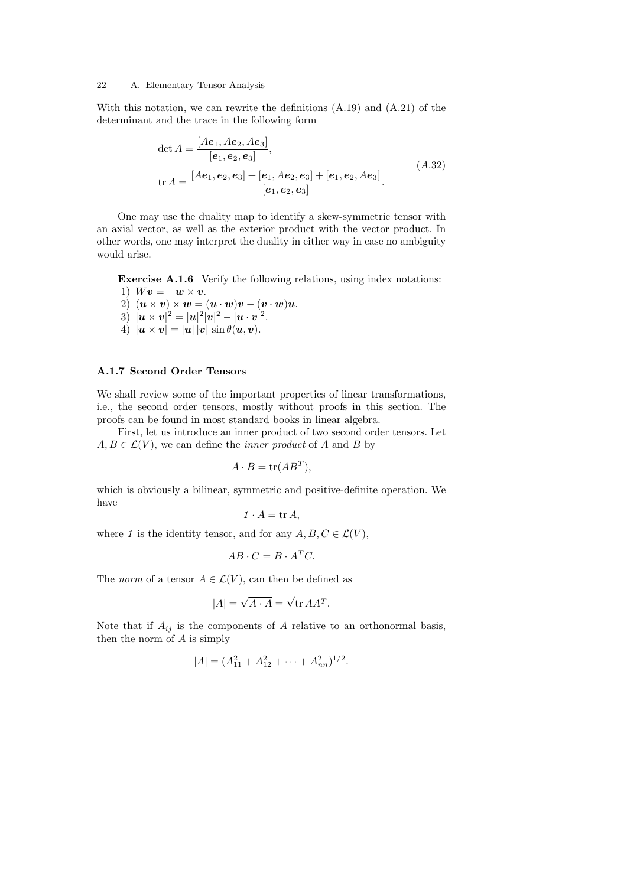With this notation, we can rewrite the definitions (A.19) and (A.21) of the determinant and the trace in the following form

$$
\det A = \frac{[Ae_1, Ae_2, Ae_3]}{[e_1, e_2, e_3]},
$$
  
\n
$$
\text{tr } A = \frac{[Ae_1, e_2, e_3] + [e_1, Ae_2, e_3] + [e_1, e_2, Ae_3]}{[e_1, e_2, e_3]}.
$$
\n(A.32)

One may use the duality map to identify a skew-symmetric tensor with an axial vector, as well as the exterior product with the vector product. In other words, one may interpret the duality in either way in case no ambiguity would arise.

Exercise A.1.6 Verify the following relations, using index notations: 1)  $Wv = -w \times v$ .

- 2)  $(\mathbf{u} \times \mathbf{v}) \times \mathbf{w} = (\mathbf{u} \cdot \mathbf{w})\mathbf{v} (\mathbf{v} \cdot \mathbf{w})\mathbf{u}.$
- $3)$   $|\bm{u}\times\bm{v}|^2 = |\bm{u}|^2|\bm{v}|^2 |\bm{u}\cdot\bm{v}|^2.$
- 4)  $|\mathbf{u} \times \mathbf{v}| = |\mathbf{u}| |\mathbf{v}| \sin \theta(\mathbf{u}, \mathbf{v}).$

# A.1.7 Second Order Tensors

We shall review some of the important properties of linear transformations, i.e., the second order tensors, mostly without proofs in this section. The proofs can be found in most standard books in linear algebra.

First, let us introduce an inner product of two second order tensors. Let  $A, B \in \mathcal{L}(V)$ , we can define the *inner product* of A and B by

$$
A \cdot B = \text{tr}(AB^T),
$$

which is obviously a bilinear, symmetric and positive-definite operation. We have

$$
1 \cdot A = \operatorname{tr} A,
$$

where 1 is the identity tensor, and for any  $A, B, C \in \mathcal{L}(V)$ ,

$$
AB \cdot C = B \cdot A^T C.
$$

The *norm* of a tensor  $A \in \mathcal{L}(V)$ , can then be defined as

$$
|A| = \sqrt{A \cdot A} = \sqrt{\text{tr } AA^T}.
$$

Note that if  $A_{ij}$  is the components of A relative to an orthonormal basis, then the norm of  $A$  is simply

$$
|A| = (A_{11}^2 + A_{12}^2 + \dots + A_{nn}^2)^{1/2}.
$$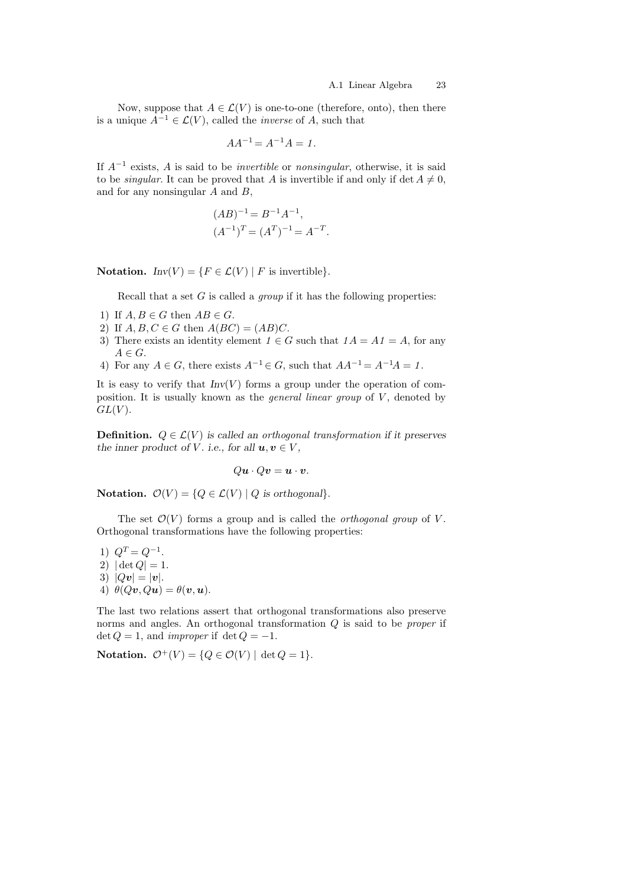Now, suppose that  $A \in \mathcal{L}(V)$  is one-to-one (therefore, onto), then there is a unique  $A^{-1} \in \mathcal{L}(V)$ , called the *inverse* of A, such that

$$
AA^{-1} = A^{-1}A = 1.
$$

If  $A^{-1}$  exists, A is said to be *invertible* or *nonsingular*, otherwise, it is said to be *singular*. It can be proved that A is invertible if and only if det  $A \neq 0$ , and for any nonsingular A and B,

$$
(AB)^{-1} = B^{-1}A^{-1},
$$
  

$$
(A^{-1})^T = (A^T)^{-1} = A^{-T}
$$

.

Notation.  $Inv(V) = \{F \in \mathcal{L}(V) \mid F \text{ is invertible}\}.$ 

Recall that a set  $G$  is called a *group* if it has the following properties:

- 1) If  $A, B \in G$  then  $AB \in G$ .
- 2) If  $A, B, C \in G$  then  $A(BC) = (AB)C$ .
- 3) There exists an identity element  $1 \in G$  such that  $1A = A1 = A$ , for any  $A \in G$ .
- 4) For any  $A \in G$ , there exists  $A^{-1} \in G$ , such that  $AA^{-1} = A^{-1}A = 1$ .

It is easy to verify that  $Inv(V)$  forms a group under the operation of composition. It is usually known as the *general linear group* of  $V$ , denoted by  $GL(V)$ .

**Definition.**  $Q \in \mathcal{L}(V)$  is called an orthogonal transformation if it preserves the inner product of V. i.e., for all  $u, v \in V$ ,

$$
Qu \cdot Qu = u \cdot v.
$$

Notation.  $\mathcal{O}(V) = \{Q \in \mathcal{L}(V) \mid Q \text{ is orthogonal}\}.$ 

The set  $\mathcal{O}(V)$  forms a group and is called the *orthogonal group* of V. Orthogonal transformations have the following properties:

1)  $Q^T = Q^{-1}$ . 2)  $|\det Q| = 1.$ 3)  $|Qv| = |v|$ . 4)  $\theta(Qv, Qu) = \theta(v, u)$ .

The last two relations assert that orthogonal transformations also preserve norms and angles. An orthogonal transformation  $Q$  is said to be *proper* if det  $Q = 1$ , and *improper* if det  $Q = -1$ .

Notation.  $\mathcal{O}^+(V) = \{Q \in \mathcal{O}(V) \mid \det Q = 1\}.$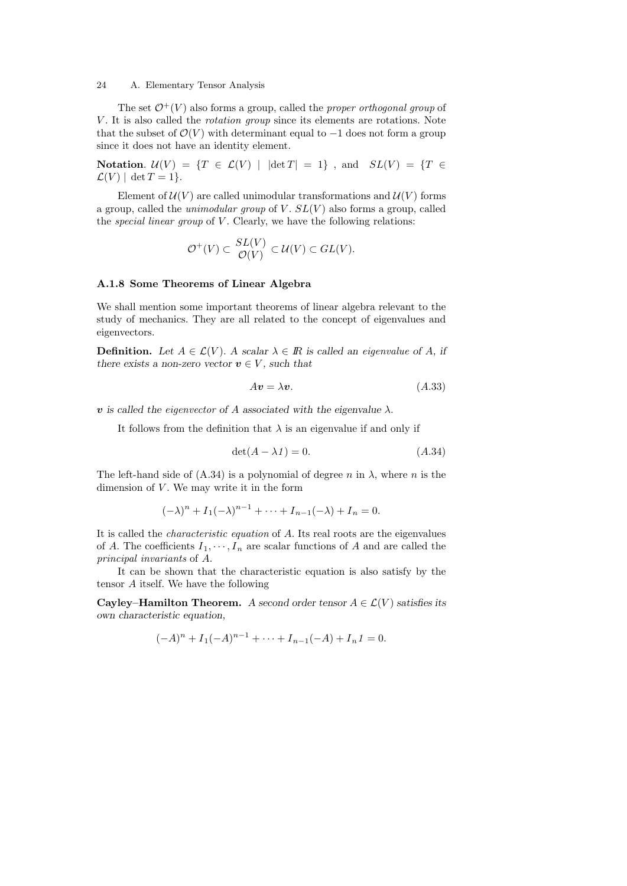The set  $\mathcal{O}^+(V)$  also forms a group, called the *proper orthogonal group* of V. It is also called the *rotation group* since its elements are rotations. Note that the subset of  $\mathcal{O}(V)$  with determinant equal to  $-1$  does not form a group since it does not have an identity element.

Notation.  $\mathcal{U}(V) = \{T \in \mathcal{L}(V) \mid |\det T| = 1\}$ , and  $SL(V) = \{T \in$  $\mathcal{L}(V)$  | det  $T = 1$  }.

Element of  $\mathcal{U}(V)$  are called unimodular transformations and  $\mathcal{U}(V)$  forms a group, called the *unimodular group* of V.  $SL(V)$  also forms a group, called the special linear group of  $V$ . Clearly, we have the following relations:

$$
\mathcal{O}^+(V) \subset \frac{SL(V)}{\mathcal{O}(V)} \subset \mathcal{U}(V) \subset GL(V).
$$

# A.1.8 Some Theorems of Linear Algebra

We shall mention some important theorems of linear algebra relevant to the study of mechanics. They are all related to the concept of eigenvalues and eigenvectors.

**Definition.** Let  $A \in \mathcal{L}(V)$ . A scalar  $\lambda \in \mathbb{R}$  is called an eigenvalue of A, if there exists a non-zero vector  $v \in V$ , such that

$$
Av = \lambda v. \tag{A.33}
$$

**v** is called the eigenvector of A associated with the eigenvalue  $\lambda$ .

It follows from the definition that  $\lambda$  is an eigenvalue if and only if

$$
\det(A - \lambda 1) = 0. \tag{A.34}
$$

The left-hand side of  $(A.34)$  is a polynomial of degree n in  $\lambda$ , where n is the dimension of  $V$ . We may write it in the form

$$
(-\lambda)^n + I_1(-\lambda)^{n-1} + \dots + I_{n-1}(-\lambda) + I_n = 0.
$$

It is called the characteristic equation of A. Its real roots are the eigenvalues of A. The coefficients  $I_1, \dots, I_n$  are scalar functions of A and are called the principal invariants of A.

It can be shown that the characteristic equation is also satisfy by the tensor A itself. We have the following

Cayley–Hamilton Theorem. A second order tensor  $A \in \mathcal{L}(V)$  satisfies its own characteristic equation,

$$
(-A)^{n} + I_{1}(-A)^{n-1} + \cdots + I_{n-1}(-A) + I_{n}1 = 0.
$$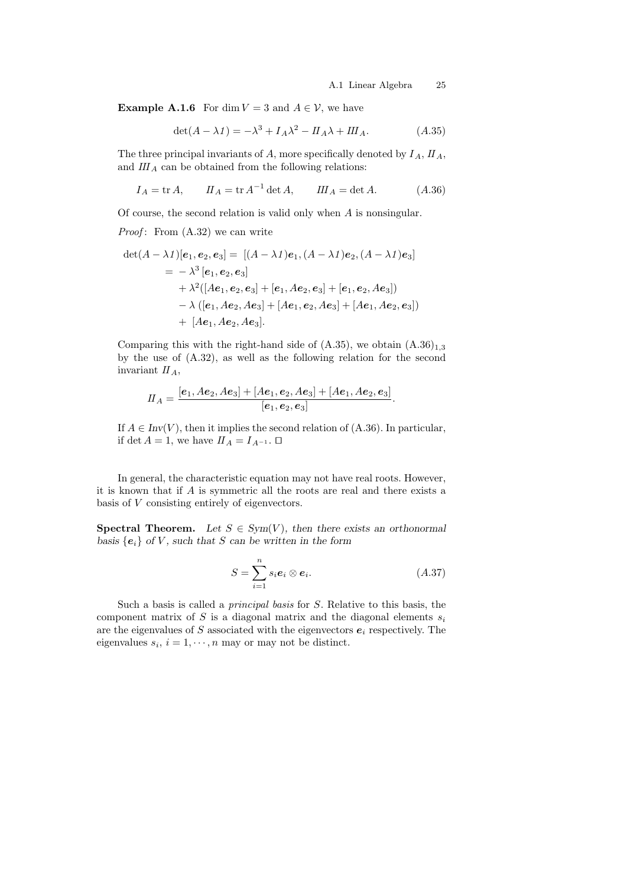**Example A.1.6** For dim  $V = 3$  and  $A \in V$ , we have

$$
\det(A - \lambda I) = -\lambda^3 + I_A \lambda^2 - II_A \lambda + III_A.
$$
 (A.35)

The three principal invariants of  $A$ , more specifically denoted by  $I_A$ ,  $II_A$ , and  $III<sub>A</sub>$  can be obtained from the following relations:

$$
I_A = \text{tr } A, \qquad II_A = \text{tr } A^{-1} \det A, \qquad III_A = \det A. \tag{A.36}
$$

Of course, the second relation is valid only when A is nonsingular.

*Proof*: From  $(A.32)$  we can write

$$
\det(A - \lambda 1)[e_1, e_2, e_3] = [(A - \lambda 1)e_1, (A - \lambda 1)e_2, (A - \lambda 1)e_3]
$$
  
=  $-\lambda^3 [e_1, e_2, e_3]$   
+  $\lambda^2([Ae_1, e_2, e_3] + [e_1, Ae_2, e_3] + [e_1, e_2, Ae_3])$   
-  $\lambda ([e_1, Ae_2, Ae_3] + [Ae_1, e_2, Ae_3] + [Ae_1, Ae_2, e_3])$   
+  $[Ae_1, Ae_2, Ae_3].$ 

Comparing this with the right-hand side of  $(A.35)$ , we obtain  $(A.36)_{1,3}$ by the use of (A.32), as well as the following relation for the second invariant  $II_A$ ,

$$
II_A = \frac{[e_1, Ae_2, Ae_3] + [Ae_1, e_2, Ae_3] + [Ae_1, Ae_2, e_3]}{[e_1, e_2, e_3]}.
$$

If  $A \in Inv(V)$ , then it implies the second relation of  $(A.36)$ . In particular, if det  $A = 1$ , we have  $\prod_{A} = I_{A^{-1}}$ .  $\Box$ 

In general, the characteristic equation may not have real roots. However, it is known that if A is symmetric all the roots are real and there exists a basis of V consisting entirely of eigenvectors.

**Spectral Theorem.** Let  $S \in Sym(V)$ , then there exists an orthonormal basis  ${e_i}$  of V, such that S can be written in the form

$$
S = \sum_{i=1}^{n} s_i e_i \otimes e_i.
$$
 (A.37)

Such a basis is called a principal basis for S. Relative to this basis, the component matrix of S is a diagonal matrix and the diagonal elements  $s_i$ are the eigenvalues of S associated with the eigenvectors  $e_i$  respectively. The eigenvalues  $s_i$ ,  $i = 1, \dots, n$  may or may not be distinct.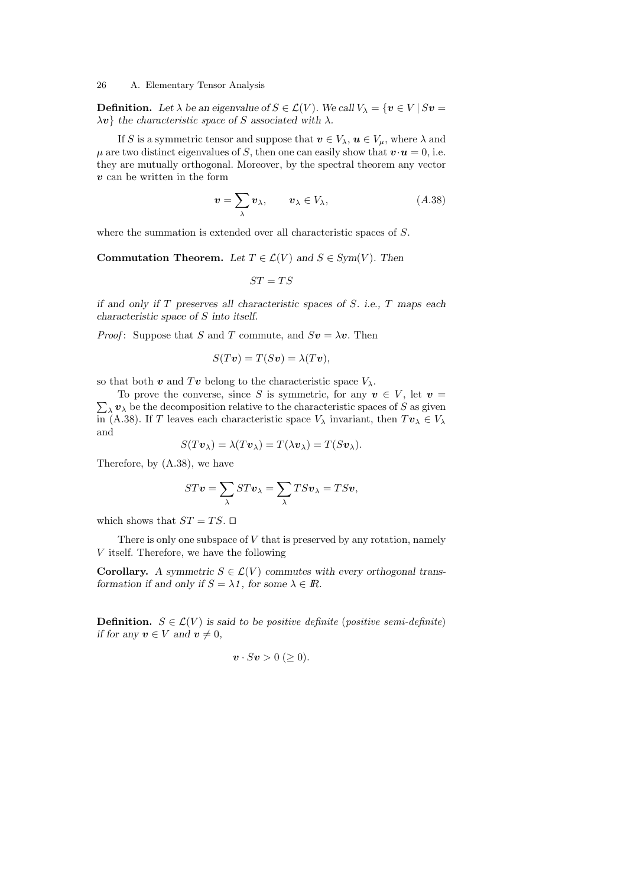**Definition.** Let  $\lambda$  be an eigenvalue of  $S \in \mathcal{L}(V)$ . We call  $V_{\lambda} = \{v \in V | Sv =$  $\lambda v$  the characteristic space of S associated with  $\lambda$ .

If S is a symmetric tensor and suppose that  $v \in V_\lambda$ ,  $u \in V_\mu$ , where  $\lambda$  and  $\mu$  are two distinct eigenvalues of S, then one can easily show that  $\mathbf{v} \cdot \mathbf{u} = 0$ , i.e. they are mutually orthogonal. Moreover, by the spectral theorem any vector  $v$  can be written in the form

$$
\mathbf{v} = \sum_{\lambda} \mathbf{v}_{\lambda}, \qquad \mathbf{v}_{\lambda} \in V_{\lambda}, \tag{A.38}
$$

where the summation is extended over all characteristic spaces of S.

Commutation Theorem. Let  $T \in \mathcal{L}(V)$  and  $S \in Sym(V)$ . Then

$$
ST=TS
$$

if and only if  $T$  preserves all characteristic spaces of  $S$ . i.e.,  $T$  maps each characteristic space of S into itself.

*Proof*: Suppose that S and T commute, and  $Sv = \lambda v$ . Then

$$
S(Tv) = T(Sv) = \lambda(Tv),
$$

so that both  $\boldsymbol{v}$  and  $T\boldsymbol{v}$  belong to the characteristic space  $V_{\lambda}$ .

 $\sum_{\lambda} v_{\lambda}$  be the decomposition relative to the characteristic spaces of S as given To prove the converse, since S is symmetric, for any  $v \in V$ , let  $v =$ in (A.38). If T leaves each characteristic space  $V_{\lambda}$  invariant, then  $T\mathbf{v}_{\lambda} \in V_{\lambda}$ and

$$
S(Tv_{\lambda}) = \lambda(Tv_{\lambda}) = T(\lambda v_{\lambda}) = T(Sv_{\lambda}).
$$

Therefore, by (A.38), we have

$$
STv = \sum_{\lambda} STv_{\lambda} = \sum_{\lambda} TSv_{\lambda} = TSv,
$$

which shows that  $ST = TS$ .  $\Box$ 

There is only one subspace of  $V$  that is preserved by any rotation, namely V itself. Therefore, we have the following

Corollary. A symmetric  $S \in \mathcal{L}(V)$  commutes with every orthogonal transformation if and only if  $S = \lambda \mathbb{1}$ , for some  $\lambda \in \mathbb{R}$ .

**Definition.**  $S \in \mathcal{L}(V)$  is said to be positive definite (positive semi-definite) if for any  $v \in V$  and  $v \neq 0$ ,

$$
\boldsymbol{v}\cdot S\boldsymbol{v}>0\ (\geq 0).
$$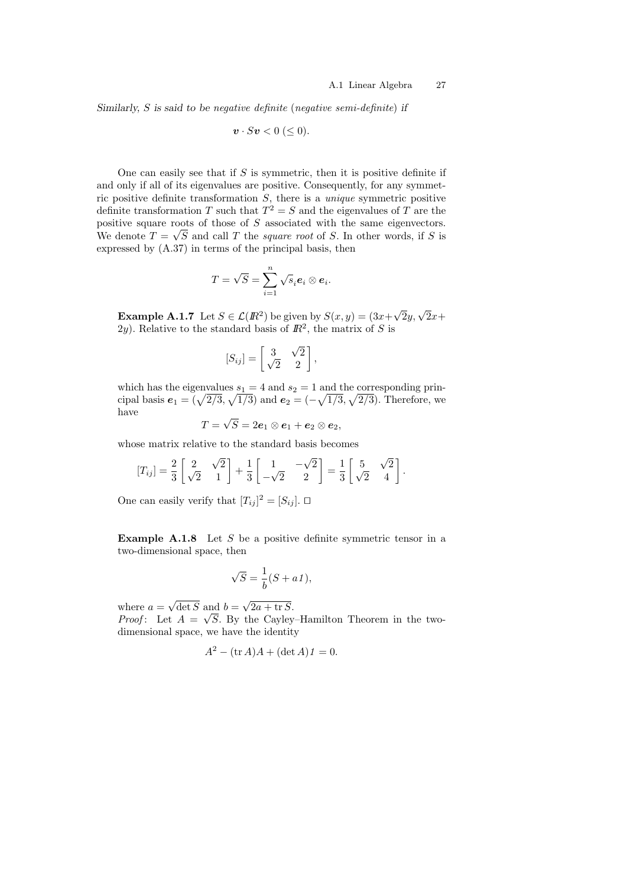Similarly, S is said to be negative definite (negative semi-definite) if

$$
\boldsymbol{v} \cdot S\boldsymbol{v} < 0 \ (\leq 0).
$$

One can easily see that if  $S$  is symmetric, then it is positive definite if and only if all of its eigenvalues are positive. Consequently, for any symmetric positive definite transformation  $S$ , there is a *unique* symmetric positive definite transformation T such that  $T^2 = S$  and the eigenvalues of T are the positive square roots of those of S associated with the same eigenvectors. We denote  $T = \sqrt{S}$  and call T the *square root* of S. In other words, if S is expressed by (A.37) in terms of the principal basis, then

$$
T=\sqrt{S}=\sum_{i=1}^n\sqrt{s}_i\mathbf{e}_i\otimes\mathbf{e}_i.
$$

**Example A.1.7** Let  $S \in \mathcal{L}(I\!\!R^2)$  be given by  $S(x, y) = (3x+)$  $\sqrt{2}y, \sqrt{2}x +$ 2y). Relative to the standard basis of  $\mathbb{R}^2$ , the matrix of S is

$$
[S_{ij}] = \begin{bmatrix} 3 & \sqrt{2} \\ \sqrt{2} & 2 \end{bmatrix},
$$

which has the eigenvalues  $s_1 = 4$  and  $s_2 = 1$  and the corresponding principal basis  $e_1 = (\sqrt{2/3}, \sqrt{1/3})$  and  $e_2 = (-\sqrt{1/3}, \sqrt{2/3})$ . Therefore, we have √

$$
T=\sqrt{S}=2\boldsymbol{e}_1\otimes \boldsymbol{e}_1+\boldsymbol{e}_2\otimes \boldsymbol{e}_2,
$$

whose matrix relative to the standard basis becomes

$$
[T_{ij}] = \frac{2}{3} \begin{bmatrix} 2 & \sqrt{2} \\ \sqrt{2} & 1 \end{bmatrix} + \frac{1}{3} \begin{bmatrix} 1 & -\sqrt{2} \\ -\sqrt{2} & 2 \end{bmatrix} = \frac{1}{3} \begin{bmatrix} 5 & \sqrt{2} \\ \sqrt{2} & 4 \end{bmatrix}.
$$

One can easily verify that  $[T_{ij}]^2 = [S_{ij}]$ .  $\square$ 

**Example A.1.8** Let  $S$  be a positive definite symmetric tensor in a two-dimensional space, then

$$
\sqrt{S} = \frac{1}{b}(S + a1),
$$

where  $a =$ √  $\det S$  and  $b =$ √ and  $b = \sqrt{2a + \text{tr }S}$ .

*Proof*: Let  $A = \sqrt{S}$ . By the Cayley-Hamilton Theorem in the twodimensional space, we have the identity

$$
A^2 - (\operatorname{tr} A)A + (\det A)1 = 0.
$$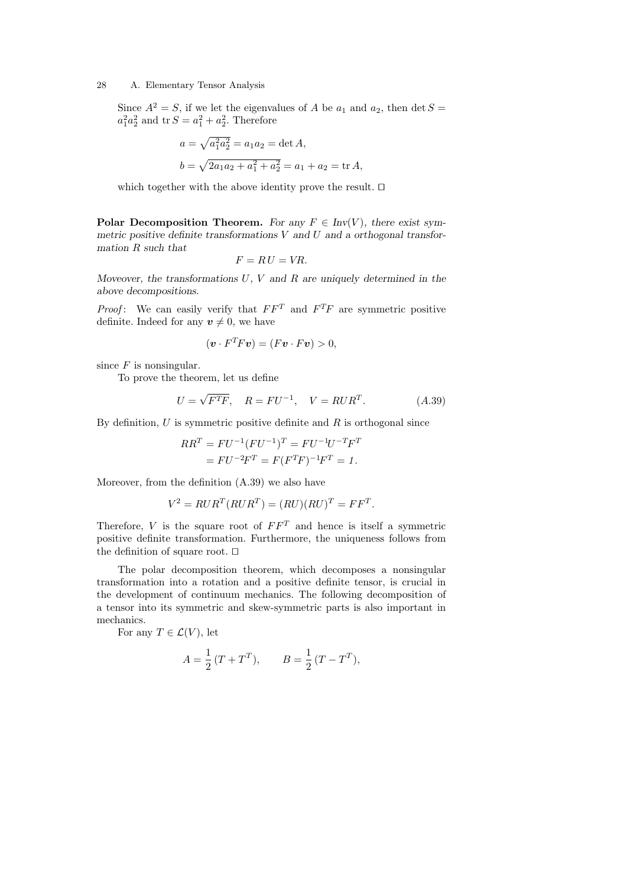Since  $A^2 = S$ , if we let the eigenvalues of A be  $a_1$  and  $a_2$ , then det  $S =$  $a_1^2 a_2^2$  and  $\text{tr } S = a_1^2 + a_2^2$ . Therefore

$$
a = \sqrt{a_1^2 a_2^2} = a_1 a_2 = \det A,
$$
  

$$
b = \sqrt{2a_1 a_2 + a_1^2 + a_2^2} = a_1 + a_2 = \text{tr } A,
$$

which together with the above identity prove the result.  $\square$ 

Polar Decomposition Theorem. For any  $F \in Inv(V)$ , there exist symmetric positive definite transformations  $V$  and  $U$  and a orthogonal transformation R such that

$$
F = RU = VR.
$$

Moveover, the transformations  $U, V$  and  $R$  are uniquely determined in the above decompositions.

*Proof*: We can easily verify that  $FF^T$  and  $F^T F$  are symmetric positive definite. Indeed for any  $v \neq 0$ , we have

$$
(\boldsymbol{v} \cdot F^T F \boldsymbol{v}) = (F \boldsymbol{v} \cdot F \boldsymbol{v}) > 0,
$$

since  $F$  is nonsingular.

To prove the theorem, let us define

$$
U = \sqrt{F^T F}, \quad R = F U^{-1}, \quad V = R U R^T. \tag{A.39}
$$

By definition,  $U$  is symmetric positive definite and  $R$  is orthogonal since

$$
RR^{T} = FU^{-1}(FU^{-1})^{T} = FU^{-1}U^{-T}F^{T}
$$

$$
= FU^{-2}F^{T} = F(F^{T}F)^{-1}F^{T} = 1.
$$

Moreover, from the definition (A.39) we also have

$$
V^2 = RUR^T(RUR^T) = (RU)(RU)^T = FF^T.
$$

Therefore,  $V$  is the square root of  $FF<sup>T</sup>$  and hence is itself a symmetric positive definite transformation. Furthermore, the uniqueness follows from the definition of square root.  $\square$ 

The polar decomposition theorem, which decomposes a nonsingular transformation into a rotation and a positive definite tensor, is crucial in the development of continuum mechanics. The following decomposition of a tensor into its symmetric and skew-symmetric parts is also important in mechanics.

For any  $T \in \mathcal{L}(V)$ , let

$$
A = \frac{1}{2}(T + T^T),
$$
  $B = \frac{1}{2}(T - T^T),$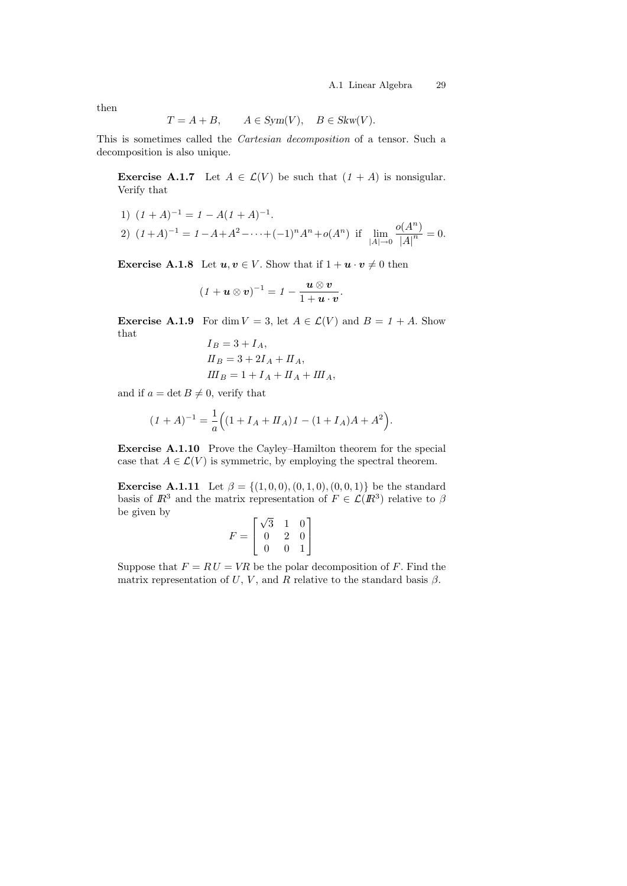then

$$
T = A + B, \qquad A \in Sym(V), \quad B \in Skw(V).
$$

This is sometimes called the Cartesian decomposition of a tensor. Such a decomposition is also unique.

**Exercise A.1.7** Let  $A \in \mathcal{L}(V)$  be such that  $(1 + A)$  is nonsigular. Verify that

1) 
$$
(1 + A)^{-1} = 1 - A(1 + A)^{-1}
$$
.  
\n2)  $(1 + A)^{-1} = 1 - A + A^2 - \dots + (-1)^n A^n + o(A^n)$  if  $\lim_{|A| \to 0} \frac{o(A^n)}{|A|^n} = 0$ .

**Exercise A.1.8** Let  $u, v \in V$ . Show that if  $1 + u \cdot v \neq 0$  then

$$
(1+\mathbf{u}\otimes\mathbf{v})^{-1}=1-\frac{\mathbf{u}\otimes\mathbf{v}}{1+\mathbf{u}\cdot\mathbf{v}}.
$$

**Exercise A.1.9** For dim  $V = 3$ , let  $A \in \mathcal{L}(V)$  and  $B = 1 + A$ . Show that  $I_B = 3 + I$ 

$$
I_B = 3 + I_A,
$$
  
\n
$$
II_B = 3 + 2I_A + II_A,
$$
  
\n
$$
III_B = 1 + I_A + II_A + III_A,
$$

and if  $a = \det B \neq 0$ , verify that

$$
(1+A)^{-1} = \frac{1}{a} \Big( (1 + I_A + II_A) \, 1 - (1 + I_A)A + A^2 \Big).
$$

Exercise A.1.10 Prove the Cayley–Hamilton theorem for the special case that  $A \in \mathcal{L}(V)$  is symmetric, by employing the spectral theorem.

**Exercise A.1.11** Let  $\beta = \{(1, 0, 0), (0, 1, 0), (0, 0, 1)\}$  be the standard basis of  $\mathbb{R}^3$  and the matrix representation of  $F \in \mathcal{L}(\mathbb{R}^3)$  relative to  $\beta$ be given by √

$$
F = \begin{bmatrix} \sqrt{3} & 1 & 0 \\ 0 & 2 & 0 \\ 0 & 0 & 1 \end{bmatrix}
$$

Suppose that  $F = RU = VR$  be the polar decomposition of F. Find the matrix representation of  $U, V$ , and  $R$  relative to the standard basis  $\beta$ .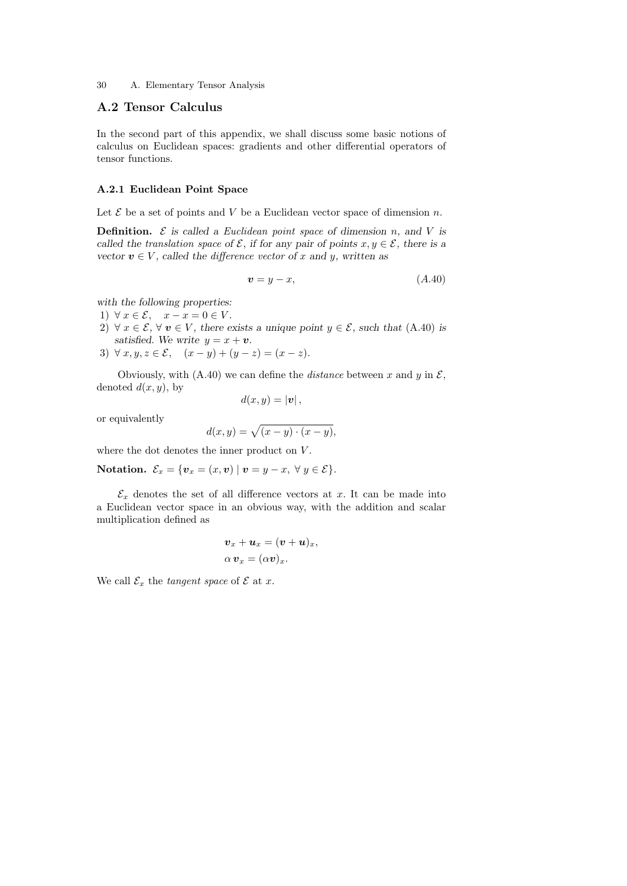# A.2 Tensor Calculus

In the second part of this appendix, we shall discuss some basic notions of calculus on Euclidean spaces: gradients and other differential operators of tensor functions.

# A.2.1 Euclidean Point Space

Let  $\mathcal E$  be a set of points and V be a Euclidean vector space of dimension n.

**Definition.**  $\mathcal{E}$  is called a Euclidean point space of dimension n, and V is called the translation space of  $\mathcal{E}$ , if for any pair of points  $x, y \in \mathcal{E}$ , there is a vector  $v \in V$ , called the difference vector of x and y, written as

$$
v = y - x,\tag{A.40}
$$

with the following properties:

- 1)  $\forall x \in \mathcal{E}, \quad x x = 0 \in V.$
- 2)  $\forall x \in \mathcal{E}, \forall v \in V$ , there exists a unique point  $y \in \mathcal{E}$ , such that (A.40) is satisfied. We write  $y = x + v$ .
- 3)  $\forall x, y, z \in \mathcal{E}, \quad (x y) + (y z) = (x z).$

Obviously, with (A.40) we can define the *distance* between x and y in  $\mathcal{E}$ , denoted  $d(x, y)$ , by

$$
d(x,y)=|\boldsymbol{v}|,
$$

or equivalently

$$
d(x,y) = \sqrt{(x-y)\cdot(x-y)},
$$

where the dot denotes the inner product on  $V$ .

**Notation.** 
$$
\mathcal{E}_x = \{ \mathbf{v}_x = (x, \mathbf{v}) \mid \mathbf{v} = y - x, \forall y \in \mathcal{E} \}.
$$

 $\mathcal{E}_x$  denotes the set of all difference vectors at x. It can be made into a Euclidean vector space in an obvious way, with the addition and scalar multiplication defined as

$$
\boldsymbol{v}_x + \boldsymbol{u}_x = (\boldsymbol{v} + \boldsymbol{u})_x, \alpha \boldsymbol{v}_x = (\alpha \boldsymbol{v})_x.
$$

We call  $\mathcal{E}_x$  the *tangent space* of  $\mathcal E$  at x.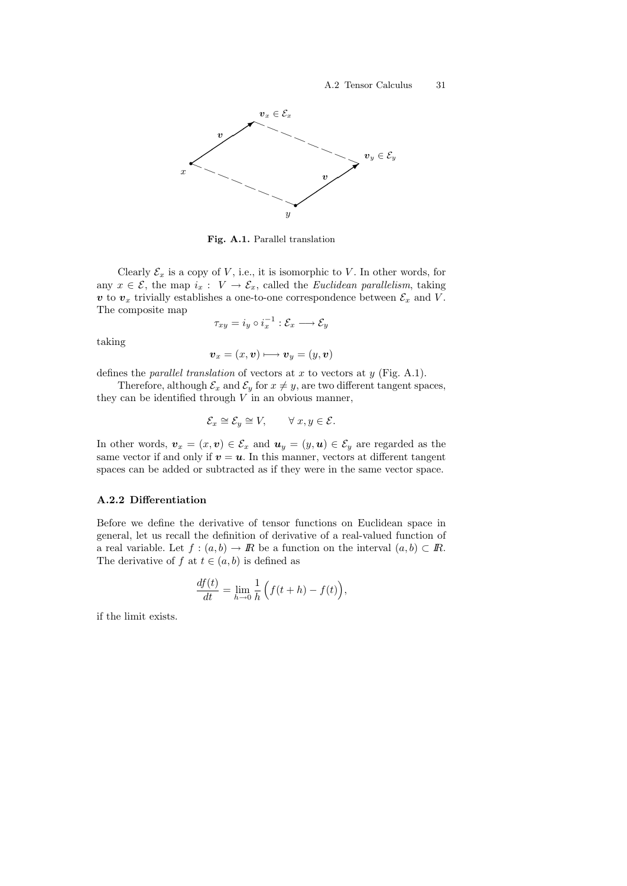

Fig. A.1. Parallel translation

Clearly  $\mathcal{E}_x$  is a copy of V, i.e., it is isomorphic to V. In other words, for any  $x \in \mathcal{E}$ , the map  $i_x : V \to \mathcal{E}_x$ , called the *Euclidean parallelism*, taking v to  $v_x$  trivially establishes a one-to-one correspondence between  $\mathcal{E}_x$  and V. The composite map

$$
\tau_{xy}=i_y\circ i_x^{-1}:\mathcal{E}_x\longrightarrow\mathcal{E}_y
$$

taking

$$
\boldsymbol{v}_x = (x, \boldsymbol{v}) \longmapsto \boldsymbol{v}_y = (y, \boldsymbol{v})
$$

defines the *parallel translation* of vectors at  $x$  to vectors at  $y$  (Fig. A.1).

Therefore, although  $\mathcal{E}_x$  and  $\mathcal{E}_y$  for  $x \neq y$ , are two different tangent spaces, they can be identified through  $V$  in an obvious manner,

$$
\mathcal{E}_x \cong \mathcal{E}_y \cong V, \qquad \forall x, y \in \mathcal{E}.
$$

In other words,  $v_x = (x, v) \in \mathcal{E}_x$  and  $u_y = (y, u) \in \mathcal{E}_y$  are regarded as the same vector if and only if  $v = u$ . In this manner, vectors at different tangent spaces can be added or subtracted as if they were in the same vector space.

# A.2.2 Differentiation

Before we define the derivative of tensor functions on Euclidean space in general, let us recall the definition of derivative of a real-valued function of a real variable. Let  $f : (a, b) \to \mathbb{R}$  be a function on the interval  $(a, b) \subset \mathbb{R}$ . The derivative of f at  $t \in (a, b)$  is defined as

$$
\frac{df(t)}{dt} = \lim_{h \to 0} \frac{1}{h} \left( f(t+h) - f(t) \right),
$$

if the limit exists.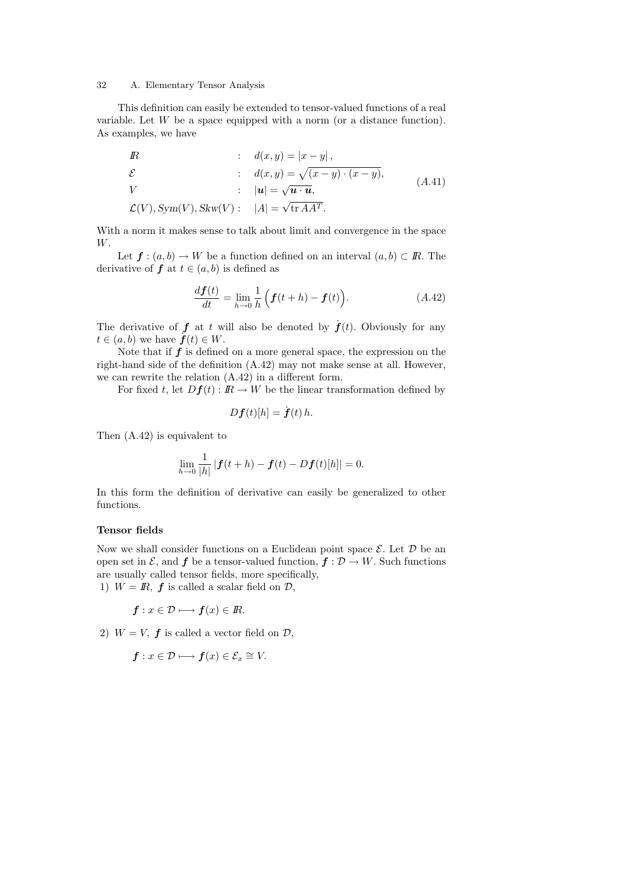This definition can easily be extended to tensor-valued functions of a real variable. Let W be a space equipped with a norm (or a distance function). As examples, we have

$$
R : d(x, y) = |x - y|,
$$
  
\n
$$
\mathcal{E} : d(x, y) = \sqrt{(x - y) \cdot (x - y)},
$$
  
\n
$$
V : |u| = \sqrt{u \cdot u},
$$
  
\n
$$
\mathcal{L}(V), Sym(V), Skw(V): |A| = \sqrt{\text{tr } AA^T}.
$$
\n
$$
(A.41)
$$

With a norm it makes sense to talk about limit and convergence in the space W.

Let  $f : (a, b) \to W$  be a function defined on an interval  $(a, b) \subset \mathbb{R}$ . The derivative of  $f$  at  $t \in (a, b)$  is defined as

$$
\frac{d\boldsymbol{f}(t)}{dt} = \lim_{h \to 0} \frac{1}{h} \left( \boldsymbol{f}(t+h) - \boldsymbol{f}(t) \right). \tag{A.42}
$$

The derivative of  $f$  at t will also be denoted by  $\dot{f}(t)$ . Obviously for any  $t \in (a, b)$  we have  $\dot{f}(t) \in W$ .

Note that if  $f$  is defined on a more general space, the expression on the right-hand side of the definition (A.42) may not make sense at all. However, we can rewrite the relation (A.42) in a different form.

For fixed t, let  $Df(t)$ :  $\mathbb{R} \to W$  be the linear transformation defined by

$$
Df(t)[h] = \dot{f}(t) h.
$$

Then (A.42) is equivalent to

$$
\lim_{h \to 0} \frac{1}{|h|} |f(t+h) - f(t) - Df(t)[h]| = 0.
$$

In this form the definition of derivative can easily be generalized to other functions.

# Tensor fields

Now we shall consider functions on a Euclidean point space  $\mathcal{E}$ . Let  $\mathcal{D}$  be an open set in  $\mathcal{E}$ , and  $f$  be a tensor-valued function,  $f : \mathcal{D} \to W$ . Such functions are usually called tensor fields, more specifically, 1)  $W = \mathbb{R}$ ,  $\boldsymbol{f}$  is called a scalar field on  $\mathcal{D}$ ,

$$
\boldsymbol{f} : x \in \mathcal{D} \longmapsto \boldsymbol{f}(x) \in I\!\!R.
$$

2)  $W = V$ ,  $f$  is called a vector field on  $D$ ,

$$
\boldsymbol{f} : x \in \mathcal{D} \longmapsto \boldsymbol{f}(x) \in \mathcal{E}_x \cong V.
$$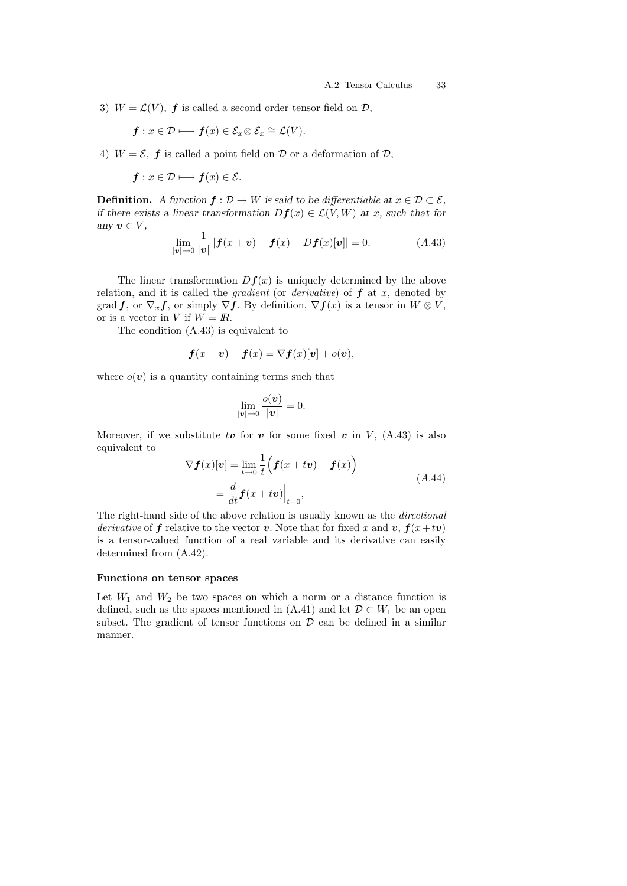3)  $W = \mathcal{L}(V)$ , **f** is called a second order tensor field on  $\mathcal{D}$ ,

$$
\boldsymbol{f} : x \in \mathcal{D} \longmapsto \boldsymbol{f}(x) \in \mathcal{E}_x \otimes \mathcal{E}_x \cong \mathcal{L}(V).
$$

4)  $W = \mathcal{E}$ , **f** is called a point field on  $\mathcal{D}$  or a deformation of  $\mathcal{D}$ ,

$$
\boldsymbol{f} : x \in \mathcal{D} \longmapsto \boldsymbol{f}(x) \in \mathcal{E}.
$$

**Definition.** A function  $f: \mathcal{D} \to W$  is said to be differentiable at  $x \in \mathcal{D} \subset \mathcal{E}$ , if there exists a linear transformation  $Df(x) \in \mathcal{L}(V, W)$  at x, such that for any  $v \in V$ ,

$$
\lim_{|\mathbf{v}| \to 0} \frac{1}{|\mathbf{v}|} |\mathbf{f}(x + \mathbf{v}) - \mathbf{f}(x) - D\mathbf{f}(x)[\mathbf{v}]| = 0.
$$
 (A.43)

The linear transformation  $Df(x)$  is uniquely determined by the above relation, and it is called the *gradient* (or *derivative*) of  $f$  at  $x$ , denoted by grad f, or  $\nabla_x f$ , or simply  $\nabla f$ . By definition,  $\nabla f(x)$  is a tensor in  $W \otimes V$ , or is a vector in V if  $W = \mathbb{R}$ .

The condition (A.43) is equivalent to

$$
\boldsymbol{f}(x+\boldsymbol{v}) - \boldsymbol{f}(x) = \nabla \boldsymbol{f}(x)[\boldsymbol{v}] + o(\boldsymbol{v}),
$$

where  $o(\boldsymbol{v})$  is a quantity containing terms such that

$$
\lim_{|\boldsymbol{v}|\to 0} \frac{o(\boldsymbol{v})}{|\boldsymbol{v}|} = 0.
$$

Moreover, if we substitute tv for v for some fixed v in V,  $(A.43)$  is also equivalent to

$$
\nabla \boldsymbol{f}(x)[\boldsymbol{v}] = \lim_{t \to 0} \frac{1}{t} \left( \boldsymbol{f}(x + t\boldsymbol{v}) - \boldsymbol{f}(x) \right)
$$
  
= 
$$
\frac{d}{dt} \boldsymbol{f}(x + t\boldsymbol{v}) \Big|_{t=0},
$$
 (A.44)

The right-hand side of the above relation is usually known as the directional derivative of f relative to the vector v. Note that for fixed x and v,  $f(x+tv)$ is a tensor-valued function of a real variable and its derivative can easily determined from (A.42).

#### Functions on tensor spaces

Let  $W_1$  and  $W_2$  be two spaces on which a norm or a distance function is defined, such as the spaces mentioned in  $(A.41)$  and let  $\mathcal{D} \subset W_1$  be an open subset. The gradient of tensor functions on  $\mathcal D$  can be defined in a similar manner.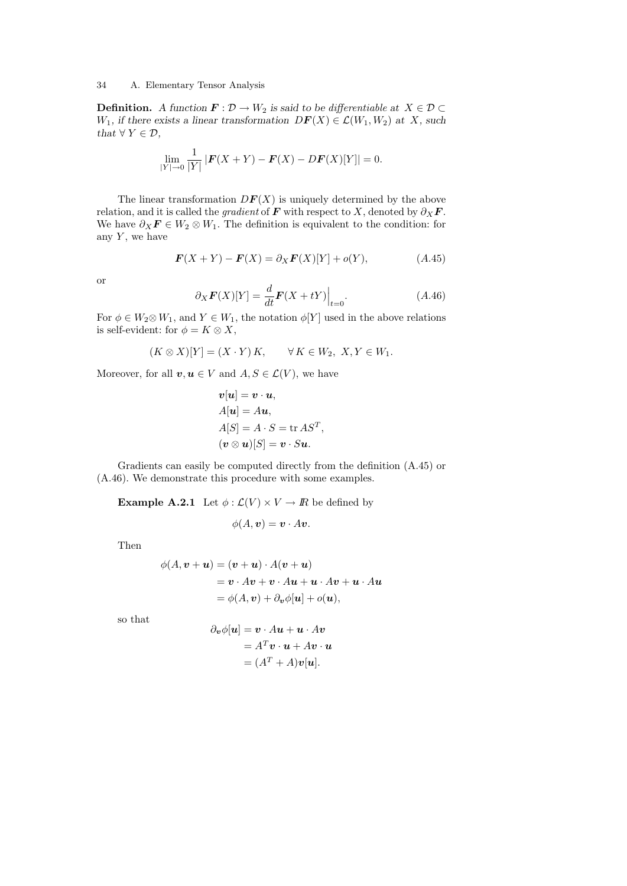**Definition.** A function  $\mathbf{F} : \mathcal{D} \to W_2$  is said to be differentiable at  $X \in \mathcal{D} \subset$  $W_1$ , if there exists a linear transformation  $DF(X) \in \mathcal{L}(W_1, W_2)$  at X, such that  $\forall Y \in \mathcal{D}$ ,

$$
\lim_{|Y| \to 0} \frac{1}{|Y|} |F(X+Y) - F(X) - DF(X)[Y]| = 0.
$$

The linear transformation  $DF(X)$  is uniquely determined by the above relation, and it is called the *gradient* of **F** with respect to X, denoted by  $\partial_X \mathbf{F}$ . We have  $\partial_X \mathbf{F} \in W_2 \otimes W_1$ . The definition is equivalent to the condition: for any  $Y$ , we have

$$
\boldsymbol{F}(X+Y) - \boldsymbol{F}(X) = \partial_X \boldsymbol{F}(X)[Y] + o(Y), \tag{A.45}
$$

or

$$
\partial_X \boldsymbol{F}(X)[Y] = \frac{d}{dt} \boldsymbol{F}(X + tY)\Big|_{t=0}.
$$
\n(A.46)

For  $\phi \in W_2 \otimes W_1$ , and  $Y \in W_1$ , the notation  $\phi[Y]$  used in the above relations is self-evident: for  $\phi = K \otimes X$ ,

$$
(K\otimes X)[Y]=(X\cdot Y)K,\qquad \forall\,K\in W_2,\,\,X,Y\in W_1.
$$

Moreover, for all  $v, u \in V$  and  $A, S \in \mathcal{L}(V)$ , we have

$$
v[u] = v \cdot u,
$$
  
\n
$$
A[u] = Au,
$$
  
\n
$$
A[S] = A \cdot S = \text{tr } AS^T,
$$
  
\n
$$
(v \otimes u)[S] = v \cdot Su.
$$

Gradients can easily be computed directly from the definition (A.45) or (A.46). We demonstrate this procedure with some examples.

**Example A.2.1** Let  $\phi : \mathcal{L}(V) \times V \to \mathbb{R}$  be defined by

$$
\phi(A, \mathbf{v}) = \mathbf{v} \cdot A \mathbf{v}.
$$

Then

$$
\phi(A, \mathbf{v} + \mathbf{u}) = (\mathbf{v} + \mathbf{u}) \cdot A(\mathbf{v} + \mathbf{u})
$$
  
=  $\mathbf{v} \cdot A\mathbf{v} + \mathbf{v} \cdot A\mathbf{u} + \mathbf{u} \cdot A\mathbf{v} + \mathbf{u} \cdot A\mathbf{u}$   
=  $\phi(A, \mathbf{v}) + \partial_{\mathbf{v}} \phi[\mathbf{u}] + o(\mathbf{u}),$ 

so that

$$
\partial_{\boldsymbol{v}} \phi[\boldsymbol{u}] = \boldsymbol{v} \cdot A \boldsymbol{u} + \boldsymbol{u} \cdot A \boldsymbol{v}
$$

$$
= A^T \boldsymbol{v} \cdot \boldsymbol{u} + A \boldsymbol{v} \cdot \boldsymbol{u}
$$

$$
= (A^T + A)\boldsymbol{v}[\boldsymbol{u}].
$$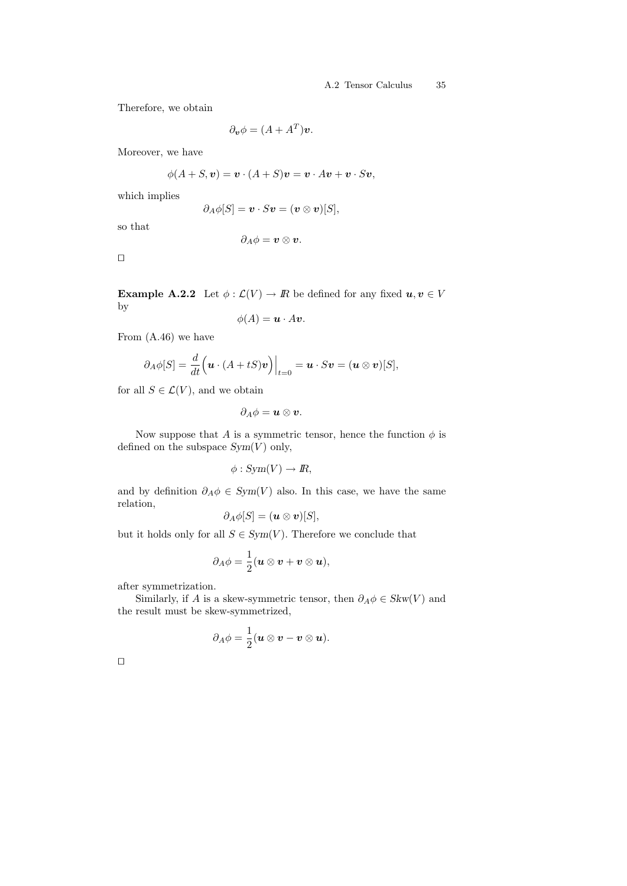Therefore, we obtain

$$
\partial_{\boldsymbol{v}} \phi = (A + A^T) \boldsymbol{v}.
$$

Moreover, we have

$$
\phi(A+S, v) = \mathbf{v} \cdot (A+S)v = \mathbf{v} \cdot Av + \mathbf{v} \cdot Sv,
$$

which implies

$$
\partial_A \phi[S] = \mathbf{v} \cdot S \mathbf{v} = (\mathbf{v} \otimes \mathbf{v})[S],
$$

so that

$$
\partial_A \phi = \boldsymbol{v} \otimes \boldsymbol{v}.
$$

 $\Box$ 

**Example A.2.2** Let  $\phi : \mathcal{L}(V) \to \mathbb{R}$  be defined for any fixed  $u, v \in V$ by

$$
\phi(A) = \mathbf{u} \cdot A \mathbf{v}.
$$

From (A.46) we have

$$
\partial_A \phi[S] = \frac{d}{dt} \Big( \boldsymbol{u} \cdot (A + tS) \boldsymbol{v} \Big) \Big|_{t=0} = \boldsymbol{u} \cdot S \boldsymbol{v} = (\boldsymbol{u} \otimes \boldsymbol{v})[S],
$$

for all  $S \in \mathcal{L}(V)$ , and we obtain

$$
\partial_A \phi = \boldsymbol{u} \otimes \boldsymbol{v}.
$$

Now suppose that A is a symmetric tensor, hence the function  $\phi$  is defined on the subspace  $Sym(V)$  only,

$$
\phi: Sym(V) \to I\!\!R,
$$

and by definition  $\partial_A \phi \in Sym(V)$  also. In this case, we have the same relation,

$$
\partial_A \phi[S] = (\boldsymbol{u} \otimes \boldsymbol{v})[S],
$$

but it holds only for all  $S \in Sym(V)$ . Therefore we conclude that

$$
\partial_A \phi = \frac{1}{2} (\boldsymbol{u} \otimes \boldsymbol{v} + \boldsymbol{v} \otimes \boldsymbol{u}),
$$

after symmetrization.

Similarly, if A is a skew-symmetric tensor, then  $\partial_A \phi \in Skw(V)$  and the result must be skew-symmetrized,

$$
\partial_A \phi = \frac{1}{2} (\boldsymbol{u} \otimes \boldsymbol{v} - \boldsymbol{v} \otimes \boldsymbol{u}).
$$

 $\Box$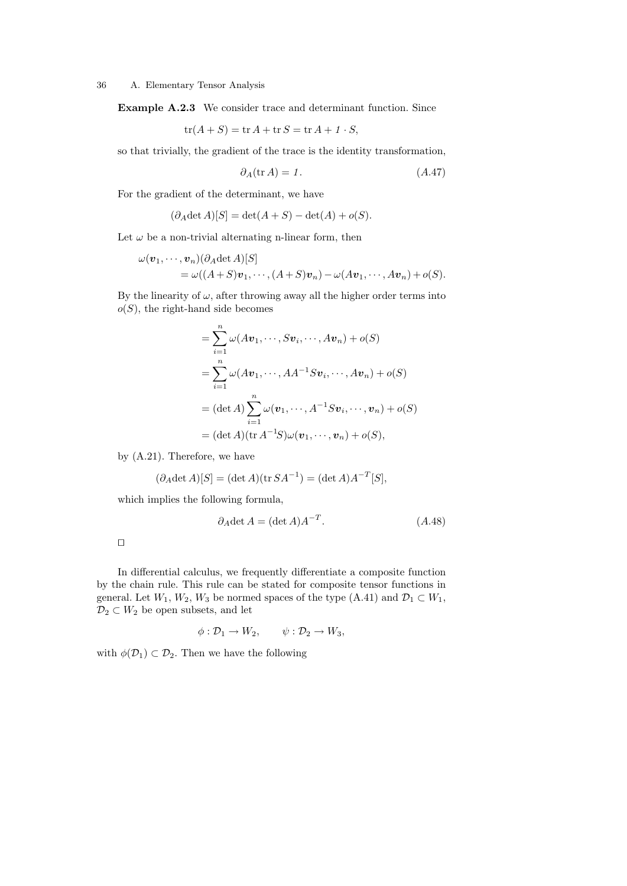Example A.2.3 We consider trace and determinant function. Since

$$
tr(A+S) = tr A + tr S = tr A + 1 \cdot S,
$$

so that trivially, the gradient of the trace is the identity transformation,

$$
\partial_A(\text{tr}\,A) = 1.\tag{A.47}
$$

For the gradient of the determinant, we have

$$
(\partial_A \det A)[S] = \det(A+S) - \det(A) + o(S).
$$

Let  $\omega$  be a non-trivial alternating n-linear form, then

$$
\omega(\boldsymbol{v}_1,\dots,\boldsymbol{v}_n)(\partial_A \det A)[S] \n= \omega((A+S)\boldsymbol{v}_1,\dots,(A+S)\boldsymbol{v}_n)-\omega(A\boldsymbol{v}_1,\dots,A\boldsymbol{v}_n)+o(S).
$$

By the linearity of  $\omega$ , after throwing away all the higher order terms into  $o(S)$ , the right-hand side becomes

$$
= \sum_{i=1}^{n} \omega(Av_1, \dots, Sv_i, \dots, Av_n) + o(S)
$$
  
= 
$$
\sum_{i=1}^{n} \omega(Av_1, \dots, AA^{-1}Sv_i, \dots, Av_n) + o(S)
$$
  
= 
$$
(\det A) \sum_{i=1}^{n} \omega(v_1, \dots, A^{-1}Sv_i, \dots, v_n) + o(S)
$$
  
= 
$$
(\det A)(\operatorname{tr} A^{-1}S)\omega(v_1, \dots, v_n) + o(S),
$$

by (A.21). Therefore, we have

$$
(\partial_A \det A)[S] = (\det A)(\operatorname{tr} SA^{-1}) = (\det A)A^{-T}[S],
$$

which implies the following formula,

$$
\partial_A \det A = (\det A) A^{-T}.
$$
\n
$$
(A.48)
$$

In differential calculus, we frequently differentiate a composite function by the chain rule. This rule can be stated for composite tensor functions in general. Let  $W_1,$   $W_2,$   $W_3$  be normed spaces of the type (A.41) and  $\mathcal{D}_1 \subset W_1$ ,  $\mathcal{D}_2 \subset W_2$  be open subsets, and let

$$
\phi: \mathcal{D}_1 \to W_2, \qquad \psi: \mathcal{D}_2 \to W_3,
$$

with  $\phi(\mathcal{D}_1) \subset \mathcal{D}_2$ . Then we have the following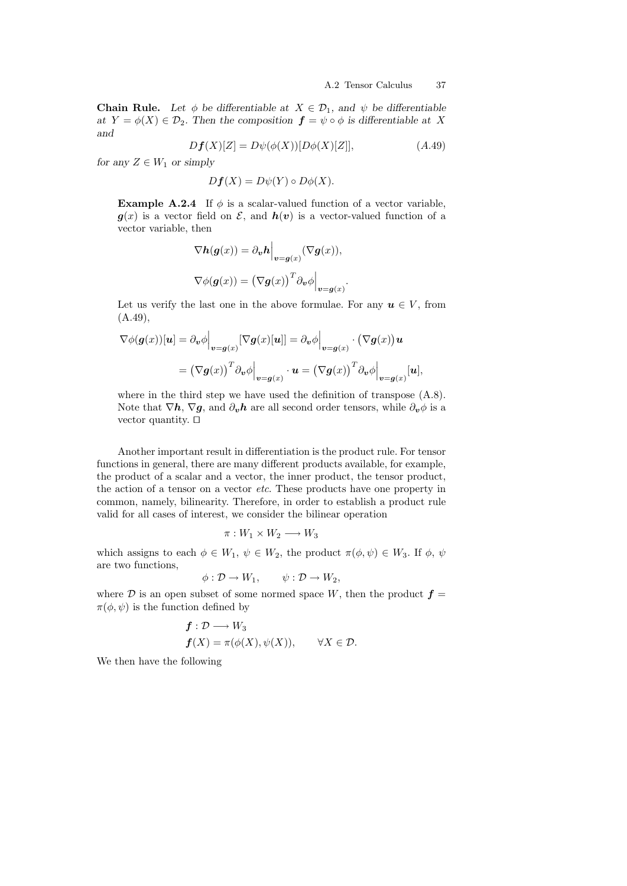**Chain Rule.** Let  $\phi$  be differentiable at  $X \in \mathcal{D}_1$ , and  $\psi$  be differentiable at  $Y = \phi(X) \in \mathcal{D}_2$ . Then the composition  $\mathbf{f} = \psi \circ \phi$  is differentiable at X and

$$
Df(X)[Z] = D\psi(\phi(X))[D\phi(X)[Z]], \qquad (A.49)
$$

for any  $Z \in W_1$  or simply

$$
Df(X) = D\psi(Y) \circ D\phi(X).
$$

**Example A.2.4** If  $\phi$  is a scalar-valued function of a vector variable,  $g(x)$  is a vector field on  $\mathcal{E}$ , and  $h(v)$  is a vector-valued function of a vector variable, then

$$
\nabla h(g(x)) = \partial_v h \Big|_{v = g(x)} (\nabla g(x)),
$$
  

$$
\nabla \phi(g(x)) = (\nabla g(x))^T \partial_v \phi \Big|_{v = g(x)}.
$$

Let us verify the last one in the above formulae. For any  $u \in V$ , from (A.49),

$$
\nabla \phi(\mathbf{g}(x))[\mathbf{u}] = \partial_{\mathbf{v}} \phi \Big|_{\mathbf{v} = \mathbf{g}(x)} [\nabla \mathbf{g}(x)[\mathbf{u}]] = \partial_{\mathbf{v}} \phi \Big|_{\mathbf{v} = \mathbf{g}(x)} \cdot (\nabla \mathbf{g}(x)) \mathbf{u}
$$

$$
= (\nabla \mathbf{g}(x))^T \partial_{\mathbf{v}} \phi \Big|_{\mathbf{v} = \mathbf{g}(x)} \cdot \mathbf{u} = (\nabla \mathbf{g}(x))^T \partial_{\mathbf{v}} \phi \Big|_{\mathbf{v} = \mathbf{g}(x)} [\mathbf{u}],
$$

where in the third step we have used the definition of transpose  $(A.8)$ . Note that  $\nabla h$ ,  $\nabla g$ , and  $\partial_{\boldsymbol{v}} h$  are all second order tensors, while  $\partial_{\boldsymbol{v}} \phi$  is a vector quantity.  $\square$ 

Another important result in differentiation is the product rule. For tensor functions in general, there are many different products available, for example, the product of a scalar and a vector, the inner product, the tensor product, the action of a tensor on a vector etc. These products have one property in common, namely, bilinearity. Therefore, in order to establish a product rule valid for all cases of interest, we consider the bilinear operation

$$
\pi: W_1 \times W_2 \longrightarrow W_3
$$

which assigns to each  $\phi \in W_1$ ,  $\psi \in W_2$ , the product  $\pi(\phi, \psi) \in W_3$ . If  $\phi$ ,  $\psi$ are two functions,

$$
\phi: \mathcal{D} \to W_1, \qquad \psi: \mathcal{D} \to W_2,
$$

where  $\mathcal D$  is an open subset of some normed space W, then the product  $\boldsymbol{f} =$  $\pi(\phi, \psi)$  is the function defined by

$$
f: \mathcal{D} \longrightarrow W_3
$$
  

$$
f(X) = \pi(\phi(X), \psi(X)), \quad \forall X \in \mathcal{D}.
$$

We then have the following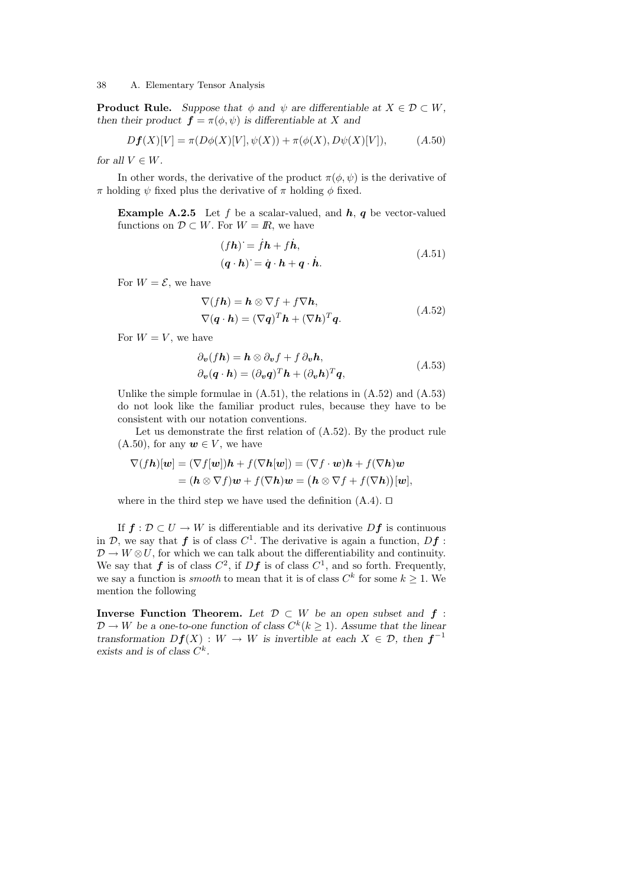**Product Rule.** Suppose that  $\phi$  and  $\psi$  are differentiable at  $X \in \mathcal{D} \subset W$ , then their product  $\mathbf{f} = \pi(\phi, \psi)$  is differentiable at X and

$$
Df(X)[V] = \pi(D\phi(X)[V], \psi(X)) + \pi(\phi(X), D\psi(X)[V]), \tag{A.50}
$$

for all  $V \in W$ .

In other words, the derivative of the product  $\pi(\phi, \psi)$  is the derivative of  $\pi$  holding  $\psi$  fixed plus the derivative of  $\pi$  holding  $\phi$  fixed.

**Example A.2.5** Let f be a scalar-valued, and  $h$ ,  $q$  be vector-valued functions on  $\mathcal{D} \subset W$ . For  $W = \mathbb{R}$ , we have

$$
(fh) = fh + fh,(q \cdot h) = \dot{q} \cdot h + q \cdot \dot{h}.
$$
 (A.51)

For  $W = \mathcal{E}$ , we have

$$
\nabla(fh) = \mathbf{h} \otimes \nabla f + f \nabla \mathbf{h},
$$
  
\n
$$
\nabla(\mathbf{q} \cdot \mathbf{h}) = (\nabla \mathbf{q})^T \mathbf{h} + (\nabla \mathbf{h})^T \mathbf{q}.
$$
\n(A.52)

For  $W = V$ , we have

$$
\partial_{\boldsymbol{v}}(fh) = \boldsymbol{h} \otimes \partial_{\boldsymbol{v}}f + f \partial_{\boldsymbol{v}}\boldsymbol{h},
$$
  
\n
$$
\partial_{\boldsymbol{v}}(\boldsymbol{q} \cdot \boldsymbol{h}) = (\partial_{\boldsymbol{v}}\boldsymbol{q})^T \boldsymbol{h} + (\partial_{\boldsymbol{v}}\boldsymbol{h})^T \boldsymbol{q},
$$
\n(A.53)

Unlike the simple formulae in  $(A.51)$ , the relations in  $(A.52)$  and  $(A.53)$ do not look like the familiar product rules, because they have to be consistent with our notation conventions.

Let us demonstrate the first relation of (A.52). By the product rule  $(A.50)$ , for any  $w \in V$ , we have

$$
\nabla(f\mathbf{h})[\mathbf{w}] = (\nabla f[\mathbf{w}])\mathbf{h} + f(\nabla \mathbf{h}[\mathbf{w}]) = (\nabla f \cdot \mathbf{w})\mathbf{h} + f(\nabla \mathbf{h})\mathbf{w}
$$
  
=  $(\mathbf{h} \otimes \nabla f)\mathbf{w} + f(\nabla \mathbf{h})\mathbf{w} = (\mathbf{h} \otimes \nabla f + f(\nabla \mathbf{h}))[\mathbf{w}],$ 

where in the third step we have used the definition  $(A.4)$ .  $\square$ 

If  $f: \mathcal{D} \subset U \to W$  is differentiable and its derivative  $Df$  is continuous in D, we say that  $f$  is of class  $C^1$ . The derivative is again a function,  $Df$ :  $\mathcal{D} \to W \otimes U$ , for which we can talk about the differentiability and continuity. We say that  $f$  is of class  $C^2$ , if  $Df$  is of class  $C^1$ , and so forth. Frequently, we say a function is *smooth* to mean that it is of class  $C^k$  for some  $k \geq 1$ . We mention the following

Inverse Function Theorem. Let  $\mathcal{D} \subset W$  be an open subset and  $f$ :  $\mathcal{D} \to W$  be a one-to-one function of class  $C^k(k \geq 1)$ . Assume that the linear transformation  $Df(X) : W \to W$  is invertible at each  $X \in \mathcal{D}$ , then  $f^{-1}$ exists and is of class  $C^k$ .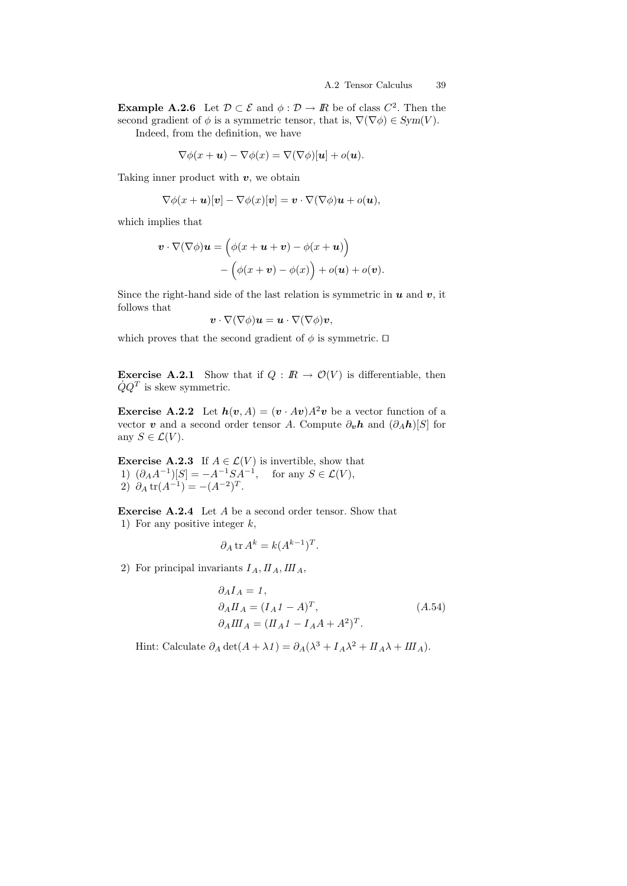**Example A.2.6** Let  $\mathcal{D} \subset \mathcal{E}$  and  $\phi : \mathcal{D} \to \mathbb{R}$  be of class  $C^2$ . Then the second gradient of  $\phi$  is a symmetric tensor, that is,  $\nabla(\nabla\phi) \in Sym(V)$ .

Indeed, from the definition, we have

$$
\nabla \phi(x + \mathbf{u}) - \nabla \phi(x) = \nabla (\nabla \phi)[\mathbf{u}] + o(\mathbf{u}).
$$

Taking inner product with  $v$ , we obtain

$$
\nabla \phi(x+\boldsymbol{u})[\boldsymbol{v}] - \nabla \phi(x)[\boldsymbol{v}] = \boldsymbol{v} \cdot \nabla(\nabla \phi) \boldsymbol{u} + o(\boldsymbol{u}),
$$

which implies that

$$
\mathbf{v} \cdot \nabla(\nabla \phi)\mathbf{u} = (\phi(x + \mathbf{u} + \mathbf{v}) - \phi(x + \mathbf{u})) - (\phi(x + \mathbf{v}) - \phi(x)) + o(\mathbf{u}) + o(\mathbf{v}).
$$

Since the right-hand side of the last relation is symmetric in  $u$  and  $v$ , it follows that

$$
\boldsymbol{v}\cdot\nabla(\nabla\phi)\boldsymbol{u}=\boldsymbol{u}\cdot\nabla(\nabla\phi)\boldsymbol{v},
$$

which proves that the second gradient of  $\phi$  is symmetric.  $\square$ 

**Exercise A.2.1** Show that if  $Q : \mathbb{R} \to \mathcal{O}(V)$  is differentiable, then  $\dot{Q}Q^{T}$  is skew symmetric.

**Exercise A.2.2** Let  $h(v, A) = (v \cdot Av)A^2v$  be a vector function of a vector v and a second order tensor A. Compute  $\partial_{\boldsymbol{v}} \boldsymbol{h}$  and  $(\partial_A \boldsymbol{h})[S]$  for any  $S \in \mathcal{L}(V)$ .

**Exercise A.2.3** If  $A \in \mathcal{L}(V)$  is invertible, show that 1)  $(\partial_A A^{-1})[S] = -A^{-1}SA^{-1}$ , for any  $S \in \mathcal{L}(V)$ , 2)  $\partial_A \text{tr}(A^{-1}) = -(A^{-2})^T$ .

Exercise A.2.4 Let A be a second order tensor. Show that 1) For any positive integer  $k$ ,

$$
\partial_A \operatorname{tr} A^k = k(A^{k-1})^T.
$$

2) For principal invariants  $I_A$ ,  $II_A$ ,  $III_A$ ,

$$
\partial_A I_A = 1,
$$
  
\n
$$
\partial_A II_A = (I_A 1 - A)^T,
$$
  
\n
$$
\partial_A III_A = (II_A 1 - I_A A + A^2)^T.
$$
\n(A.54)

Hint: Calculate  $\partial_A \det(A + \lambda I) = \partial_A (\lambda^3 + I_A \lambda^2 + II_A \lambda + III_A)$ .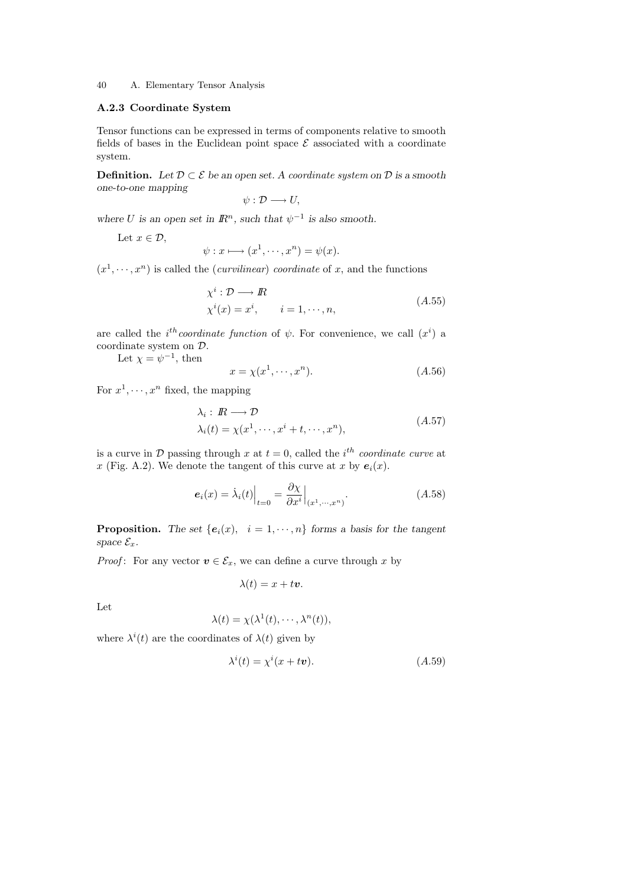# A.2.3 Coordinate System

Tensor functions can be expressed in terms of components relative to smooth fields of bases in the Euclidean point space  $\mathcal E$  associated with a coordinate system.

**Definition.** Let  $\mathcal{D} \subset \mathcal{E}$  be an open set. A coordinate system on  $\mathcal{D}$  is a smooth one-to-one mapping

$$
\psi:\mathcal{D}\longrightarrow U,
$$

where U is an open set in  $\mathbb{R}^n$ , such that  $\psi^{-1}$  is also smooth.

Let  $x \in \mathcal{D}$ ,

$$
\psi: x \longmapsto (x^1, \dots, x^n) = \psi(x).
$$

 $(x^1, \dots, x^n)$  is called the *(curvilinear)* coordinate of x, and the functions

$$
\chi^i : \mathcal{D} \longrightarrow \mathbb{R}
$$
  
\n
$$
\chi^i(x) = x^i, \qquad i = 1, \cdots, n,
$$
\n(A.55)

are called the *i*<sup>th</sup>coordinate function of  $\psi$ . For convenience, we call  $(x^{i})$  a coordinate system on D.

Let  $\chi = \psi^{-1}$ , then

$$
x = \chi(x^1, \cdots, x^n). \tag{A.56}
$$

For  $x^1, \dots, x^n$  fixed, the mapping

$$
\lambda_i: \mathbb{R} \longrightarrow \mathcal{D}
$$
  
\n
$$
\lambda_i(t) = \chi(x^1, \dots, x^i + t, \dots, x^n),
$$
\n
$$
(A.57)
$$

is a curve in  $\mathcal D$  passing through x at  $t=0$ , called the i<sup>th</sup> coordinate curve at x (Fig. A.2). We denote the tangent of this curve at x by  $e_i(x)$ .

$$
e_i(x) = \lambda_i(t) \Big|_{t=0} = \frac{\partial \chi}{\partial x^i} \Big|_{(x^1, \cdots, x^n)}.
$$
\n(A.58)

**Proposition.** The set  $\{e_i(x), i = 1, \dots, n\}$  forms a basis for the tangent space  $\mathcal{E}_x$ .

*Proof*: For any vector  $v \in \mathcal{E}_x$ , we can define a curve through x by

$$
\lambda(t) = x + tv.
$$

Let

$$
\lambda(t) = \chi(\lambda^1(t), \cdots, \lambda^n(t)),
$$

where  $\lambda^{i}(t)$  are the coordinates of  $\lambda(t)$  given by

$$
\lambda^{i}(t) = \chi^{i}(x + t\mathbf{v}).\tag{A.59}
$$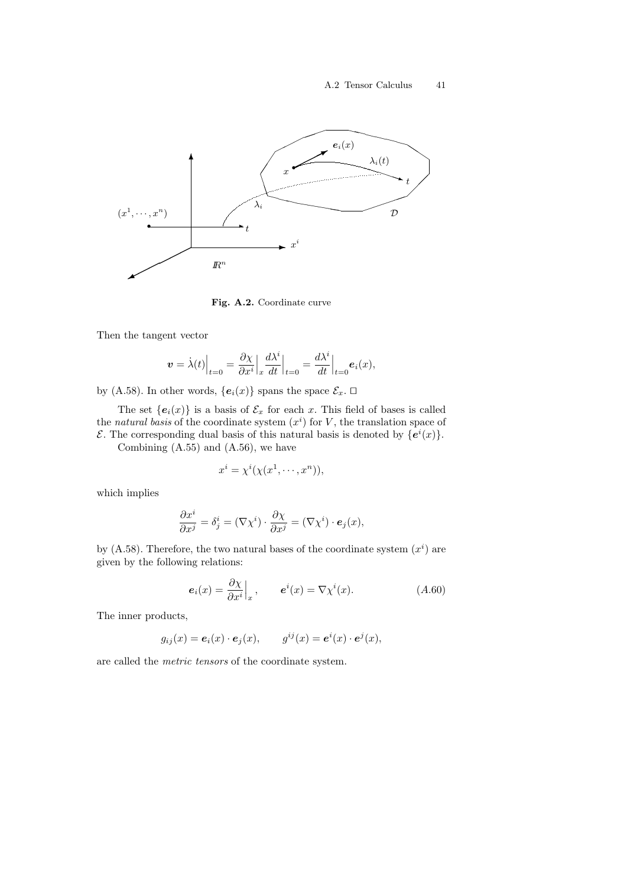

Fig. A.2. Coordinate curve

Then the tangent vector

$$
\boldsymbol{v} = \dot{\lambda}(t)\Big|_{t=0} = \frac{\partial \chi}{\partial x^i}\Big|_x \frac{d\lambda^i}{dt}\Big|_{t=0} = \frac{d\lambda^i}{dt}\Big|_{t=0} \boldsymbol{e}_i(x),
$$

by (A.58). In other words,  ${e_i(x)}$  spans the space  $\mathcal{E}_x$ .  $\Box$ 

The set  ${e_i(x)}$  is a basis of  $\mathcal{E}_x$  for each x. This field of bases is called the natural basis of the coordinate system  $(x<sup>i</sup>)$  for V, the translation space of  $\mathcal{E}$ . The corresponding dual basis of this natural basis is denoted by  ${e^{i}(x)}$ .

Combining (A.55) and (A.56), we have

$$
x^i = \chi^i(\chi(x^1, \dots, x^n)),
$$

which implies

$$
\frac{\partial x^i}{\partial x^j} = \delta^i_j = (\nabla \chi^i) \cdot \frac{\partial \chi}{\partial x^j} = (\nabla \chi^i) \cdot \mathbf{e}_j(x),
$$

by  $(A.58)$ . Therefore, the two natural bases of the coordinate system  $(x<sup>i</sup>)$  are given by the following relations:

$$
\mathbf{e}_i(x) = \frac{\partial \chi}{\partial x^i} \Big|_x, \qquad \mathbf{e}^i(x) = \nabla \chi^i(x). \tag{A.60}
$$

The inner products,

$$
g_{ij}(x) = \boldsymbol{e}_i(x) \cdot \boldsymbol{e}_j(x), \qquad g^{ij}(x) = \boldsymbol{e}^i(x) \cdot \boldsymbol{e}^j(x),
$$

are called the metric tensors of the coordinate system.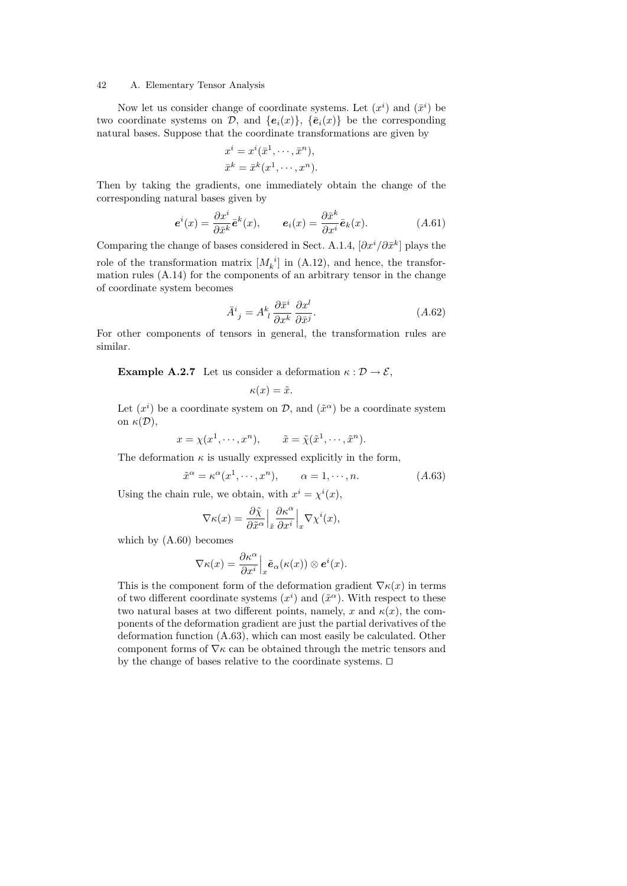Now let us consider change of coordinate systems. Let  $(x<sup>i</sup>)$  and  $(\bar{x}<sup>i</sup>)$  be two coordinate systems on  $\mathcal{D}$ , and  $\{e_i(x)\}\$ ,  $\{\bar{e}_i(x)\}\$ be the corresponding natural bases. Suppose that the coordinate transformations are given by

$$
x^{i} = x^{i}(\bar{x}^{1}, \cdots, \bar{x}^{n}),
$$
  

$$
\bar{x}^{k} = \bar{x}^{k}(x^{1}, \cdots, x^{n}).
$$

Then by taking the gradients, one immediately obtain the change of the corresponding natural bases given by

$$
\mathbf{e}^{i}(x) = \frac{\partial x^{i}}{\partial \bar{x}^{k}} \bar{\mathbf{e}}^{k}(x), \qquad \mathbf{e}_{i}(x) = \frac{\partial \bar{x}^{k}}{\partial x^{i}} \bar{\mathbf{e}}_{k}(x). \tag{A.61}
$$

Comparing the change of bases considered in Sect. A.1.4,  $[\partial x^i/\partial \bar{x}^k]$  plays the role of the transformation matrix  $[M_k^{\ i}]$  in  $(A.12)$ , and hence, the transformation rules (A.14) for the components of an arbitrary tensor in the change of coordinate system becomes

$$
\bar{A}^i_{\ j} = A^k_{\ l} \frac{\partial \bar{x}^i}{\partial x^k} \frac{\partial x^l}{\partial \bar{x}^j}.
$$
\n(A.62)

For other components of tensors in general, the transformation rules are similar.

**Example A.2.7** Let us consider a deformation  $\kappa : \mathcal{D} \to \mathcal{E}$ ,

$$
\kappa(x) = \tilde{x}.
$$

Let  $(x^{i})$  be a coordinate system on  $\mathcal{D}$ , and  $(\tilde{x}^{\alpha})$  be a coordinate system on  $\kappa(\mathcal{D}),$ 

$$
x = \chi(x^1, \dots, x^n), \qquad \tilde{x} = \tilde{\chi}(\tilde{x}^1, \dots, \tilde{x}^n).
$$

The deformation  $\kappa$  is usually expressed explicitly in the form,

$$
\tilde{x}^{\alpha} = \kappa^{\alpha}(x^1, \dots, x^n), \qquad \alpha = 1, \dots, n. \tag{A.63}
$$

Using the chain rule, we obtain, with  $x^i = \chi^i(x)$ ,

$$
\nabla \kappa(x) = \frac{\partial \tilde{\chi}}{\partial \tilde{x}^{\alpha}} \Big|_{\tilde{x}} \frac{\partial \kappa^{\alpha}}{\partial x^{i}} \Big|_{x} \nabla \chi^{i}(x),
$$

which by (A.60) becomes

$$
\nabla \kappa(x) = \frac{\partial \kappa^{\alpha}}{\partial x^{i}} \Big|_{x} \tilde{\boldsymbol{e}}_{\alpha}(\kappa(x)) \otimes \boldsymbol{e}^{i}(x).
$$

This is the component form of the deformation gradient  $\nabla \kappa(x)$  in terms of two different coordinate systems  $(x^{i})$  and  $(\tilde{x}^{\alpha})$ . With respect to these two natural bases at two different points, namely, x and  $\kappa(x)$ , the components of the deformation gradient are just the partial derivatives of the deformation function (A.63), which can most easily be calculated. Other component forms of  $\nabla \kappa$  can be obtained through the metric tensors and by the change of bases relative to the coordinate systems.  $\Box$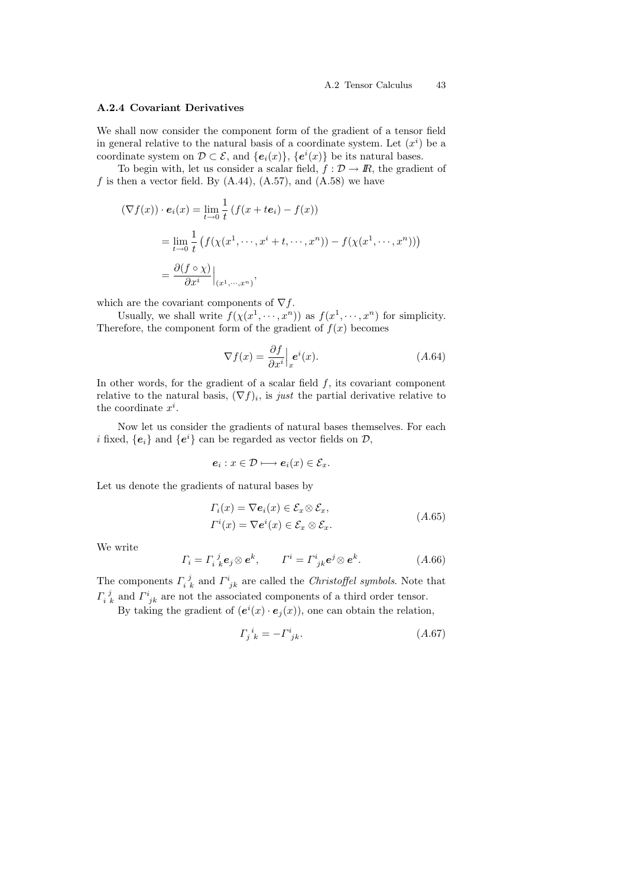### A.2.4 Covariant Derivatives

We shall now consider the component form of the gradient of a tensor field in general relative to the natural basis of a coordinate system. Let  $(x<sup>i</sup>)$  be a coordinate system on  $\mathcal{D} \subset \mathcal{E}$ , and  $\{e_i(x)\}, \{e^i(x)\}\$ be its natural bases.

To begin with, let us consider a scalar field,  $f: \mathcal{D} \to \mathbb{R}$ , the gradient of f is then a vector field. By  $(A.44)$ ,  $(A.57)$ , and  $(A.58)$  we have

$$
(\nabla f(x)) \cdot \mathbf{e}_i(x) = \lim_{t \to 0} \frac{1}{t} \left( f(x + t\mathbf{e}_i) - f(x) \right)
$$
  
= 
$$
\lim_{t \to 0} \frac{1}{t} \left( f(\chi(x^1, \dots, x^i + t, \dots, x^n)) - f(\chi(x^1, \dots, x^n)) \right)
$$
  
= 
$$
\frac{\partial (f \circ \chi)}{\partial x^i} \Big|_{(x^1, \dots, x^n)},
$$

which are the covariant components of  $\nabla f$ .

Usually, we shall write  $f(\chi(x^1, \dots, x^n))$  as  $f(x^1, \dots, x^n)$  for simplicity. Therefore, the component form of the gradient of  $f(x)$  becomes

$$
\nabla f(x) = \frac{\partial f}{\partial x^i} \Big|_{x} e^i(x). \tag{A.64}
$$

In other words, for the gradient of a scalar field  $f$ , its covariant component relative to the natural basis,  $(\nabla f)_i$ , is just the partial derivative relative to the coordinate  $x^i$ .

Now let us consider the gradients of natural bases themselves. For each *i* fixed,  ${e_i}$  and  ${e^i}$  can be regarded as vector fields on  $D$ ,

$$
e_i: x \in \mathcal{D} \longmapsto e_i(x) \in \mathcal{E}_x.
$$

Let us denote the gradients of natural bases by

$$
\Gamma_i(x) = \nabla e_i(x) \in \mathcal{E}_x \otimes \mathcal{E}_x, \n\Gamma^i(x) = \nabla e^i(x) \in \mathcal{E}_x \otimes \mathcal{E}_x.
$$
\n(A.65)

We write

$$
\Gamma_i = \Gamma_i^j{}_k \mathbf{e}_j \otimes \mathbf{e}^k, \qquad \Gamma^i = \Gamma^i_{jk} \mathbf{e}^j \otimes \mathbf{e}^k. \tag{A.66}
$$

The components  $\Gamma_{i,k}^{j}$  and  $\Gamma_{jk}^{i}$  are called the *Christoffel symbols*. Note that  $\Gamma_{i,k}^{j}$  and  $\Gamma_{jk}^{i}$  are not the associated components of a third order tensor.

By taking the gradient of  $(e^{i}(x) \cdot e_{j}(x))$ , one can obtain the relation,

$$
\Gamma_j^i{}_{k} = -\Gamma^i_{\ jk}.\tag{A.67}
$$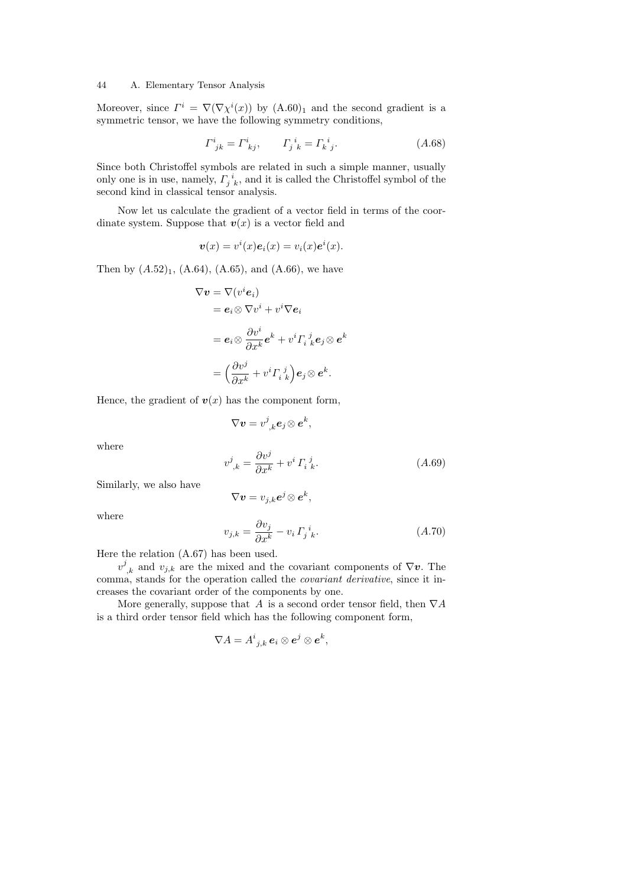Moreover, since  $\Gamma^i = \nabla(\nabla \chi^i(x))$  by  $(A.60)_1$  and the second gradient is a symmetric tensor, we have the following symmetry conditions,

$$
\Gamma^i_{jk} = \Gamma^i_{kj}, \qquad \Gamma^i_{jk} = \Gamma^i_{k\ j}.
$$
\n(A.68)

Since both Christoffel symbols are related in such a simple manner, usually only one is in use, namely,  $\prod_{j=1}^{i}$ , and it is called the Christoffel symbol of the second kind in classical tensor analysis.

Now let us calculate the gradient of a vector field in terms of the coordinate system. Suppose that  $v(x)$  is a vector field and

$$
\boldsymbol{v}(x) = v^i(x)\boldsymbol{e}_i(x) = v_i(x)\boldsymbol{e}^i(x).
$$

Then by  $(A.52)_1$ ,  $(A.64)$ ,  $(A.65)$ , and  $(A.66)$ , we have

$$
\nabla \mathbf{v} = \nabla (v^i \mathbf{e}_i)
$$
  
=  $\mathbf{e}_i \otimes \nabla v^i + v^i \nabla \mathbf{e}_i$   
=  $\mathbf{e}_i \otimes \frac{\partial v^i}{\partial x^k} \mathbf{e}^k + v^i \Gamma_i^j{}_{k}^j \mathbf{e}_j \otimes \mathbf{e}^k$   
=  $\left(\frac{\partial v^j}{\partial x^k} + v^i \Gamma_i^j{}_{k}^j\right) \mathbf{e}_j \otimes \mathbf{e}^k$ .

Hence, the gradient of  $v(x)$  has the component form,

$$
\nabla \boldsymbol{v} = v^j_{~,k} \boldsymbol{e}_j \otimes \boldsymbol{e}^k,
$$

where

$$
v_{\ ,k}^{j} = \frac{\partial v^{j}}{\partial x^{k}} + v^{i} \Gamma_{i \ k}^{\ j}.
$$
 (A.69)

Similarly, we also have

$$
\nabla \boldsymbol{v} = v_{j,k} \boldsymbol{e}^j \otimes \boldsymbol{e}^k,
$$

where

$$
v_{j,k} = \frac{\partial v_j}{\partial x^k} - v_i \, \Gamma_j \, \dot{v}_k. \tag{A.70}
$$

Here the relation (A.67) has been used.

 $v^j_{,k}$  and  $v_{j,k}$  are the mixed and the covariant components of  $\nabla \nu$ . The comma, stands for the operation called the covariant derivative, since it increases the covariant order of the components by one.

More generally, suppose that A is a second order tensor field, then  $\nabla A$ is a third order tensor field which has the following component form,

$$
\nabla A = A^i_{\phantom{i}j,k} \, \boldsymbol{e}_i \otimes \boldsymbol{e}^j \otimes \boldsymbol{e}^k,
$$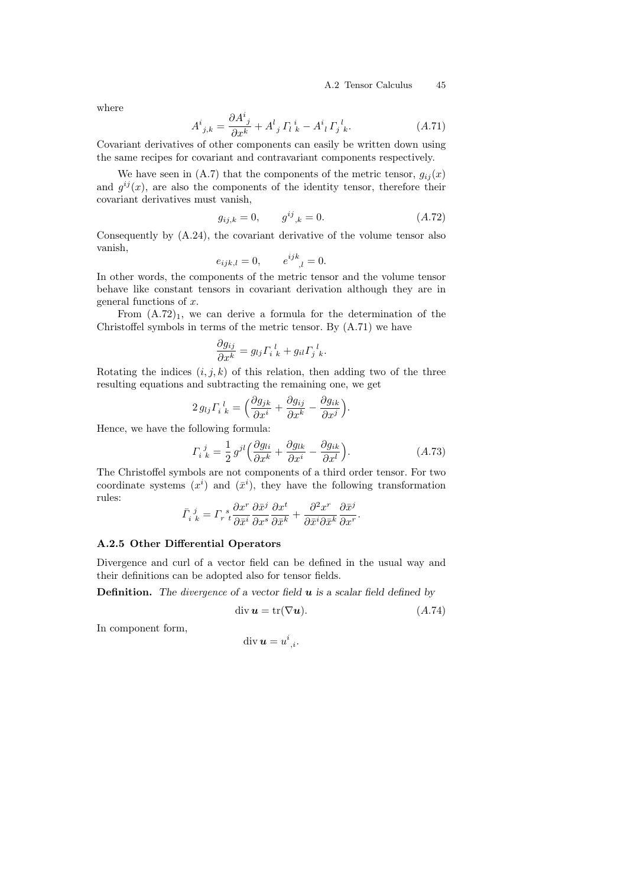where

$$
A^{i}_{\ j,k} = \frac{\partial A^{i}_{\ j}}{\partial x^{k}} + A^{l}_{\ j} \Gamma_{l\ k}^{i} - A^{i}_{\ l} \Gamma_{j\ k}^{l}.
$$
 (A.71)

Covariant derivatives of other components can easily be written down using the same recipes for covariant and contravariant components respectively.

We have seen in (A.7) that the components of the metric tensor,  $g_{ij}(x)$ and  $g^{ij}(x)$ , are also the components of the identity tensor, therefore their covariant derivatives must vanish,

$$
g_{ij,k} = 0, \qquad g^{ij}_{\ ,k} = 0. \tag{A.72}
$$

Consequently by (A.24), the covariant derivative of the volume tensor also vanish,

$$
e_{ijk,l} = 0,
$$
  $e^{ijk}_{,l} = 0.$ 

In other words, the components of the metric tensor and the volume tensor behave like constant tensors in covariant derivation although they are in general functions of x.

From  $(A.72)_1$ , we can derive a formula for the determination of the Christoffel symbols in terms of the metric tensor. By (A.71) we have

$$
\frac{\partial g_{ij}}{\partial x^k} = g_{lj} \Gamma_i{}^l{}_k + g_{il} \Gamma_j{}^l{}_k.
$$

Rotating the indices  $(i, j, k)$  of this relation, then adding two of the three resulting equations and subtracting the remaining one, we get

$$
2 g_{lj} \Gamma_i^{\ l}_{k} = \left(\frac{\partial g_{jk}}{\partial x^i} + \frac{\partial g_{ij}}{\partial x^k} - \frac{\partial g_{ik}}{\partial x^j}\right).
$$

Hence, we have the following formula:

$$
\Gamma_i{}^j{}_k = \frac{1}{2} g^{jl} \left( \frac{\partial g_{li}}{\partial x^k} + \frac{\partial g_{lk}}{\partial x^i} - \frac{\partial g_{ik}}{\partial x^l} \right). \tag{A.73}
$$

The Christoffel symbols are not components of a third order tensor. For two coordinate systems  $(x^{i})$  and  $(\bar{x}^{i})$ , they have the following transformation rules: j  $\frac{1}{2}$ 

$$
\bar{\varGamma}_{i\;k}^{\;\;j} = \varGamma_{r\;t}^{\;\;s} \frac{\partial x^r}{\partial \bar{x}^i} \frac{\partial \bar{x}^j}{\partial x^s} \frac{\partial x^t}{\partial \bar{x}^k} + \frac{\partial^2 x^r}{\partial \bar{x}^i \partial \bar{x}^k} \frac{\partial \bar{x}^j}{\partial x^r}.
$$

### A.2.5 Other Differential Operators

Divergence and curl of a vector field can be defined in the usual way and their definitions can be adopted also for tensor fields.

**Definition.** The divergence of a vector field  $u$  is a scalar field defined by

$$
\operatorname{div} \mathbf{u} = \operatorname{tr}(\nabla \mathbf{u}).\tag{A.74}
$$

In component form,

$$
\operatorname{div} \boldsymbol{u} = u^i_{\ ,i}.
$$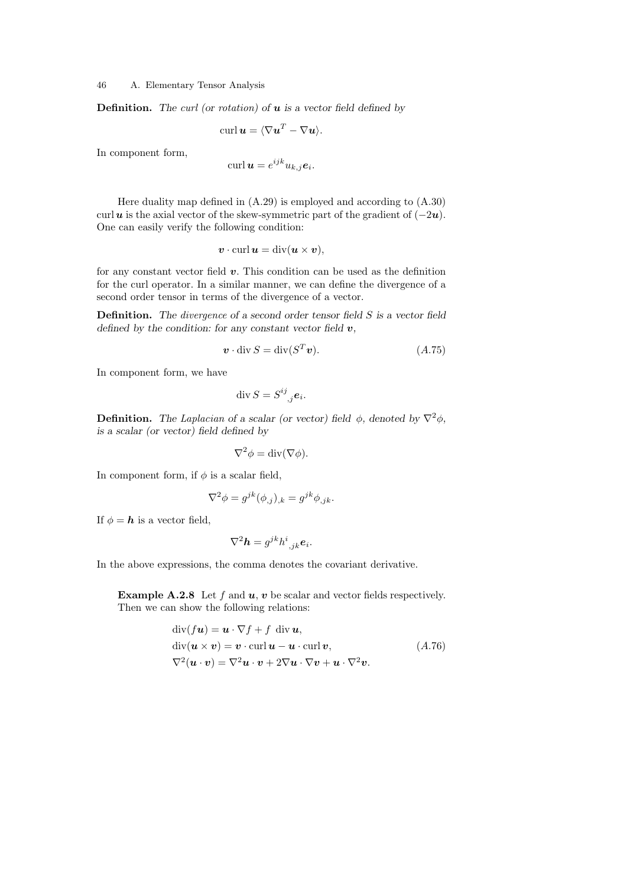**Definition.** The curl (or rotation) of  $u$  is a vector field defined by

$$
\operatorname{curl} \boldsymbol{u} = \langle \nabla \boldsymbol{u}^T - \nabla \boldsymbol{u} \rangle.
$$

In component form,

$$
\operatorname{curl} \boldsymbol{u} = e^{ijk} u_{k,j} \boldsymbol{e}_i.
$$

Here duality map defined in (A.29) is employed and according to (A.30) curl u is the axial vector of the skew-symmetric part of the gradient of  $(-2u)$ . One can easily verify the following condition:

$$
\boldsymbol{v} \cdot \operatorname{curl} \boldsymbol{u} = \operatorname{div} (\boldsymbol{u} \times \boldsymbol{v}),
$$

for any constant vector field  $v$ . This condition can be used as the definition for the curl operator. In a similar manner, we can define the divergence of a second order tensor in terms of the divergence of a vector.

Definition. The divergence of a second order tensor field S is a vector field defined by the condition: for any constant vector field  $v$ ,

$$
\mathbf{v} \cdot \operatorname{div} S = \operatorname{div} (S^T \mathbf{v}).\tag{A.75}
$$

In component form, we have

$$
\operatorname{div} S = S^{ij}_{\quad j} \mathbf{e}_i.
$$

**Definition.** The Laplacian of a scalar (or vector) field  $\phi$ , denoted by  $\nabla^2 \phi$ , is a scalar (or vector) field defined by

$$
\nabla^2 \phi = \text{div}(\nabla \phi).
$$

In component form, if  $\phi$  is a scalar field,

$$
\nabla^2 \phi = g^{jk}(\phi_{,j})_{,k} = g^{jk} \phi_{,jk}.
$$

If  $\phi = h$  is a vector field,

$$
\nabla^2 \mathbf{h} = g^{jk} h^i_{j,k} \mathbf{e}_i.
$$

In the above expressions, the comma denotes the covariant derivative.

**Example A.2.8** Let f and  $u$ ,  $v$  be scalar and vector fields respectively. Then we can show the following relations:

$$
\text{div}(f\boldsymbol{u}) = \boldsymbol{u} \cdot \nabla f + f \quad \text{div}\,\boldsymbol{u},
$$
\n
$$
\text{div}(\boldsymbol{u} \times \boldsymbol{v}) = \boldsymbol{v} \cdot \text{curl}\,\boldsymbol{u} - \boldsymbol{u} \cdot \text{curl}\,\boldsymbol{v},
$$
\n
$$
\nabla^2(\boldsymbol{u} \cdot \boldsymbol{v}) = \nabla^2 \boldsymbol{u} \cdot \boldsymbol{v} + 2\nabla \boldsymbol{u} \cdot \nabla \boldsymbol{v} + \boldsymbol{u} \cdot \nabla^2 \boldsymbol{v}.
$$
\n(A.76)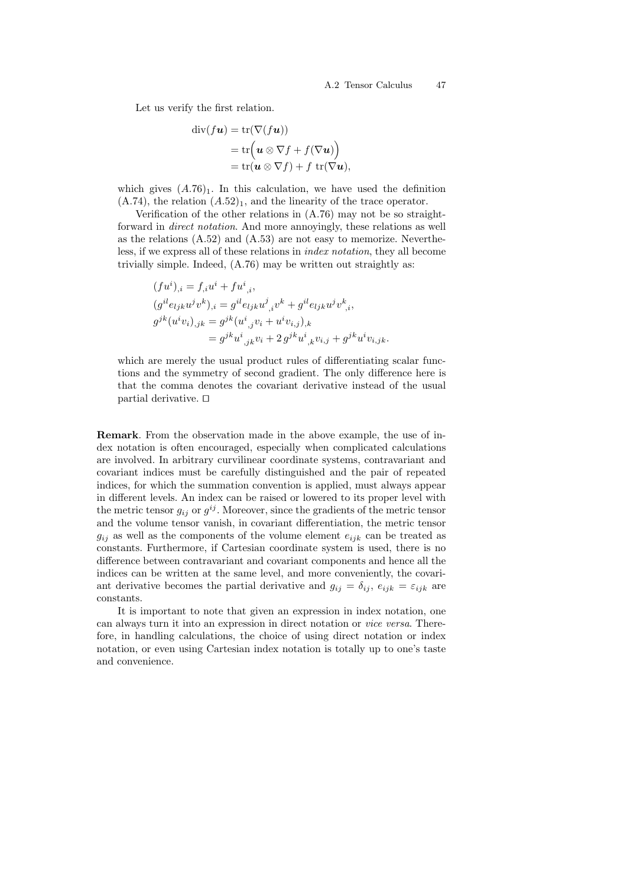Let us verify the first relation.

$$
\begin{aligned} \operatorname{div}(f\boldsymbol{u}) &= \operatorname{tr}(\nabla(f\boldsymbol{u})) \\ &= \operatorname{tr}\Bigl(\boldsymbol{u} \otimes \nabla f + f(\nabla \boldsymbol{u})\Bigr) \\ &= \operatorname{tr}(\boldsymbol{u} \otimes \nabla f) + f \operatorname{tr}(\nabla \boldsymbol{u}), \end{aligned}
$$

which gives  $(A.76)<sub>1</sub>$ . In this calculation, we have used the definition  $(A.74)$ , the relation  $(A.52)_1$ , and the linearity of the trace operator.

Verification of the other relations in (A.76) may not be so straightforward in direct notation. And more annoyingly, these relations as well as the relations (A.52) and (A.53) are not easy to memorize. Nevertheless, if we express all of these relations in index notation, they all become trivially simple. Indeed, (A.76) may be written out straightly as:

$$
(fu^i)_i = f_i u^i + fu^i{}_{,i},
$$
  
\n
$$
(g^{il}e_{ljk}u^jv^k)_{,i} = g^{il}e_{ljk}u^j{}_{,i}v^k + g^{il}e_{ljk}u^jv^k{}_{,i},
$$
  
\n
$$
g^{jk}(u^iv_i)_{,jk} = g^{jk}(u^i{}_{,j}v_i + u^iv_{i,j})_{,k}
$$
  
\n
$$
= g^{jk}u^i{}_{,jk}v_i + 2g^{jk}u^i{}_{,k}v_{i,j} + g^{jk}u^iv_{i,jk}.
$$

which are merely the usual product rules of differentiating scalar functions and the symmetry of second gradient. The only difference here is that the comma denotes the covariant derivative instead of the usual partial derivative.  $\Box$ 

Remark. From the observation made in the above example, the use of index notation is often encouraged, especially when complicated calculations are involved. In arbitrary curvilinear coordinate systems, contravariant and covariant indices must be carefully distinguished and the pair of repeated indices, for which the summation convention is applied, must always appear in different levels. An index can be raised or lowered to its proper level with the metric tensor  $g_{ij}$  or  $g^{ij}$ . Moreover, since the gradients of the metric tensor and the volume tensor vanish, in covariant differentiation, the metric tensor  $g_{ij}$  as well as the components of the volume element  $e_{ijk}$  can be treated as constants. Furthermore, if Cartesian coordinate system is used, there is no difference between contravariant and covariant components and hence all the indices can be written at the same level, and more conveniently, the covariant derivative becomes the partial derivative and  $g_{ij} = \delta_{ij}$ ,  $e_{ijk} = \varepsilon_{ijk}$  are constants.

It is important to note that given an expression in index notation, one can always turn it into an expression in direct notation or vice versa. Therefore, in handling calculations, the choice of using direct notation or index notation, or even using Cartesian index notation is totally up to one's taste and convenience.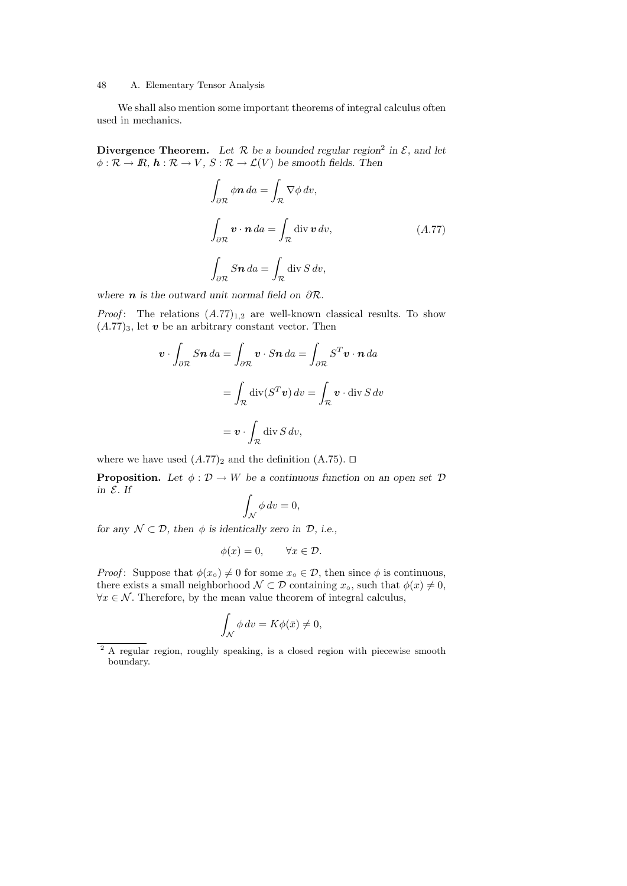We shall also mention some important theorems of integral calculus often used in mechanics.

Divergence Theorem. Let  $R$  be a bounded regular region<sup>2</sup> in  $\mathcal{E}$ , and let  $\phi : \mathcal{R} \to \mathbb{R}, h : \mathcal{R} \to V, S : \mathcal{R} \to \mathcal{L}(V)$  be smooth fields. Then

$$
\int_{\partial \mathcal{R}} \phi \mathbf{n} \, da = \int_{\mathcal{R}} \nabla \phi \, dv,
$$
\n
$$
\int_{\partial \mathcal{R}} \mathbf{v} \cdot \mathbf{n} \, da = \int_{\mathcal{R}} \text{div} \, \mathbf{v} \, dv,
$$
\n
$$
\int_{\partial \mathcal{R}} S \mathbf{n} \, da = \int_{\mathcal{R}} \text{div} \, S \, dv,
$$
\n
$$
(A.77)
$$

where **n** is the outward unit normal field on  $\partial \mathcal{R}$ .

*Proof*: The relations  $(A.77)_{1,2}$  are well-known classical results. To show  $(A.77)_3$ , let v be an arbitrary constant vector. Then

$$
\mathbf{v} \cdot \int_{\partial \mathcal{R}} S \mathbf{n} \, da = \int_{\partial \mathcal{R}} \mathbf{v} \cdot S \mathbf{n} \, da = \int_{\partial \mathcal{R}} S^T \mathbf{v} \cdot \mathbf{n} \, da
$$

$$
= \int_{\mathcal{R}} \text{div}(S^T \mathbf{v}) \, dv = \int_{\mathcal{R}} \mathbf{v} \cdot \text{div } S \, dv
$$

$$
= \mathbf{v} \cdot \int_{\mathcal{R}} \text{div } S \, dv,
$$

where we have used  $(A.77)_2$  and the definition  $(A.75)$ .  $\Box$ 

**Proposition.** Let  $\phi : \mathcal{D} \to W$  be a continuous function on an open set  $\mathcal{D}$ in  $E$ . If

$$
\int_{\mathcal{N}} \phi \, dv = 0,
$$

for any  $\mathcal{N} \subset \mathcal{D}$ , then  $\phi$  is identically zero in  $\mathcal{D}$ , i.e.,

$$
\phi(x) = 0, \qquad \forall x \in \mathcal{D}.
$$

*Proof*: Suppose that  $\phi(x_0) \neq 0$  for some  $x_0 \in \mathcal{D}$ , then since  $\phi$  is continuous, there exists a small neighborhood  $\mathcal{N} \subset \mathcal{D}$  containing  $x_0$ , such that  $\phi(x) \neq 0$ ,  $\forall x \in \mathcal{N}$ . Therefore, by the mean value theorem of integral calculus,

$$
\int_{\mathcal{N}} \phi \, dv = K\phi(\bar{x}) \neq 0,
$$

<sup>&</sup>lt;sup>2</sup> A regular region, roughly speaking, is a closed region with piecewise smooth boundary.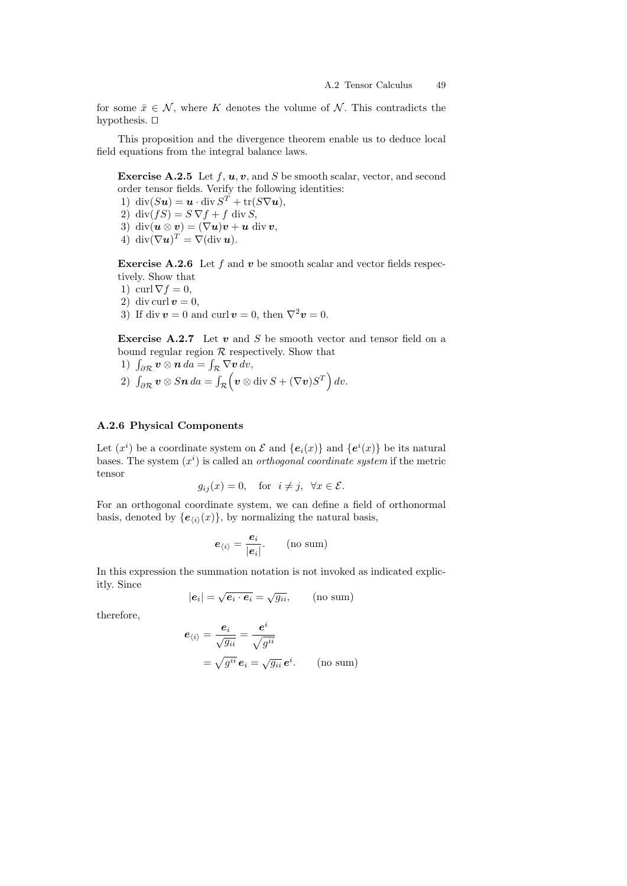for some  $\bar{x} \in \mathcal{N}$ , where K denotes the volume of N. This contradicts the hypothesis.  $\square$ 

This proposition and the divergence theorem enable us to deduce local field equations from the integral balance laws.

**Exercise A.2.5** Let  $f, u, v$ , and  $S$  be smooth scalar, vector, and second order tensor fields. Verify the following identities:

1) div $(Su) = u \cdot \text{div } S^T + \text{tr}(S\nabla u),$ 

2) div $(fS) = S \nabla f + f$  div S,

3) div $(\mathbf{u} \otimes \mathbf{v}) = (\nabla \mathbf{u})\mathbf{v} + \mathbf{u}$  div  $\mathbf{v}$ ,

4) div $(\nabla \mathbf{u})^T = \nabla(\text{div } \mathbf{u}).$ 

**Exercise A.2.6** Let f and v be smooth scalar and vector fields respectively. Show that

- 1) curl  $\nabla f = 0$ ,
- 2) div curl  $v = 0$ ,
- 3) If div  $\mathbf{v} = 0$  and curl  $\mathbf{v} = 0$ , then  $\nabla^2 \mathbf{v} = 0$ .

**Exercise A.2.7** Let  $v$  and  $S$  be smooth vector and tensor field on a bound regular region  $R$  respectively. Show that

- 1)  $\int_{\partial \mathcal{R}} \boldsymbol{v} \otimes \boldsymbol{n} da = \int_{\mathcal{R}} \nabla \boldsymbol{v} dv$ ,
- $2) \ \ \int_{\partial \mathcal{R}}\bm{v}\otimes S\bm{n}\,da = \int_{\mathcal{R}}\Bigl(\bm{v}\otimes \mathrm{div}\,S + (\nabla \bm{v})S^T\Bigr)\,dv.$

# A.2.6 Physical Components

Let  $(x^i)$  be a coordinate system on  $\mathcal E$  and  $\{e_i(x)\}\$  and  $\{e^i(x)\}\$  be its natural bases. The system  $(x<sup>i</sup>)$  is called an *orthogonal coordinate system* if the metric tensor

$$
g_{ij}(x) = 0
$$
, for  $i \neq j$ ,  $\forall x \in \mathcal{E}$ .

For an orthogonal coordinate system, we can define a field of orthonormal basis, denoted by  $\{e_{\langle i \rangle}(x)\}\$ , by normalizing the natural basis,

$$
\boldsymbol{e}_{\langle i\rangle}=\frac{\boldsymbol{e}_i}{|\boldsymbol{e}_i|}.
$$
 (no sum)

In this expression the summation notation is not invoked as indicated explicitly. Since √ √

$$
|\mathbf{e}_i| = \sqrt{\mathbf{e}_i \cdot \mathbf{e}_i} = \sqrt{g_{ii}}, \qquad \text{(no sum)}
$$

therefore,

$$
\mathbf{e}_{\langle i \rangle} = \frac{\mathbf{e}_i}{\sqrt{g_{ii}}} = \frac{\mathbf{e}^i}{\sqrt{g^{ii}}}
$$

$$
= \sqrt{g^{ii}} \mathbf{e}_i = \sqrt{g_{ii}} \mathbf{e}^i. \qquad \text{(no sum)}
$$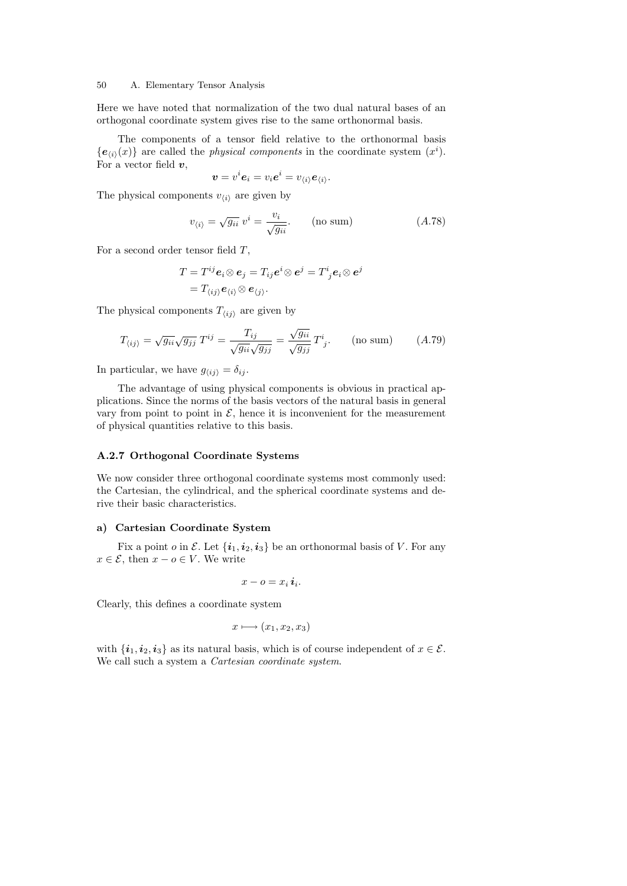Here we have noted that normalization of the two dual natural bases of an orthogonal coordinate system gives rise to the same orthonormal basis.

The components of a tensor field relative to the orthonormal basis  ${e_{i}(x)}$  are called the *physical components* in the coordinate system  $(x<sup>i</sup>)$ . For a vector field  $v$ ,

$$
\boldsymbol{v}=v^i\boldsymbol{e}_i=v_i\boldsymbol{e}^i=v_{\langle i\rangle}\boldsymbol{e}_{\langle i\rangle}.
$$

The physical components  $v_{\langle i \rangle}$  are given by

$$
v_{\langle i \rangle} = \sqrt{g_{ii}} \ v^i = \frac{v_i}{\sqrt{g_{ii}}}.
$$
 (no sum) \t\t (A.78)

For a second order tensor field T,

$$
T = T^{ij} \mathbf{e}_i \otimes \mathbf{e}_j = T_{ij} \mathbf{e}^i \otimes \mathbf{e}^j = T^i{}_j \mathbf{e}_i \otimes \mathbf{e}^j
$$
  
=  $T_{\langle ij \rangle} \mathbf{e}_{\langle i \rangle} \otimes \mathbf{e}_{\langle j \rangle}.$ 

The physical components  $T_{\langle ij \rangle}$  are given by

$$
T_{\langle ij \rangle} = \sqrt{g_{ii}} \sqrt{g_{jj}} \ T^{ij} = \frac{T_{ij}}{\sqrt{g_{ii}} \sqrt{g_{jj}}} = \frac{\sqrt{g_{ii}}}{\sqrt{g_{jj}}} \ T^{i}_{j}. \qquad \text{(no sum)} \tag{A.79}
$$

In particular, we have  $g_{\langle ij \rangle} = \delta_{ij}$ .

The advantage of using physical components is obvious in practical applications. Since the norms of the basis vectors of the natural basis in general vary from point to point in  $\mathcal{E}$ , hence it is inconvenient for the measurement of physical quantities relative to this basis.

# A.2.7 Orthogonal Coordinate Systems

We now consider three orthogonal coordinate systems most commonly used: the Cartesian, the cylindrical, and the spherical coordinate systems and derive their basic characteristics.

#### a) Cartesian Coordinate System

Fix a point o in  $\mathcal{E}$ . Let  $\{\boldsymbol{i}_1, \boldsymbol{i}_2, \boldsymbol{i}_3\}$  be an orthonormal basis of V. For any  $x \in \mathcal{E}$ , then  $x - o \in V$ . We write

$$
x - o = x_i \, \boldsymbol{i}_i.
$$

Clearly, this defines a coordinate system

$$
x \longmapsto (x_1, x_2, x_3)
$$

with  $\{\boldsymbol{i}_1, \boldsymbol{i}_2, \boldsymbol{i}_3\}$  as its natural basis, which is of course independent of  $x \in \mathcal{E}$ . We call such a system a Cartesian coordinate system.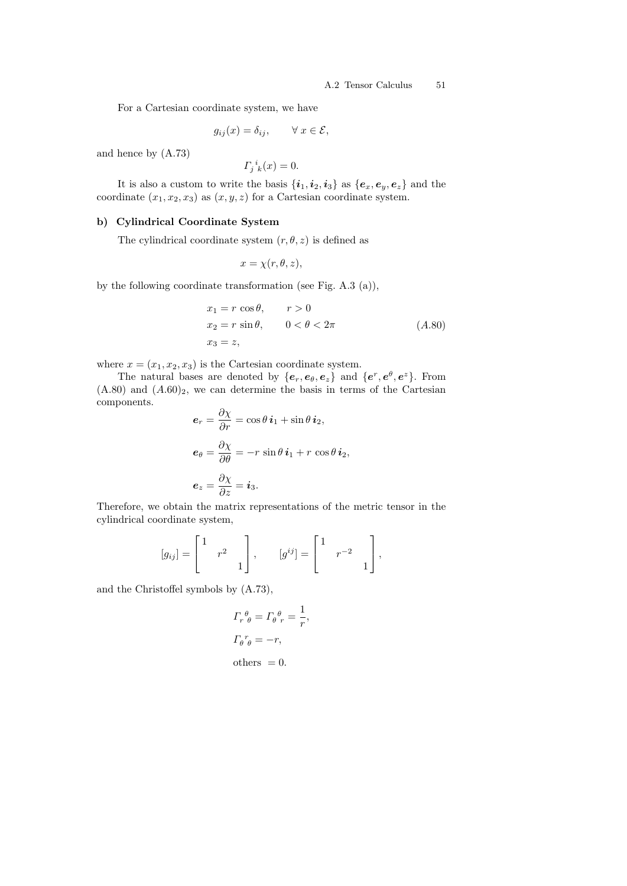### A.2 Tensor Calculus 51

For a Cartesian coordinate system, we have

$$
g_{ij}(x) = \delta_{ij}, \qquad \forall \ x \in \mathcal{E},
$$

and hence by (A.73)

$$
F_j{}^i{}_k(x) = 0.
$$

It is also a custom to write the basis  $\{\boldsymbol{i}_1,\boldsymbol{i}_2,\boldsymbol{i}_3\}$  as  $\{\boldsymbol{e}_x,\boldsymbol{e}_y,\boldsymbol{e}_z\}$  and the coordinate  $(x_1, x_2, x_3)$  as  $(x, y, z)$  for a Cartesian coordinate system.

### b) Cylindrical Coordinate System

The cylindrical coordinate system  $(r, \theta, z)$  is defined as

$$
x = \chi(r, \theta, z),
$$

by the following coordinate transformation (see Fig. A.3 (a)),

$$
x_1 = r \cos \theta, \qquad r > 0
$$
  
\n
$$
x_2 = r \sin \theta, \qquad 0 < \theta < 2\pi
$$
  
\n
$$
x_3 = z,
$$
\n(A.80)

where  $x = (x_1, x_2, x_3)$  is the Cartesian coordinate system.

The natural bases are denoted by  ${e_r, e_\theta, e_z}$  and  ${e^r, e^\theta, e^z}$ . From  $(A.80)$  and  $(A.60)_2$ , we can determine the basis in terms of the Cartesian components.

$$
e_r = \frac{\partial \chi}{\partial r} = \cos \theta \, i_1 + \sin \theta \, i_2,
$$
  
\n
$$
e_{\theta} = \frac{\partial \chi}{\partial \theta} = -r \, \sin \theta \, i_1 + r \, \cos \theta \, i_2,
$$
  
\n
$$
e_z = \frac{\partial \chi}{\partial z} = i_3.
$$

Therefore, we obtain the matrix representations of the metric tensor in the cylindrical coordinate system,

$$
[g_{ij}] = \begin{bmatrix} 1 & & \\ & r^2 & \\ & & 1 \end{bmatrix}, \qquad [g^{ij}] = \begin{bmatrix} 1 & & \\ & r^{-2} & \\ & & 1 \end{bmatrix},
$$

and the Christoffel symbols by (A.73),

$$
\Gamma_r^{\theta}{}_{\theta} = \Gamma_{\theta}^{\theta}{}_{r} = \frac{1}{r},
$$
  

$$
\Gamma_{\theta}^{\ r}{}_{\theta} = -r,
$$

others  $= 0$ .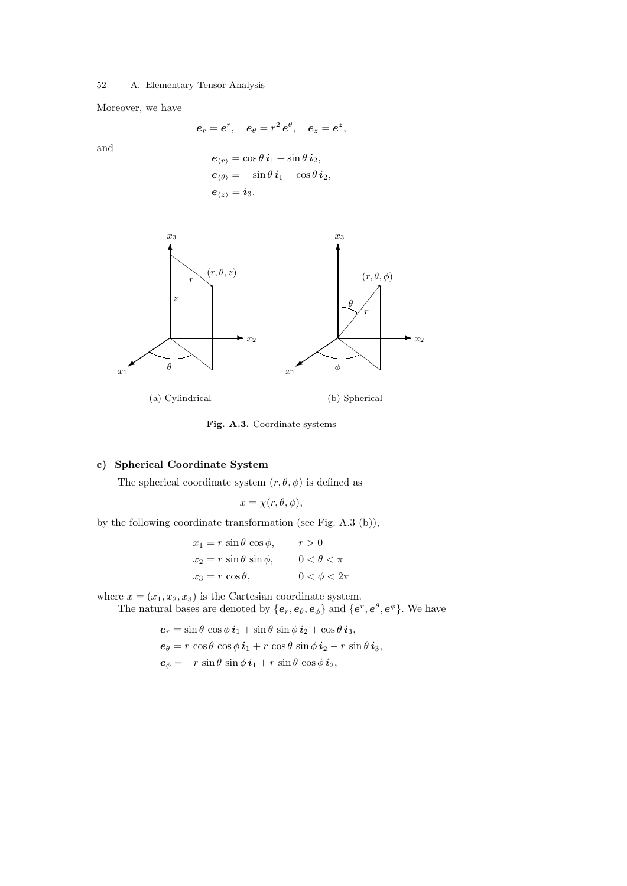Moreover, we have

$$
e_r = e^r
$$
,  $e_\theta = r^2 e^\theta$ ,  $e_z = e^z$ ,

and

$$
\begin{aligned} \boldsymbol{e}_{\langle r \rangle} &= \cos \theta \, \boldsymbol{i}_1 + \sin \theta \, \boldsymbol{i}_2, \\ \boldsymbol{e}_{\langle \theta \rangle} &= -\sin \theta \, \boldsymbol{i}_1 + \cos \theta \, \boldsymbol{i}_2, \\ \boldsymbol{e}_{\langle z \rangle} &= \boldsymbol{i}_3. \end{aligned}
$$



Fig. A.3. Coordinate systems

# c) Spherical Coordinate System

The spherical coordinate system  $(r, \theta, \phi)$  is defined as

$$
x = \chi(r, \theta, \phi),
$$

by the following coordinate transformation (see Fig. A.3 (b)),

$$
x_1 = r \sin \theta \cos \phi, \qquad r > 0
$$
  
\n
$$
x_2 = r \sin \theta \sin \phi, \qquad 0 < \theta < \pi
$$
  
\n
$$
x_3 = r \cos \theta, \qquad 0 < \phi < 2\pi
$$

where  $x = (x_1, x_2, x_3)$  is the Cartesian coordinate system.

The natural bases are denoted by  $\{e_r, e_\theta, e_\phi\}$  and  $\{e^r, e^\theta, e^\phi\}$ . We have

 $e_r = \sin \theta \cos \phi \, i_1 + \sin \theta \, \sin \phi \, i_2 + \cos \theta \, i_3,$  $e_{\theta} = r \cos \theta \cos \phi \, i_1 + r \cos \theta \, \sin \phi \, i_2 - r \, \sin \theta \, i_3$ ,  $e_{\phi} = -r \sin \theta \sin \phi \, i_1 + r \sin \theta \cos \phi \, i_2$ ,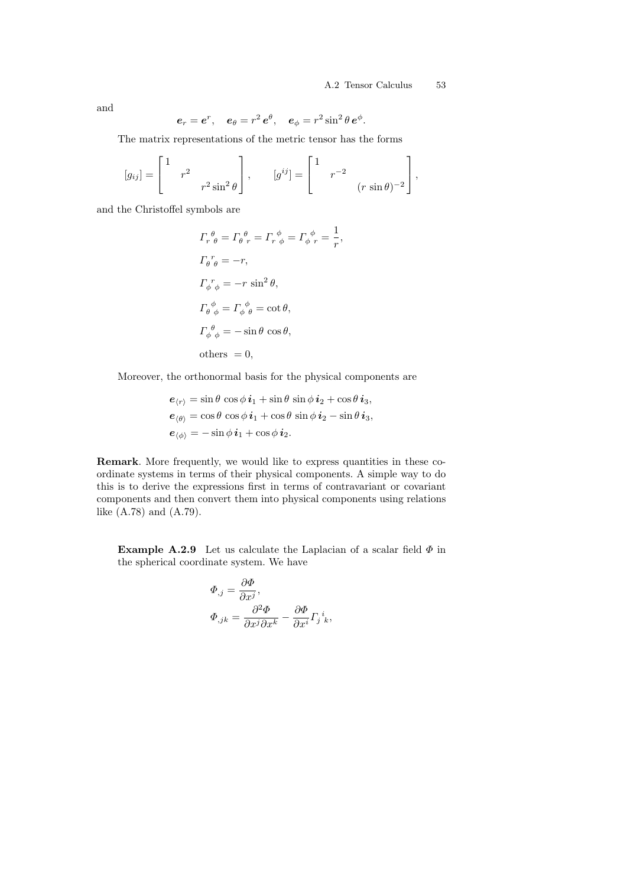and

$$
e_r = e^r
$$
,  $e_\theta = r^2 e^\theta$ ,  $e_\phi = r^2 \sin^2 \theta e^\phi$ .

The matrix representations of the metric tensor has the forms

$$
[g_{ij}] = \begin{bmatrix} 1 & r^2 & & \\ & r^2 \sin^2 \theta & \end{bmatrix}, \qquad [g^{ij}] = \begin{bmatrix} 1 & r^{-2} & \\ & r^{-2} & \\ & (r \sin \theta)^{-2} \end{bmatrix},
$$

and the Christoffel symbols are

$$
\Gamma_r^{\theta}{}_{\theta} = \Gamma_{\theta}^{\ \theta}{}_{r} = \Gamma_r^{\ \phi} = \Gamma_{\phi}^{\ \phi}{}_{r} = \frac{1}{r},
$$
  
\n
$$
\Gamma_{\theta}^{\ r}{}_{\theta} = -r,
$$
  
\n
$$
\Gamma_{\phi}^{\ r}{}_{\phi} = -r \sin^2 \theta,
$$
  
\n
$$
\Gamma_{\theta}^{\ \phi}{}_{\phi} = \Gamma_{\phi}^{\ \phi} = \cot \theta,
$$
  
\n
$$
\Gamma_{\phi}^{\ \theta}{}_{\phi} = -\sin \theta \cos \theta,
$$
  
\nothers = 0,

Moreover, the orthonormal basis for the physical components are

$$
\begin{aligned} \boldsymbol{e}_{\langle r \rangle} &= \sin \theta \, \cos \phi \, \boldsymbol{i}_1 + \sin \theta \, \sin \phi \, \boldsymbol{i}_2 + \cos \theta \, \boldsymbol{i}_3, \\ \boldsymbol{e}_{\langle \theta \rangle} &= \cos \theta \, \cos \phi \, \boldsymbol{i}_1 + \cos \theta \, \sin \phi \, \boldsymbol{i}_2 - \sin \theta \, \boldsymbol{i}_3, \\ \boldsymbol{e}_{\langle \phi \rangle} &= -\sin \phi \, \boldsymbol{i}_1 + \cos \phi \, \boldsymbol{i}_2. \end{aligned}
$$

Remark. More frequently, we would like to express quantities in these coordinate systems in terms of their physical components. A simple way to do this is to derive the expressions first in terms of contravariant or covariant components and then convert them into physical components using relations like (A.78) and (A.79).

**Example A.2.9** Let us calculate the Laplacian of a scalar field  $\Phi$  in the spherical coordinate system. We have

$$
\Phi_{,j} = \frac{\partial \Phi}{\partial x^j},
$$
  

$$
\Phi_{,jk} = \frac{\partial^2 \Phi}{\partial x^j \partial x^k} - \frac{\partial \Phi}{\partial x^i} \Gamma_j{}^i{}_k,
$$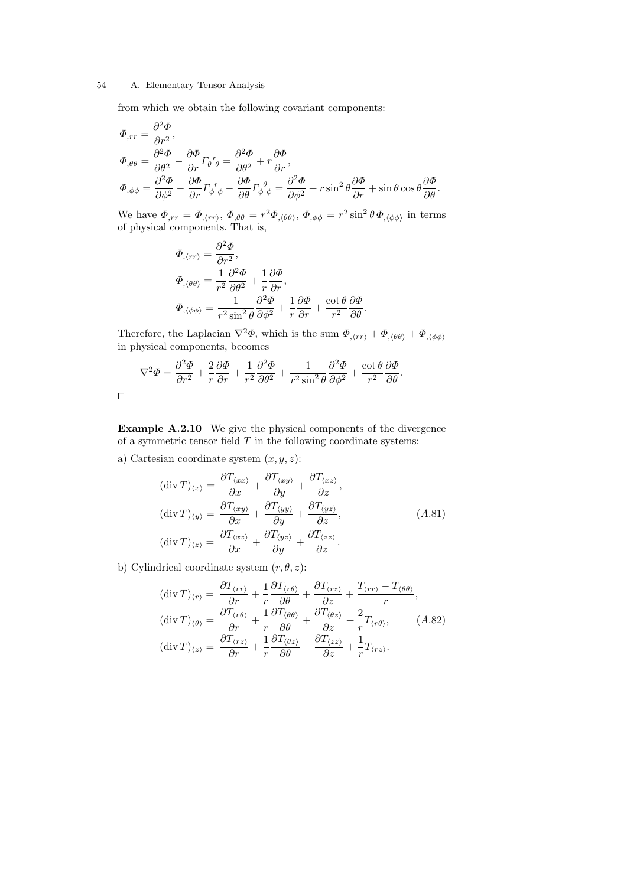from which we obtain the following covariant components:

$$
\Phi_{,rr} = \frac{\partial^2 \Phi}{\partial r^2},
$$
\n
$$
\Phi_{,\theta\theta} = \frac{\partial^2 \Phi}{\partial \theta^2} - \frac{\partial \Phi}{\partial r} \Gamma_{\theta} r_{\theta} = \frac{\partial^2 \Phi}{\partial \theta^2} + r \frac{\partial \Phi}{\partial r},
$$
\n
$$
\Phi_{,\phi\phi} = \frac{\partial^2 \Phi}{\partial \phi^2} - \frac{\partial \Phi}{\partial r} \Gamma_{\phi} r_{\phi} - \frac{\partial \Phi}{\partial \theta} \Gamma_{\phi} \theta_{\phi} = \frac{\partial^2 \Phi}{\partial \phi^2} + r \sin^2 \theta \frac{\partial \Phi}{\partial r} + \sin \theta \cos \theta \frac{\partial \Phi}{\partial \theta}.
$$

We have  $\Phi_{,rr} = \Phi_{,\langle rr \rangle}, \Phi_{,\theta\theta} = r^2 \Phi_{,\langle \theta\theta \rangle}, \Phi_{,\phi\phi} = r^2 \sin^2 \theta \Phi_{,\langle \phi\phi \rangle}$  in terms of physical components. That is,

$$
\begin{aligned} \varPhi_{,\langle rr\rangle} &= \frac{\partial^2 \varPhi}{\partial r^2}, \\ \varPhi_{,\langle\theta\theta\rangle} &= \frac{1}{r^2}\frac{\partial^2 \varPhi}{\partial \theta^2} + \frac{1}{r}\frac{\partial \varPhi}{\partial r}, \\ \varPhi_{,\langle\phi\phi\rangle} &= \frac{1}{r^2\sin^2\theta}\frac{\partial^2 \varPhi}{\partial \phi^2} + \frac{1}{r}\frac{\partial \varPhi}{\partial r} + \frac{\cot\theta}{r^2}\frac{\partial \varPhi}{\partial \theta}. \end{aligned}
$$

Therefore, the Laplacian  $\nabla^2 \Phi$ , which is the sum  $\Phi_{\phi(r)} + \Phi_{\phi(\theta)} + \Phi_{\phi(\phi)}$ in physical components, becomes

$$
\nabla^2 \Phi = \frac{\partial^2 \Phi}{\partial r^2} + \frac{2}{r} \frac{\partial \Phi}{\partial r} + \frac{1}{r^2} \frac{\partial^2 \Phi}{\partial \theta^2} + \frac{1}{r^2 \sin^2 \theta} \frac{\partial^2 \Phi}{\partial \phi^2} + \frac{\cot \theta}{r^2} \frac{\partial \Phi}{\partial \theta}.
$$

 $\Box$ 

Example A.2.10 We give the physical components of the divergence of a symmetric tensor field  $T$  in the following coordinate systems:

a) Cartesian coordinate system  $(x, y, z)$ :

$$
\begin{aligned}\n(\text{div}\,T)_{\langle x\rangle} &= \frac{\partial T_{\langle xx\rangle}}{\partial x} + \frac{\partial T_{\langle xy\rangle}}{\partial y} + \frac{\partial T_{\langle xz\rangle}}{\partial z},\\
(\text{div}\,T)_{\langle y\rangle} &= \frac{\partial T_{\langle xy\rangle}}{\partial x} + \frac{\partial T_{\langle yy\rangle}}{\partial y} + \frac{\partial T_{\langle yz\rangle}}{\partial z},\\
(\text{div}\,T)_{\langle z\rangle} &= \frac{\partial T_{\langle xz\rangle}}{\partial x} + \frac{\partial T_{\langle yz\rangle}}{\partial y} + \frac{\partial T_{\langle zz\rangle}}{\partial z}.\n\end{aligned} \tag{A.81}
$$

b) Cylindrical coordinate system  $(r, \theta, z)$ :

$$
\begin{aligned}\n(\text{div}\,T)_{\langle r\rangle} &= \frac{\partial T_{\langle rr\rangle}}{\partial r} + \frac{1}{r} \frac{\partial T_{\langle r\theta\rangle}}{\partial \theta} + \frac{\partial T_{\langle rz\rangle}}{\partial z} + \frac{T_{\langle rr\rangle} - T_{\langle \theta\theta\rangle}}{r}, \\
(\text{div}\,T)_{\langle \theta\rangle} &= \frac{\partial T_{\langle r\theta\rangle}}{\partial r} + \frac{1}{r} \frac{\partial T_{\langle \theta\theta\rangle}}{\partial \theta} + \frac{\partial T_{\langle \theta z\rangle}}{\partial z} + \frac{2}{r} T_{\langle r\theta\rangle}, \\
(\text{div}\,T)_{\langle z\rangle} &= \frac{\partial T_{\langle rz\rangle}}{\partial r} + \frac{1}{r} \frac{\partial T_{\langle \theta z\rangle}}{\partial \theta} + \frac{\partial T_{\langle zz\rangle}}{\partial z} + \frac{1}{r} T_{\langle rz\rangle}.\n\end{aligned} \tag{A.82}
$$